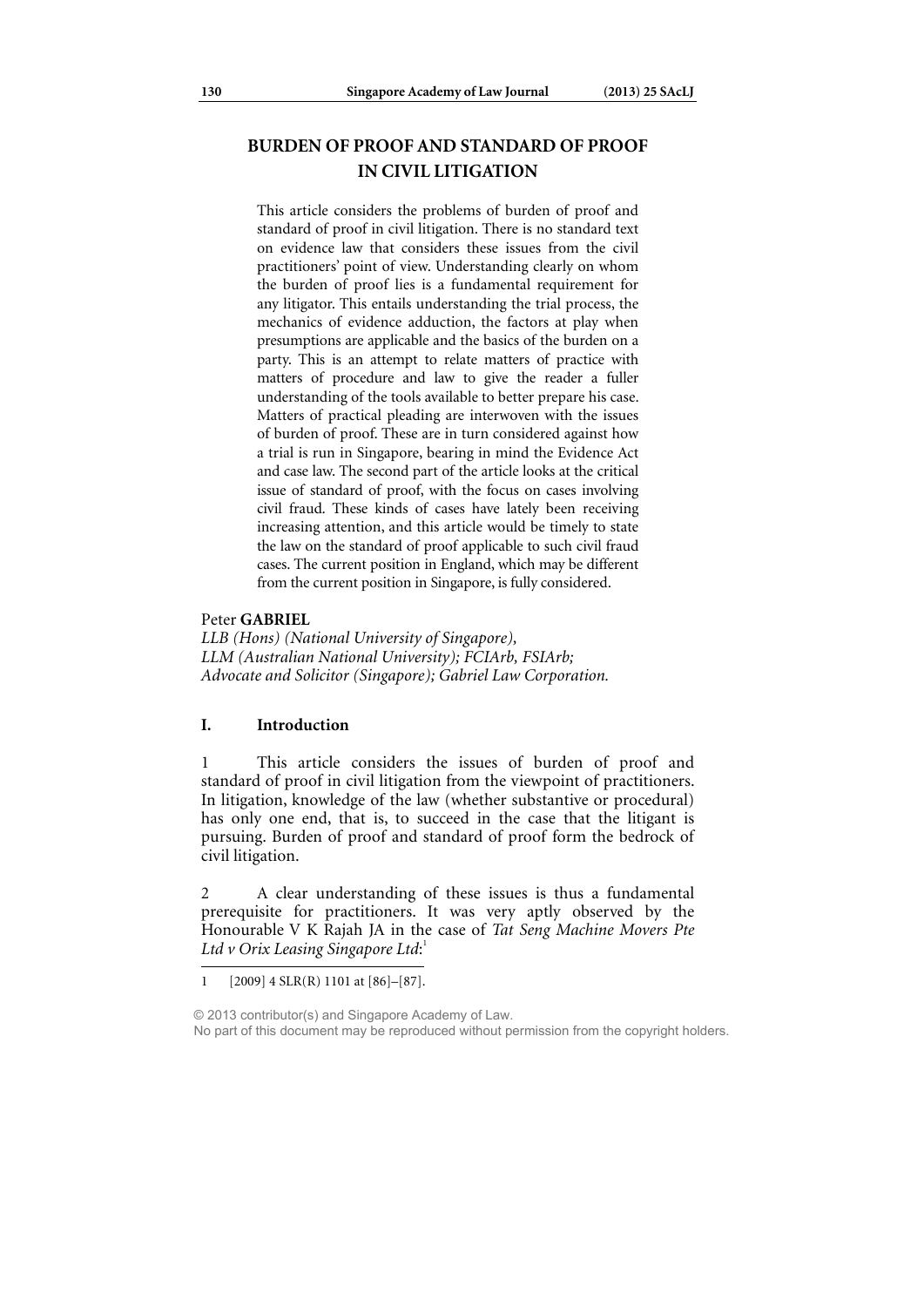# **BURDEN OF PROOF AND STANDARD OF PROOF IN CIVIL LITIGATION**

This article considers the problems of burden of proof and standard of proof in civil litigation. There is no standard text on evidence law that considers these issues from the civil practitioners' point of view. Understanding clearly on whom the burden of proof lies is a fundamental requirement for any litigator. This entails understanding the trial process, the mechanics of evidence adduction, the factors at play when presumptions are applicable and the basics of the burden on a party. This is an attempt to relate matters of practice with matters of procedure and law to give the reader a fuller understanding of the tools available to better prepare his case. Matters of practical pleading are interwoven with the issues of burden of proof. These are in turn considered against how a trial is run in Singapore, bearing in mind the Evidence Act and case law. The second part of the article looks at the critical issue of standard of proof, with the focus on cases involving civil fraud. These kinds of cases have lately been receiving increasing attention, and this article would be timely to state the law on the standard of proof applicable to such civil fraud cases. The current position in England, which may be different from the current position in Singapore, is fully considered.

### Peter **GABRIEL**

*LLB (Hons) (National University of Singapore), LLM (Australian National University); FCIArb, FSIArb; Advocate and Solicitor (Singapore); Gabriel Law Corporation.* 

### **I. Introduction**

1 This article considers the issues of burden of proof and standard of proof in civil litigation from the viewpoint of practitioners. In litigation, knowledge of the law (whether substantive or procedural) has only one end, that is, to succeed in the case that the litigant is pursuing. Burden of proof and standard of proof form the bedrock of civil litigation.

2 A clear understanding of these issues is thus a fundamental prerequisite for practitioners. It was very aptly observed by the Honourable V K Rajah JA in the case of *Tat Seng Machine Movers Pte Ltd v Orix Leasing Singapore Ltd*: 1

<sup>1 [2009] 4</sup> SLR(R) 1101 at [86]–[87].

<sup>© 2013</sup> contributor(s) and Singapore Academy of Law. No part of this document may be reproduced without permission from the copyright holders.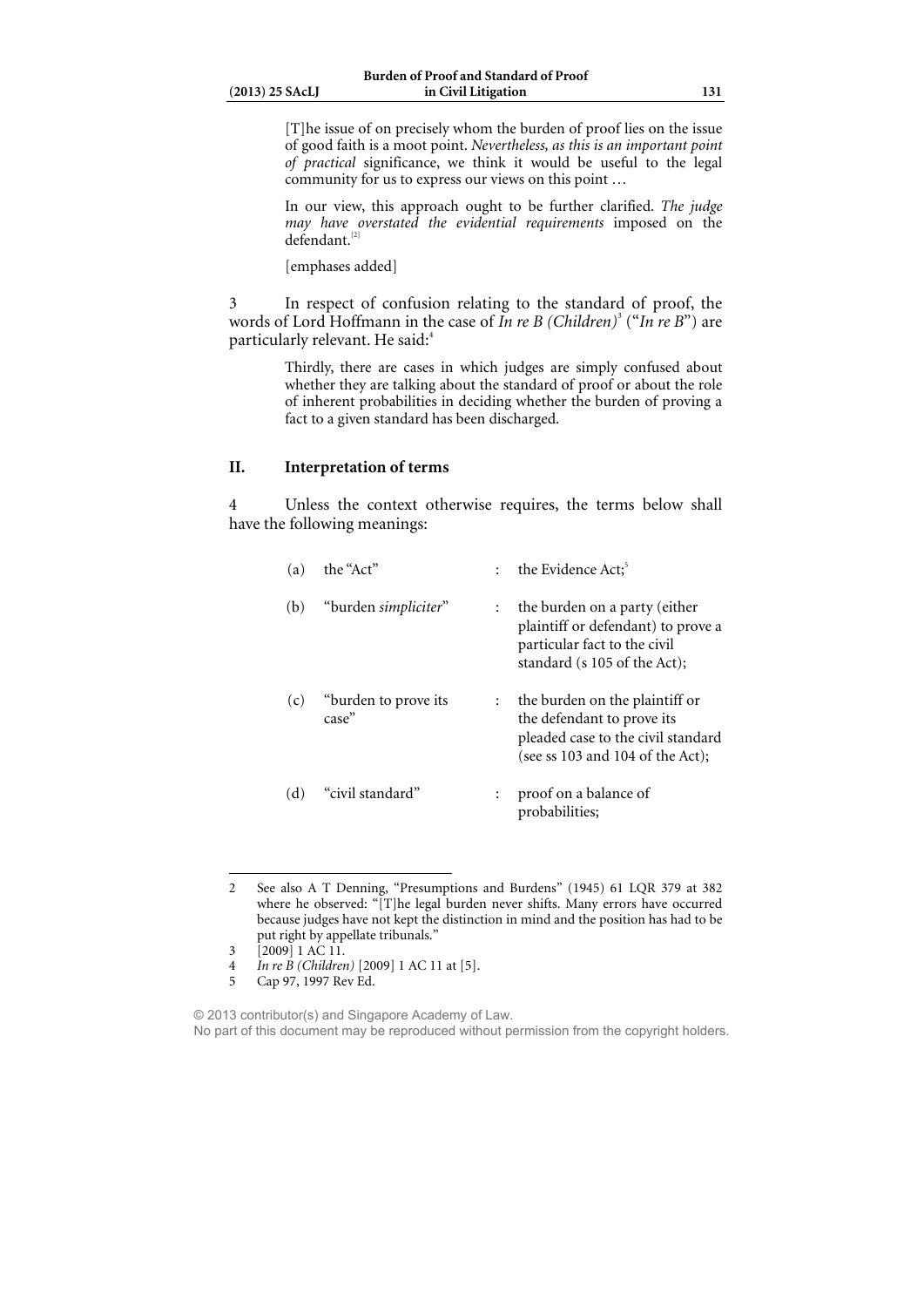[T]he issue of on precisely whom the burden of proof lies on the issue of good faith is a moot point. *Nevertheless, as this is an important point of practical* significance, we think it would be useful to the legal community for us to express our views on this point …

In our view, this approach ought to be further clarified. *The judge may have overstated the evidential requirements* imposed on the defendant.[2]

[emphases added]

3 In respect of confusion relating to the standard of proof, the words of Lord Hoffmann in the case of *In re B (Children)*<sup>3</sup> ("*In re B*") are particularly relevant. He said:<sup>4</sup>

> Thirdly, there are cases in which judges are simply confused about whether they are talking about the standard of proof or about the role of inherent probabilities in deciding whether the burden of proving a fact to a given standard has been discharged.

## **II. Interpretation of terms**

4 Unless the context otherwise requires, the terms below shall have the following meanings:

| (a) | the "Act"                     |                      | the Evidence Act; <sup>5</sup>                                                                                                             |
|-----|-------------------------------|----------------------|--------------------------------------------------------------------------------------------------------------------------------------------|
| (b) | "burden simpliciter"          | $\ddot{\phantom{0}}$ | the burden on a party (either<br>plaintiff or defendant) to prove a<br>particular fact to the civil<br>standard (s 105 of the Act);        |
| (c) | "burden to prove its<br>case" | $\mathbf{r}$         | the burden on the plaintiff or<br>the defendant to prove its<br>pleaded case to the civil standard<br>(see ss $103$ and $104$ of the Act); |
| (d) | "civil standard"              |                      | proof on a balance of<br>probabilities;                                                                                                    |

<sup>2</sup> See also A T Denning, "Presumptions and Burdens" (1945) 61 LQR 379 at 382 where he observed: "[T]he legal burden never shifts. Many errors have occurred because judges have not kept the distinction in mind and the position has had to be put right by appellate tribunals."

<sup>3 [2009] 1</sup> AC 11.

<sup>4</sup> *In re B (Children)* [2009] 1 AC 11 at [5].

Cap 97, 1997 Rev Ed.

<sup>© 2013</sup> contributor(s) and Singapore Academy of Law. No part of this document may be reproduced without permission from the copyright holders.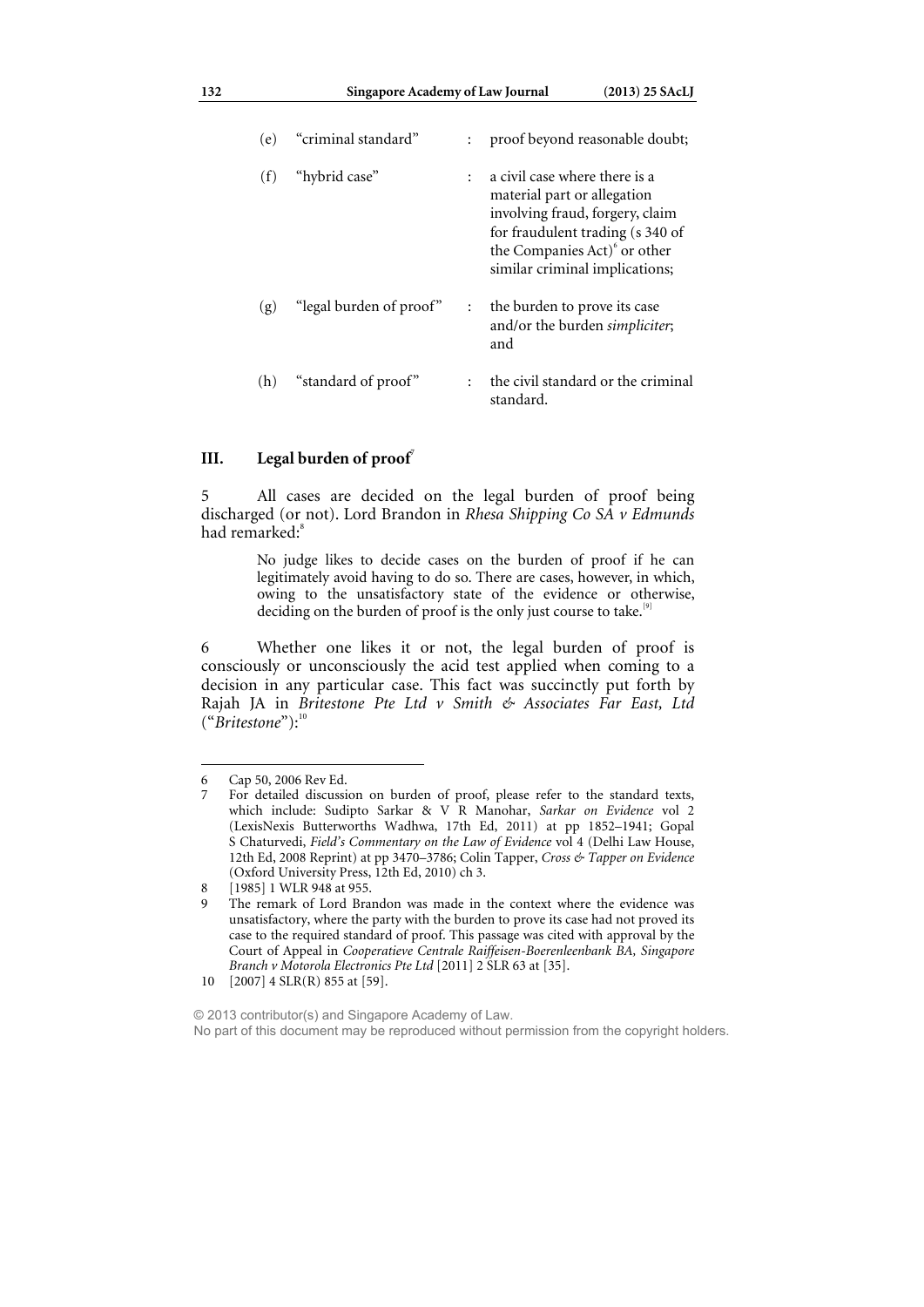| (e) | "criminal standard"     |              | proof beyond reasonable doubt;                                                                                                                                                                                    |
|-----|-------------------------|--------------|-------------------------------------------------------------------------------------------------------------------------------------------------------------------------------------------------------------------|
| (f) | "hybrid case"           | $\mathbf{L}$ | a civil case where there is a<br>material part or allegation<br>involving fraud, forgery, claim<br>for fraudulent trading (s 340 of<br>the Companies Act) <sup>6</sup> or other<br>similar criminal implications; |
| (g) | "legal burden of proof" | $\mathbf{L}$ | the burden to prove its case<br>and/or the burden <i>simpliciter</i> ;<br>and                                                                                                                                     |
| (h) | "standard of proof"     |              | the civil standard or the criminal<br>standard.                                                                                                                                                                   |

### **III.** Legal burden of proof<sup>7</sup>

5 All cases are decided on the legal burden of proof being discharged (or not). Lord Brandon in *Rhesa Shipping Co SA v Edmunds*  had remarked:<sup>8</sup>

> No judge likes to decide cases on the burden of proof if he can legitimately avoid having to do so. There are cases, however, in which, owing to the unsatisfactory state of the evidence or otherwise, deciding on the burden of proof is the only just course to take.<sup>[9]</sup>

6 Whether one likes it or not, the legal burden of proof is consciously or unconsciously the acid test applied when coming to a decision in any particular case. This fact was succinctly put forth by Rajah JA in *Britestone Pte Ltd v Smith & Associates Far East, Ltd*  ("Britestone"):<sup>10</sup>

<sup>6</sup> Cap 50, 2006 Rev Ed.

For detailed discussion on burden of proof, please refer to the standard texts, which include: Sudipto Sarkar & V R Manohar, *Sarkar on Evidence* vol 2 (LexisNexis Butterworths Wadhwa, 17th Ed, 2011) at pp 1852–1941; Gopal S Chaturvedi, *Field's Commentary on the Law of Evidence* vol 4 (Delhi Law House, 12th Ed, 2008 Reprint) at pp 3470–3786; Colin Tapper, *Cross & Tapper on Evidence*  (Oxford University Press, 12th Ed, 2010) ch 3.

<sup>8 [1985] 1</sup> WLR 948 at 955.

<sup>9</sup> The remark of Lord Brandon was made in the context where the evidence was unsatisfactory, where the party with the burden to prove its case had not proved its case to the required standard of proof. This passage was cited with approval by the Court of Appeal in *Cooperatieve Centrale Raiffeisen-Boerenleenbank BA, Singapore Branch v Motorola Electronics Pte Ltd* [2011] 2 SLR 63 at [35].

<sup>10 [2007] 4</sup> SLR(R) 855 at [59].

<sup>© 2013</sup> contributor(s) and Singapore Academy of Law. No part of this document may be reproduced without permission from the copyright holders.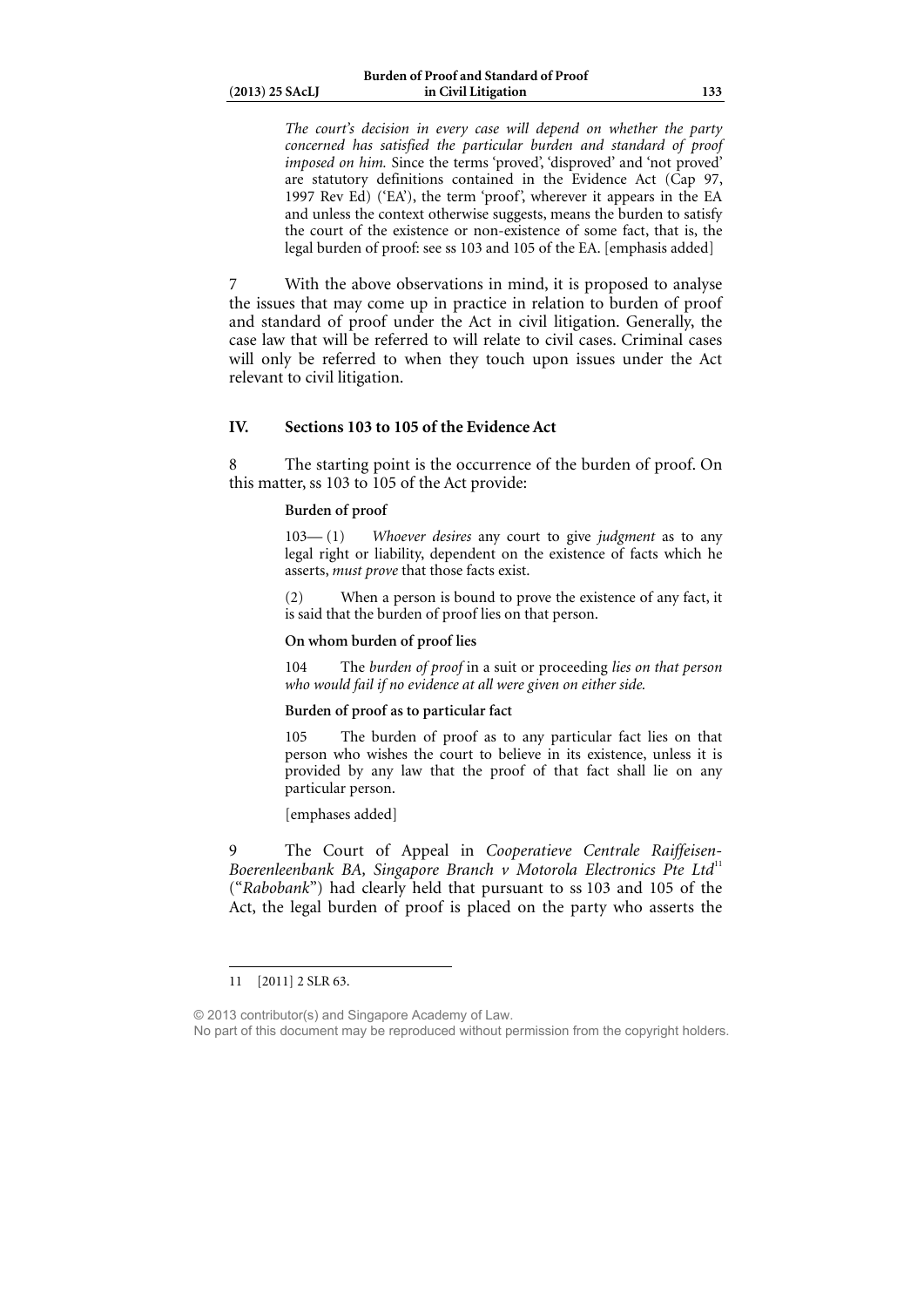*The court's decision in every case will depend on whether the party concerned has satisfied the particular burden and standard of proof imposed on him.* Since the terms 'proved', 'disproved' and 'not proved' are statutory definitions contained in the Evidence Act (Cap 97, 1997 Rev Ed) ('EA'), the term 'proof', wherever it appears in the EA and unless the context otherwise suggests, means the burden to satisfy the court of the existence or non-existence of some fact, that is, the legal burden of proof: see ss 103 and 105 of the EA. [emphasis added]

7 With the above observations in mind, it is proposed to analyse the issues that may come up in practice in relation to burden of proof and standard of proof under the Act in civil litigation. Generally, the case law that will be referred to will relate to civil cases. Criminal cases will only be referred to when they touch upon issues under the Act relevant to civil litigation.

### **IV. Sections 103 to 105 of the Evidence Act**

8 The starting point is the occurrence of the burden of proof. On this matter, ss 103 to 105 of the Act provide:

### **Burden of proof**

103— (1) *Whoever desires* any court to give *judgment* as to any legal right or liability, dependent on the existence of facts which he asserts, *must prove* that those facts exist.

(2) When a person is bound to prove the existence of any fact, it is said that the burden of proof lies on that person.

#### **On whom burden of proof lies**

104 The *burden of proof* in a suit or proceeding *lies on that person who would fail if no evidence at all were given on either side.*

### **Burden of proof as to particular fact**

105 The burden of proof as to any particular fact lies on that person who wishes the court to believe in its existence, unless it is provided by any law that the proof of that fact shall lie on any particular person.

[emphases added]

9 The Court of Appeal in *Cooperatieve Centrale Raiffeisen-*Boerenleenbank BA, Singapore Branch v Motorola Electronics Pte Ltd<sup>11</sup> ("*Rabobank*") had clearly held that pursuant to ss 103 and 105 of the Act, the legal burden of proof is placed on the party who asserts the

 $\overline{a}$ 

© 2013 contributor(s) and Singapore Academy of Law. No part of this document may be reproduced without permission from the copyright holders.

<sup>11 [2011] 2</sup> SLR 63.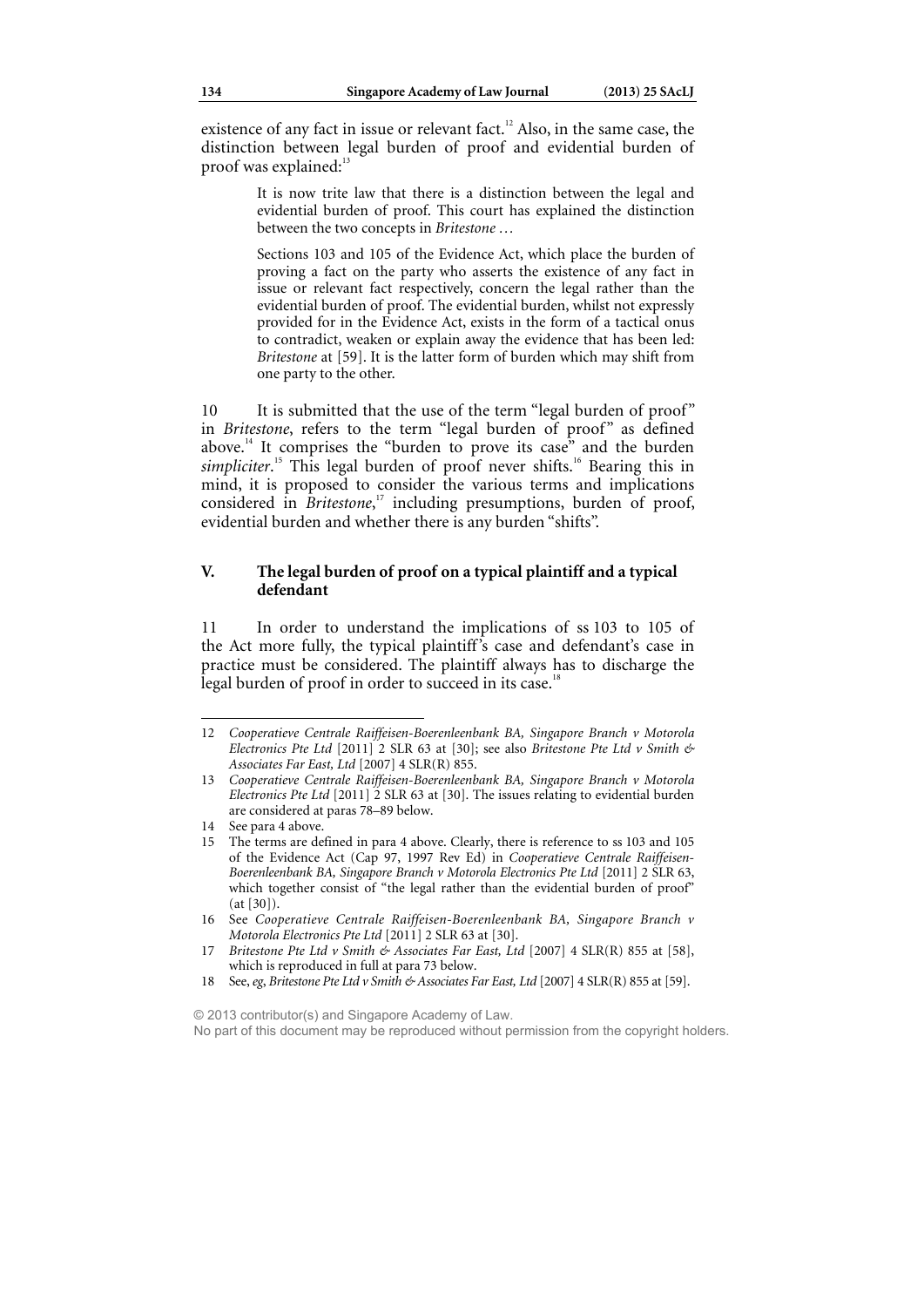existence of any fact in issue or relevant fact.<sup>12</sup> Also, in the same case, the distinction between legal burden of proof and evidential burden of proof was explained:<sup>1</sup>

> It is now trite law that there is a distinction between the legal and evidential burden of proof. This court has explained the distinction between the two concepts in *Britestone …*

> Sections 103 and 105 of the Evidence Act, which place the burden of proving a fact on the party who asserts the existence of any fact in issue or relevant fact respectively, concern the legal rather than the evidential burden of proof. The evidential burden, whilst not expressly provided for in the Evidence Act, exists in the form of a tactical onus to contradict, weaken or explain away the evidence that has been led: *Britestone* at [59]. It is the latter form of burden which may shift from one party to the other.

10 It is submitted that the use of the term "legal burden of proof" in *Britestone*, refers to the term "legal burden of proof" as defined above.<sup>14</sup> It comprises the "burden to prove its case" and the burden simpliciter.<sup>15</sup> This legal burden of proof never shifts.<sup>16</sup> Bearing this in mind, it is proposed to consider the various terms and implications considered in *Britestone*, 17 including presumptions, burden of proof, evidential burden and whether there is any burden "shifts".

### **V. The legal burden of proof on a typical plaintiff and a typical defendant**

11 In order to understand the implications of ss 103 to 105 of the Act more fully, the typical plaintiff's case and defendant's case in practice must be considered. The plaintiff always has to discharge the legal burden of proof in order to succeed in its case.<sup>18</sup>

 $\overline{a}$ 

© 2013 contributor(s) and Singapore Academy of Law.

No part of this document may be reproduced without permission from the copyright holders.

<sup>12</sup> *Cooperatieve Centrale Raiffeisen-Boerenleenbank BA, Singapore Branch v Motorola Electronics Pte Ltd* [2011] 2 SLR 63 at [30]; see also *Britestone Pte Ltd v Smith & Associates Far East, Ltd* [2007] 4 SLR(R) 855.

<sup>13</sup> *Cooperatieve Centrale Raiffeisen-Boerenleenbank BA, Singapore Branch v Motorola Electronics Pte Ltd* [2011] 2 SLR 63 at [30]. The issues relating to evidential burden are considered at paras 78–89 below.

<sup>14</sup> See para 4 above.

<sup>15</sup> The terms are defined in para 4 above. Clearly, there is reference to ss 103 and 105 of the Evidence Act (Cap 97, 1997 Rev Ed) in *Cooperatieve Centrale Raiffeisen-Boerenleenbank BA, Singapore Branch v Motorola Electronics Pte Ltd* [2011] 2 SLR 63, which together consist of "the legal rather than the evidential burden of proof" (at [30]).

<sup>16</sup> See *Cooperatieve Centrale Raiffeisen-Boerenleenbank BA, Singapore Branch v Motorola Electronics Pte Ltd* [2011] 2 SLR 63 at [30].

<sup>17</sup> Britestone Pte Ltd v Smith & Associates Far East, Ltd [2007] 4 SLR(R) 855 at [58], which is reproduced in full at para 73 below.

<sup>18</sup> See, eg, Britestone Pte Ltd v Smith & Associates Far East, Ltd [2007] 4 SLR(R) 855 at [59].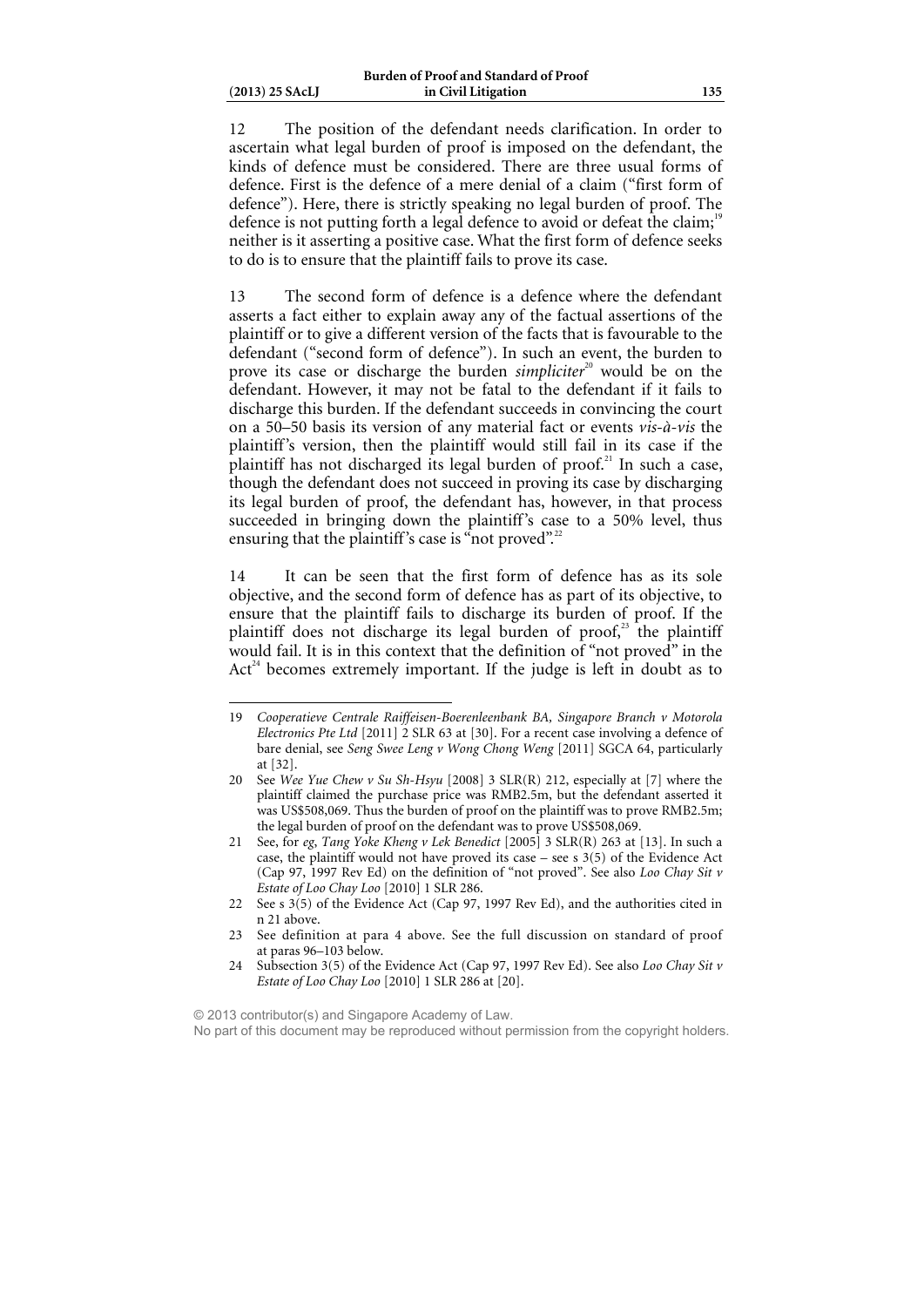$\overline{a}$ 

12 The position of the defendant needs clarification. In order to ascertain what legal burden of proof is imposed on the defendant, the kinds of defence must be considered. There are three usual forms of defence. First is the defence of a mere denial of a claim ("first form of defence"). Here, there is strictly speaking no legal burden of proof. The defence is not putting forth a legal defence to avoid or defeat the claim;<sup>19</sup> neither is it asserting a positive case. What the first form of defence seeks to do is to ensure that the plaintiff fails to prove its case.

13 The second form of defence is a defence where the defendant asserts a fact either to explain away any of the factual assertions of the plaintiff or to give a different version of the facts that is favourable to the defendant ("second form of defence"). In such an event, the burden to prove its case or discharge the burden *simpliciter*<sup>20</sup> would be on the defendant. However, it may not be fatal to the defendant if it fails to discharge this burden. If the defendant succeeds in convincing the court on a 50–50 basis its version of any material fact or events *vis-à-vis* the plaintiff's version, then the plaintiff would still fail in its case if the plaintiff has not discharged its legal burden of proof.<sup>21</sup> In such a case, though the defendant does not succeed in proving its case by discharging its legal burden of proof, the defendant has, however, in that process succeeded in bringing down the plaintiff's case to a 50% level, thus ensuring that the plaintiff's case is "not proved".<sup>22</sup>

14 It can be seen that the first form of defence has as its sole objective, and the second form of defence has as part of its objective, to ensure that the plaintiff fails to discharge its burden of proof. If the plaintiff does not discharge its legal burden of proof, $23$  the plaintiff would fail. It is in this context that the definition of "not proved" in the  $Act<sup>24</sup>$  becomes extremely important. If the judge is left in doubt as to

© 2013 contributor(s) and Singapore Academy of Law.

No part of this document may be reproduced without permission from the copyright holders.

<sup>19</sup> *Cooperatieve Centrale Raiffeisen-Boerenleenbank BA, Singapore Branch v Motorola Electronics Pte Ltd* [2011] 2 SLR 63 at [30]. For a recent case involving a defence of bare denial, see *Seng Swee Leng v Wong Chong Weng* [2011] SGCA 64, particularly at [32].

<sup>20</sup> See *Wee Yue Chew v Su Sh-Hsyu* [2008] 3 SLR(R) 212, especially at [7] where the plaintiff claimed the purchase price was RMB2.5m, but the defendant asserted it was US\$508,069. Thus the burden of proof on the plaintiff was to prove RMB2.5m; the legal burden of proof on the defendant was to prove US\$508,069.

<sup>21</sup> See, for *eg*, *Tang Yoke Kheng v Lek Benedict* [2005] 3 SLR(R) 263 at [13]. In such a case, the plaintiff would not have proved its case – see s  $3(5)$  of the Evidence Act (Cap 97, 1997 Rev Ed) on the definition of "not proved". See also *Loo Chay Sit v Estate of Loo Chay Loo* [2010] 1 SLR 286.

<sup>22</sup> See s 3(5) of the Evidence Act (Cap 97, 1997 Rev Ed), and the authorities cited in n 21 above.

<sup>23</sup> See definition at para 4 above. See the full discussion on standard of proof at paras 96–103 below.

<sup>24</sup> Subsection 3(5) of the Evidence Act (Cap 97, 1997 Rev Ed). See also *Loo Chay Sit v Estate of Loo Chay Loo* [2010] 1 SLR 286 at [20].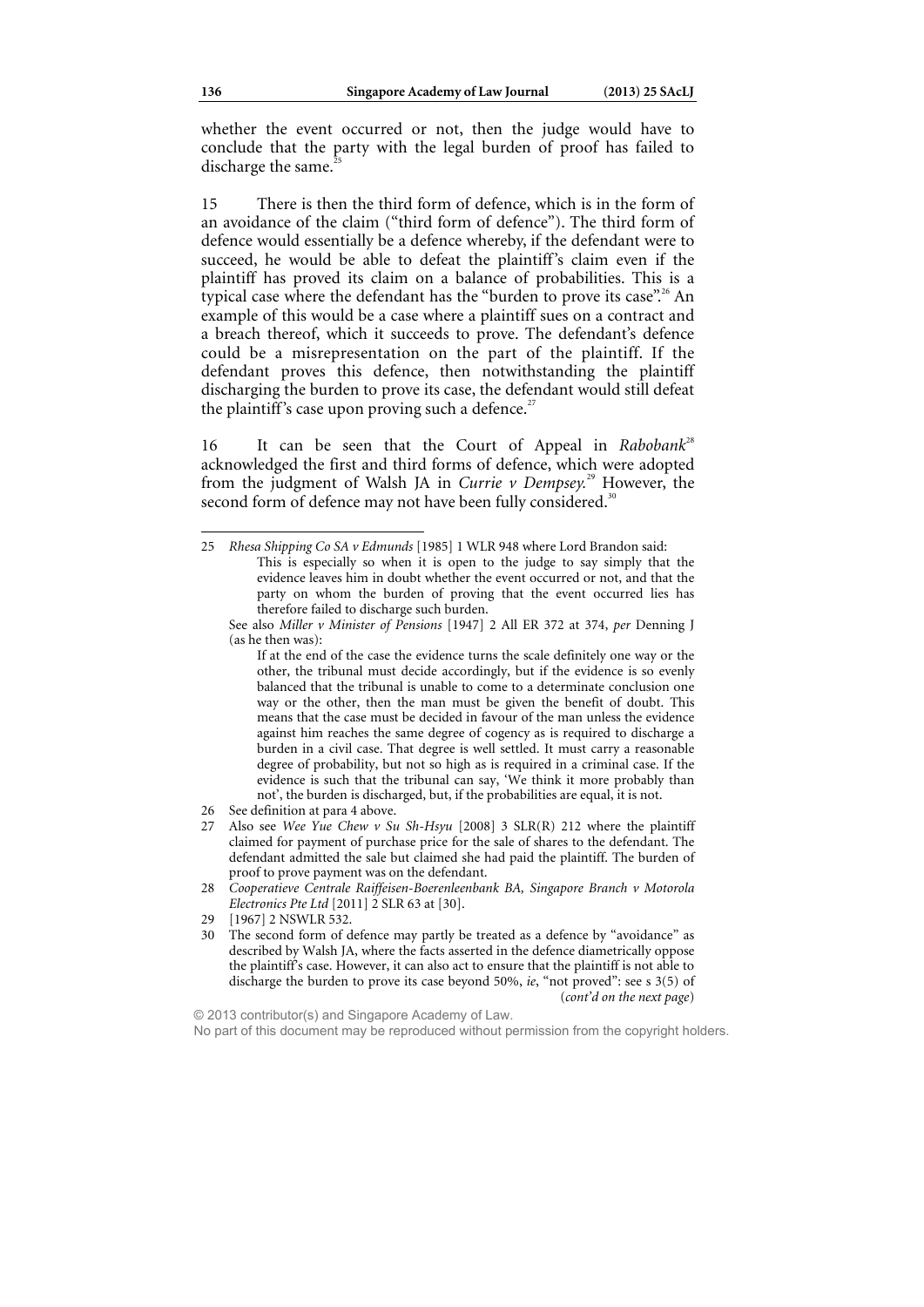whether the event occurred or not, then the judge would have to conclude that the party with the legal burden of proof has failed to discharge the same.

15 There is then the third form of defence, which is in the form of an avoidance of the claim ("third form of defence"). The third form of defence would essentially be a defence whereby, if the defendant were to succeed, he would be able to defeat the plaintiff's claim even if the plaintiff has proved its claim on a balance of probabilities. This is a typical case where the defendant has the "burden to prove its case".<sup>26</sup> An example of this would be a case where a plaintiff sues on a contract and a breach thereof, which it succeeds to prove. The defendant's defence could be a misrepresentation on the part of the plaintiff. If the defendant proves this defence, then notwithstanding the plaintiff discharging the burden to prove its case, the defendant would still defeat the plaintiff's case upon proving such a defence.<sup>2</sup>

16 It can be seen that the Court of Appeal in *Rabobank*<sup>28</sup> acknowledged the first and third forms of defence, which were adopted from the judgment of Walsh JA in *Currie v Dempsey.*29 However, the second form of defence may not have been fully considered.<sup>31</sup>

© 2013 contributor(s) and Singapore Academy of Law. No part of this document may be reproduced without permission from the copyright holders.

<sup>25</sup> *Rhesa Shipping Co SA v Edmunds* [1985] 1 WLR 948 where Lord Brandon said: This is especially so when it is open to the judge to say simply that the evidence leaves him in doubt whether the event occurred or not, and that the party on whom the burden of proving that the event occurred lies has therefore failed to discharge such burden.

See also *Miller v Minister of Pensions* [1947] 2 All ER 372 at 374, *per* Denning J (as he then was):

If at the end of the case the evidence turns the scale definitely one way or the other, the tribunal must decide accordingly, but if the evidence is so evenly balanced that the tribunal is unable to come to a determinate conclusion one way or the other, then the man must be given the benefit of doubt. This means that the case must be decided in favour of the man unless the evidence against him reaches the same degree of cogency as is required to discharge a burden in a civil case. That degree is well settled. It must carry a reasonable degree of probability, but not so high as is required in a criminal case. If the evidence is such that the tribunal can say, 'We think it more probably than not', the burden is discharged, but, if the probabilities are equal, it is not.

<sup>26</sup> See definition at para 4 above.

<sup>27</sup> Also see *Wee Yue Chew v Su Sh-Hsyu* [2008] 3 SLR(R) 212 where the plaintiff claimed for payment of purchase price for the sale of shares to the defendant. The defendant admitted the sale but claimed she had paid the plaintiff. The burden of proof to prove payment was on the defendant.

<sup>28</sup> *Cooperatieve Centrale Raiffeisen-Boerenleenbank BA, Singapore Branch v Motorola Electronics Pte Ltd* [2011] 2 SLR 63 at [30].

<sup>29 [1967] 2</sup> NSWLR 532.

<sup>30</sup> The second form of defence may partly be treated as a defence by "avoidance" as described by Walsh JA, where the facts asserted in the defence diametrically oppose the plaintiff's case. However, it can also act to ensure that the plaintiff is not able to discharge the burden to prove its case beyond 50%, *ie*, "not proved": see s 3(5) of (*cont'd on the next page*)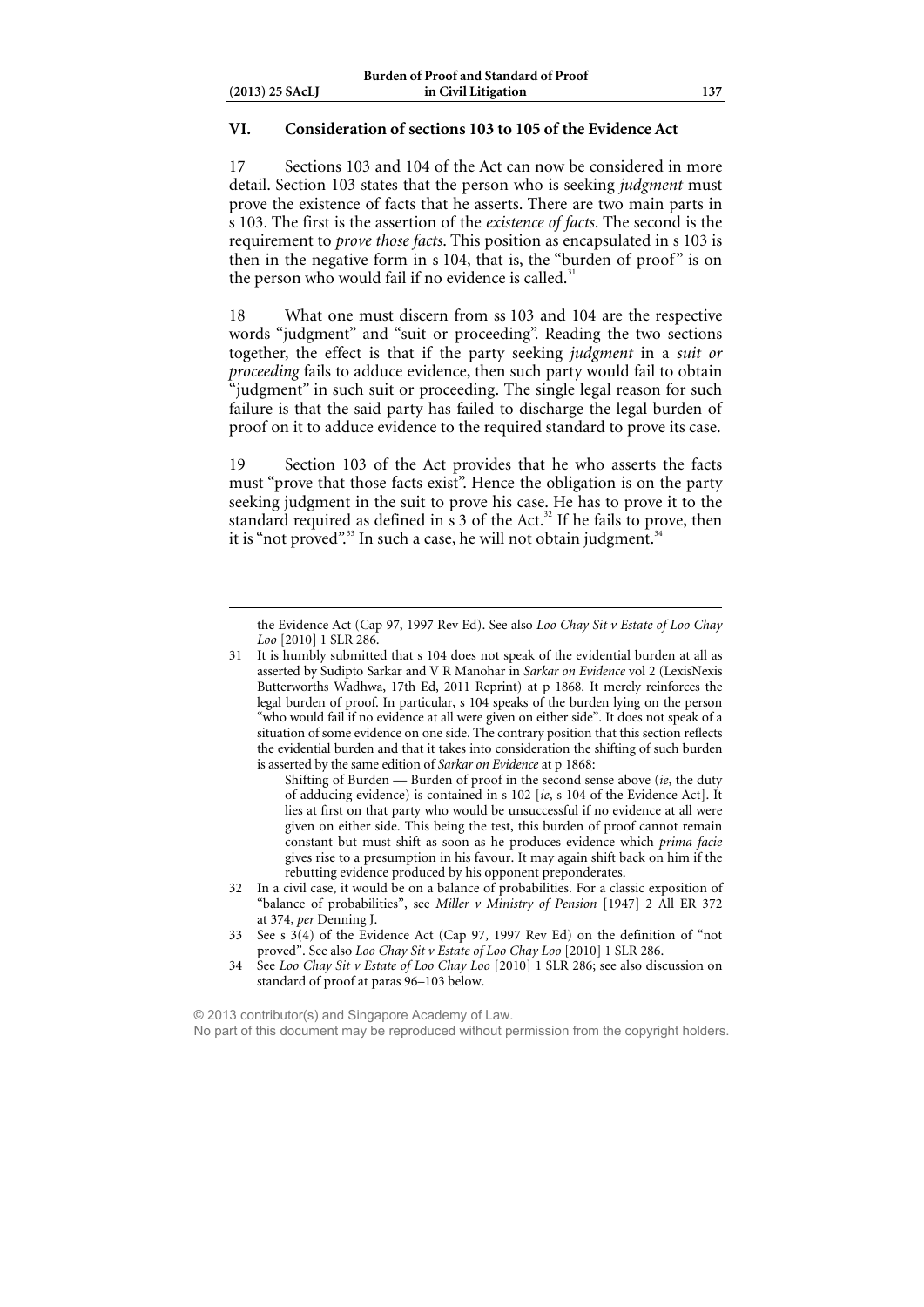### **VI. Consideration of sections 103 to 105 of the Evidence Act**

17 Sections 103 and 104 of the Act can now be considered in more detail. Section 103 states that the person who is seeking *judgment* must prove the existence of facts that he asserts. There are two main parts in s 103. The first is the assertion of the *existence of facts*. The second is the requirement to *prove those facts*. This position as encapsulated in s 103 is then in the negative form in s 104, that is, the "burden of proof" is on the person who would fail if no evidence is called.<sup>31</sup>

18 What one must discern from ss 103 and 104 are the respective words "judgment" and "suit or proceeding". Reading the two sections together, the effect is that if the party seeking *judgment* in a *suit or proceeding* fails to adduce evidence, then such party would fail to obtain "judgment" in such suit or proceeding. The single legal reason for such failure is that the said party has failed to discharge the legal burden of proof on it to adduce evidence to the required standard to prove its case.

19 Section 103 of the Act provides that he who asserts the facts must "prove that those facts exist". Hence the obligation is on the party seeking judgment in the suit to prove his case. He has to prove it to the standard required as defined in  $\frac{1}{5}$  3 of the Act.<sup>32</sup> If he fails to prove, then it is "not proved".<sup>33</sup> In such a case, he will not obtain judgment.<sup>34</sup>

Shifting of Burden — Burden of proof in the second sense above (*ie*, the duty of adducing evidence) is contained in s 102 [*ie*, s 104 of the Evidence Act]. It lies at first on that party who would be unsuccessful if no evidence at all were given on either side. This being the test, this burden of proof cannot remain constant but must shift as soon as he produces evidence which *prima facie* gives rise to a presumption in his favour. It may again shift back on him if the rebutting evidence produced by his opponent preponderates.

32 In a civil case, it would be on a balance of probabilities. For a classic exposition of "balance of probabilities", see *Miller v Ministry of Pension* [1947] 2 All ER 372 at 374, *per* Denning J.

© 2013 contributor(s) and Singapore Academy of Law. No part of this document may be reproduced without permission from the copyright holders.

the Evidence Act (Cap 97, 1997 Rev Ed). See also *Loo Chay Sit v Estate of Loo Chay Loo* [2010] 1 SLR 286.

<sup>31</sup> It is humbly submitted that s 104 does not speak of the evidential burden at all as asserted by Sudipto Sarkar and V R Manohar in *Sarkar on Evidence* vol 2 (LexisNexis Butterworths Wadhwa, 17th Ed, 2011 Reprint) at p 1868. It merely reinforces the legal burden of proof. In particular, s 104 speaks of the burden lying on the person "who would fail if no evidence at all were given on either side". It does not speak of a situation of some evidence on one side. The contrary position that this section reflects the evidential burden and that it takes into consideration the shifting of such burden is asserted by the same edition of *Sarkar on Evidence* at p 1868:

<sup>33</sup> See s 3(4) of the Evidence Act (Cap 97, 1997 Rev Ed) on the definition of "not proved". See also *Loo Chay Sit v Estate of Loo Chay Loo* [2010] 1 SLR 286.

<sup>34</sup> See *Loo Chay Sit v Estate of Loo Chay Loo* [2010] 1 SLR 286; see also discussion on standard of proof at paras 96–103 below.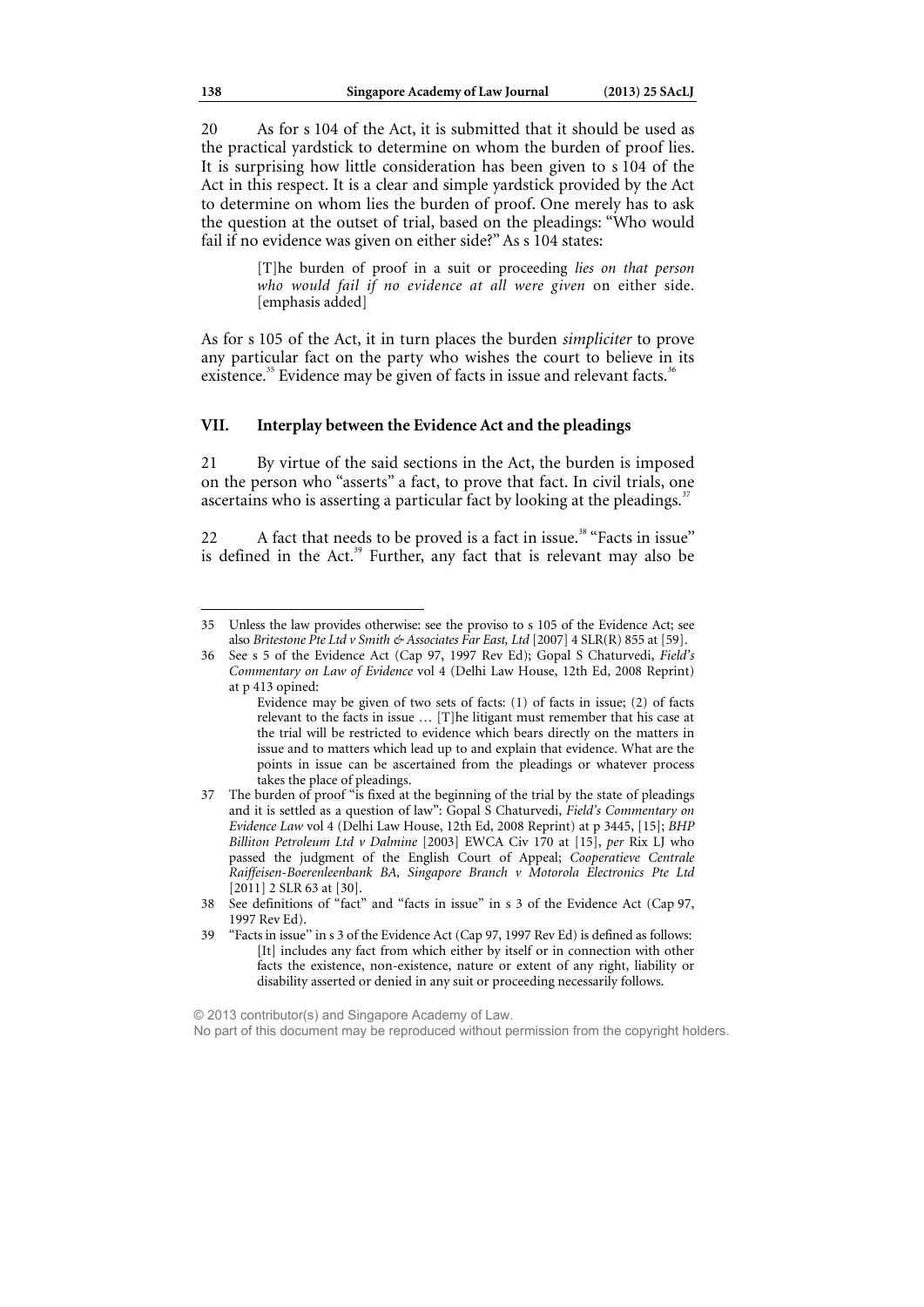20 As for s 104 of the Act, it is submitted that it should be used as the practical yardstick to determine on whom the burden of proof lies. It is surprising how little consideration has been given to s 104 of the Act in this respect. It is a clear and simple yardstick provided by the Act to determine on whom lies the burden of proof. One merely has to ask the question at the outset of trial, based on the pleadings: "Who would fail if no evidence was given on either side?" As s 104 states:

> [T]he burden of proof in a suit or proceeding *lies on that person who would fail if no evidence at all were given* on either side. [emphasis added]

As for s 105 of the Act, it in turn places the burden *simpliciter* to prove any particular fact on the party who wishes the court to believe in its existence.<sup>35</sup> Evidence may be given of facts in issue and relevant facts.<sup>36</sup>

### **VII. Interplay between the Evidence Act and the pleadings**

21 By virtue of the said sections in the Act, the burden is imposed on the person who "asserts" a fact, to prove that fact. In civil trials, one ascertains who is asserting a particular fact by looking at the pleadings.<sup>37</sup>

22 A fact that needs to be proved is a fact in issue.<sup>38</sup> "Facts in issue" is defined in the Act.<sup>39</sup> Further, any fact that is relevant may also be

© 2013 contributor(s) and Singapore Academy of Law.

<sup>35</sup> Unless the law provides otherwise: see the proviso to s 105 of the Evidence Act; see also *Britestone Pte Ltd v Smith & Associates Far East, Ltd* [2007] 4 SLR(R) 855 at [59].

<sup>36</sup> See s 5 of the Evidence Act (Cap 97, 1997 Rev Ed); Gopal S Chaturvedi, *Field's Commentary on Law of Evidence* vol 4 (Delhi Law House, 12th Ed, 2008 Reprint) at p 413 opined:

Evidence may be given of two sets of facts: (1) of facts in issue; (2) of facts relevant to the facts in issue … [T]he litigant must remember that his case at the trial will be restricted to evidence which bears directly on the matters in issue and to matters which lead up to and explain that evidence. What are the points in issue can be ascertained from the pleadings or whatever process takes the place of pleadings.

<sup>37</sup> The burden of proof "is fixed at the beginning of the trial by the state of pleadings and it is settled as a question of law": Gopal S Chaturvedi, *Field's Commentary on Evidence Law* vol 4 (Delhi Law House, 12th Ed, 2008 Reprint) at p 3445, [15]; *BHP Billiton Petroleum Ltd v Dalmine* [2003] EWCA Civ 170 at [15], *per* Rix LJ who passed the judgment of the English Court of Appeal; *Cooperatieve Centrale Raiffeisen-Boerenleenbank BA, Singapore Branch v Motorola Electronics Pte Ltd*  [2011] 2 SLR 63 at [30].

<sup>38</sup> See definitions of "fact" and "facts in issue" in s 3 of the Evidence Act (Cap 97, 1997 Rev Ed).

<sup>39 &</sup>quot;Facts in issue'' in s 3 of the Evidence Act (Cap 97, 1997 Rev Ed) is defined as follows: [It] includes any fact from which either by itself or in connection with other facts the existence, non-existence, nature or extent of any right, liability or disability asserted or denied in any suit or proceeding necessarily follows.

No part of this document may be reproduced without permission from the copyright holders.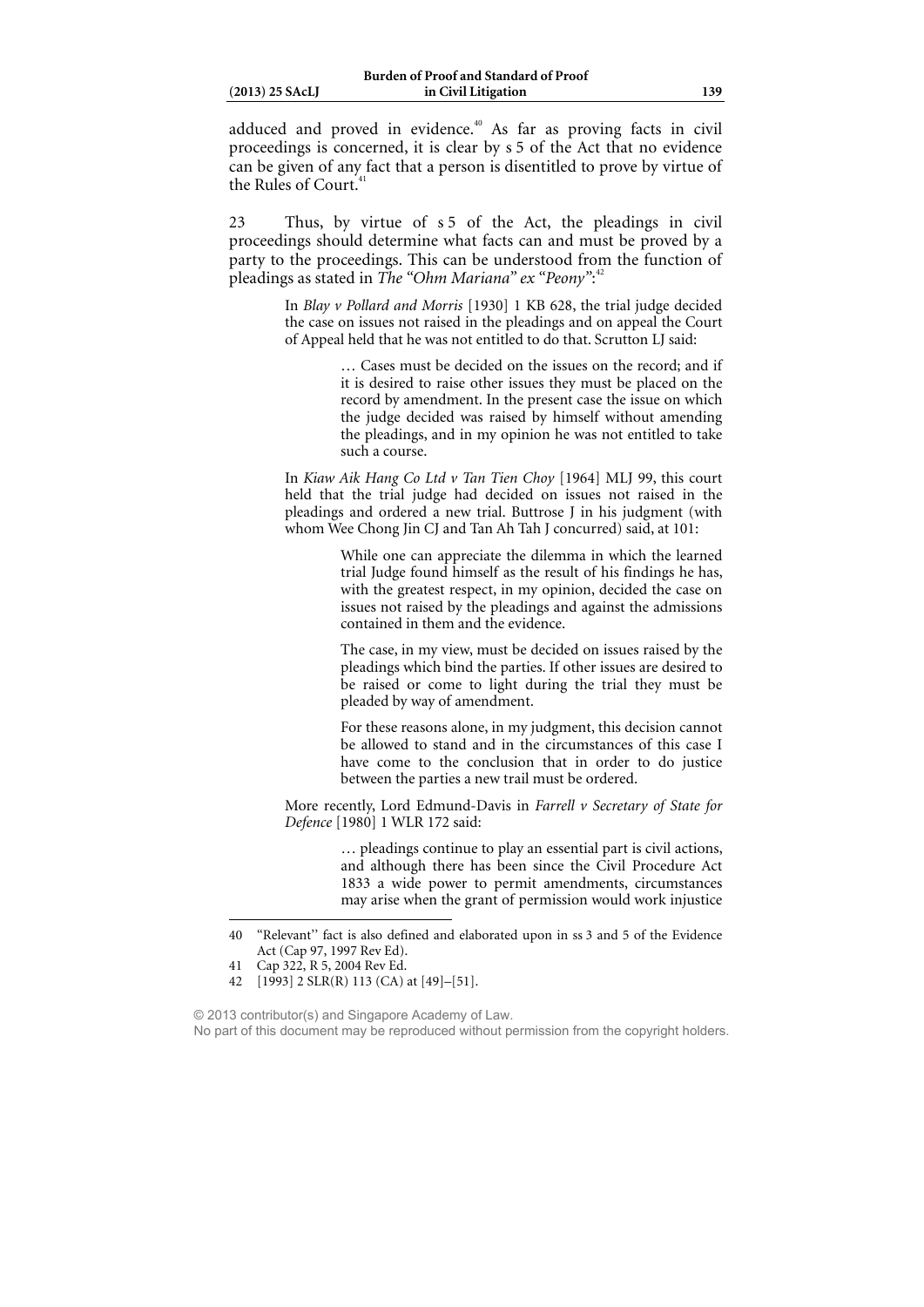|  | $(2013)$ 25 SAcLJ |  |
|--|-------------------|--|
|  |                   |  |

adduced and proved in evidence.<sup>40</sup> As far as proving facts in civil proceedings is concerned, it is clear by s 5 of the Act that no evidence can be given of any fact that a person is disentitled to prove by virtue of the Rules of Court.<sup>4</sup>

23 Thus, by virtue of s 5 of the Act, the pleadings in civil proceedings should determine what facts can and must be proved by a party to the proceedings. This can be understood from the function of pleadings as stated in *The "Ohm Mariana" ex "Peony"*: 42

> In *Blay v Pollard and Morris* [1930] 1 KB 628, the trial judge decided the case on issues not raised in the pleadings and on appeal the Court of Appeal held that he was not entitled to do that. Scrutton LJ said:

> > … Cases must be decided on the issues on the record; and if it is desired to raise other issues they must be placed on the record by amendment. In the present case the issue on which the judge decided was raised by himself without amending the pleadings, and in my opinion he was not entitled to take such a course.

In *Kiaw Aik Hang Co Ltd v Tan Tien Choy* [1964] MLJ 99, this court held that the trial judge had decided on issues not raised in the pleadings and ordered a new trial. Buttrose J in his judgment (with whom Wee Chong Jin CJ and Tan Ah Tah J concurred) said, at 101:

> While one can appreciate the dilemma in which the learned trial Judge found himself as the result of his findings he has, with the greatest respect, in my opinion, decided the case on issues not raised by the pleadings and against the admissions contained in them and the evidence.

> The case, in my view, must be decided on issues raised by the pleadings which bind the parties. If other issues are desired to be raised or come to light during the trial they must be pleaded by way of amendment.

> For these reasons alone, in my judgment, this decision cannot be allowed to stand and in the circumstances of this case I have come to the conclusion that in order to do justice between the parties a new trail must be ordered.

More recently, Lord Edmund-Davis in *Farrell v Secretary of State for Defence* [1980] 1 WLR 172 said:

> … pleadings continue to play an essential part is civil actions, and although there has been since the Civil Procedure Act 1833 a wide power to permit amendments, circumstances may arise when the grant of permission would work injustice

<sup>40 &</sup>quot;Relevant'' fact is also defined and elaborated upon in ss 3 and 5 of the Evidence Act (Cap 97, 1997 Rev Ed).

<sup>41</sup> Cap 322, R 5, 2004 Rev Ed.

<sup>42 [1993] 2</sup> SLR(R) 113 (CA) at [49]–[51].

<sup>© 2013</sup> contributor(s) and Singapore Academy of Law. No part of this document may be reproduced without permission from the copyright holders.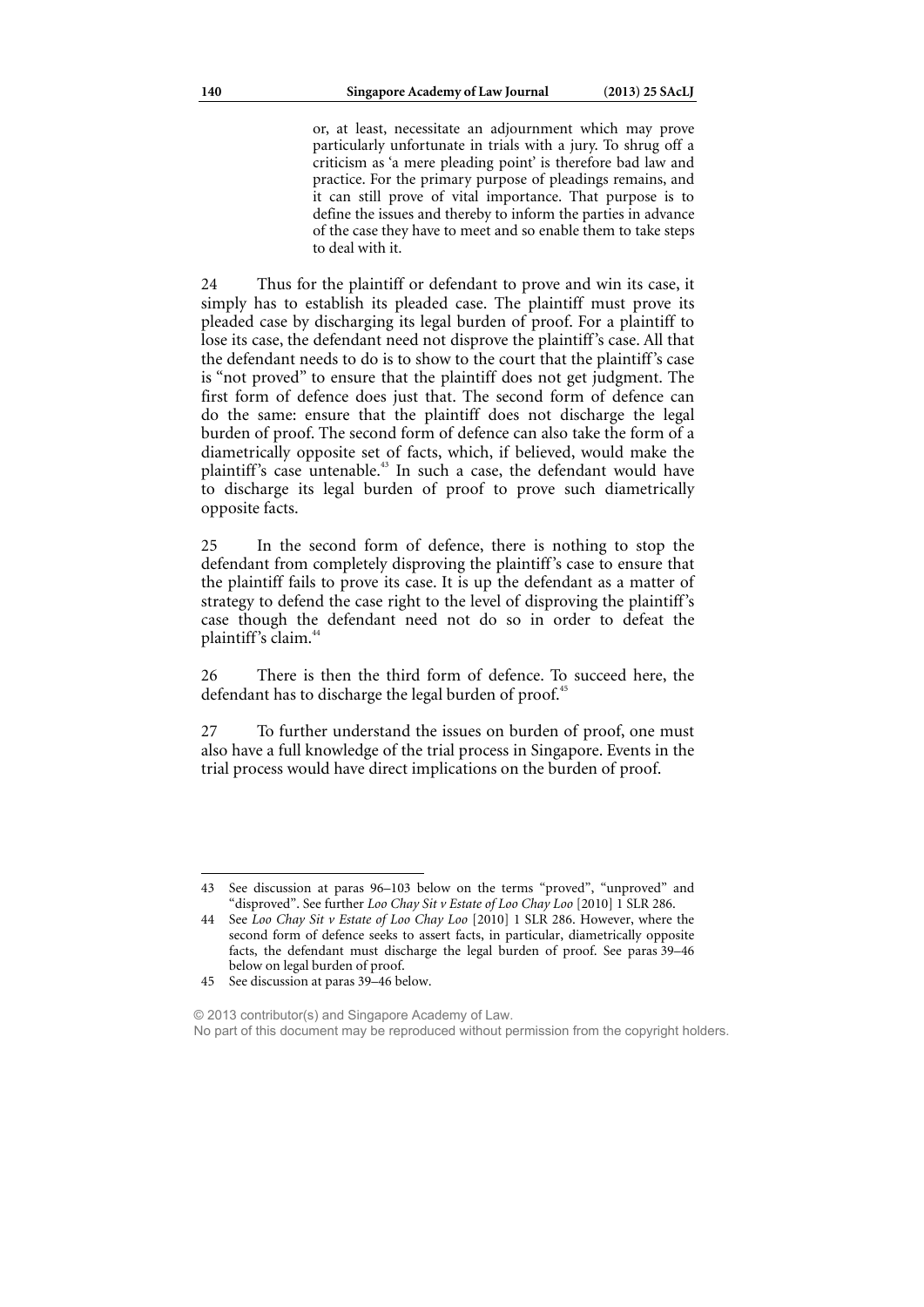or, at least, necessitate an adjournment which may prove particularly unfortunate in trials with a jury. To shrug off a criticism as 'a mere pleading point' is therefore bad law and practice. For the primary purpose of pleadings remains, and it can still prove of vital importance. That purpose is to define the issues and thereby to inform the parties in advance of the case they have to meet and so enable them to take steps to deal with it.

24 Thus for the plaintiff or defendant to prove and win its case, it simply has to establish its pleaded case. The plaintiff must prove its pleaded case by discharging its legal burden of proof. For a plaintiff to lose its case, the defendant need not disprove the plaintiff's case. All that the defendant needs to do is to show to the court that the plaintiff's case is "not proved" to ensure that the plaintiff does not get judgment. The first form of defence does just that. The second form of defence can do the same: ensure that the plaintiff does not discharge the legal burden of proof. The second form of defence can also take the form of a diametrically opposite set of facts, which, if believed, would make the plaintiff's case untenable.<sup>43</sup> In such a case, the defendant would have to discharge its legal burden of proof to prove such diametrically opposite facts.

25 In the second form of defence, there is nothing to stop the defendant from completely disproving the plaintiff's case to ensure that the plaintiff fails to prove its case. It is up the defendant as a matter of strategy to defend the case right to the level of disproving the plaintiff's case though the defendant need not do so in order to defeat the plaintiff's claim.<sup>44</sup>

26 There is then the third form of defence. To succeed here, the defendant has to discharge the legal burden of proof.<sup>45</sup>

27 To further understand the issues on burden of proof, one must also have a full knowledge of the trial process in Singapore. Events in the trial process would have direct implications on the burden of proof.

<sup>43</sup> See discussion at paras 96–103 below on the terms "proved", "unproved" and "disproved". See further *Loo Chay Sit v Estate of Loo Chay Loo* [2010] 1 SLR 286.

See *Loo Chay Sit v Estate of Loo Chay Loo* [2010] 1 SLR 286. However, where the second form of defence seeks to assert facts, in particular, diametrically opposite facts, the defendant must discharge the legal burden of proof. See paras 39–46 below on legal burden of proof.

<sup>45</sup> See discussion at paras 39–46 below.

<sup>© 2013</sup> contributor(s) and Singapore Academy of Law. No part of this document may be reproduced without permission from the copyright holders.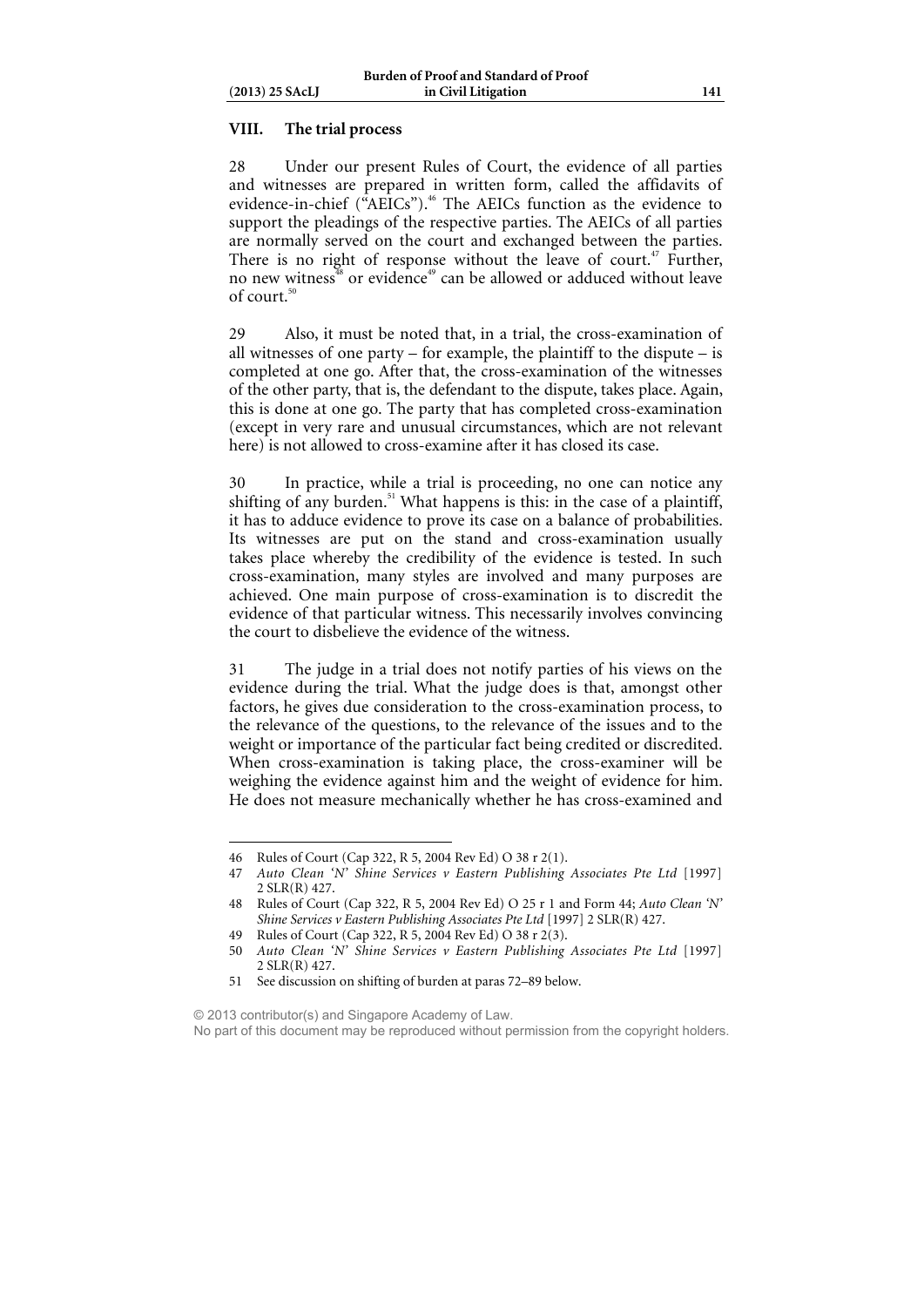### **VIII. The trial process**

28 Under our present Rules of Court, the evidence of all parties and witnesses are prepared in written form, called the affidavits of evidence-in-chief ("AEICs").<sup>46</sup> The AEICs function as the evidence to support the pleadings of the respective parties. The AEICs of all parties are normally served on the court and exchanged between the parties. There is no right of response without the leave of court.<sup>47</sup> Further, no new witness<sup>38</sup> or evidence<sup>49</sup> can be allowed or adduced without leave of court.<sup>5</sup>

29 Also, it must be noted that, in a trial, the cross-examination of all witnesses of one party – for example, the plaintiff to the dispute – is completed at one go. After that, the cross-examination of the witnesses of the other party, that is, the defendant to the dispute, takes place. Again, this is done at one go. The party that has completed cross-examination (except in very rare and unusual circumstances, which are not relevant here) is not allowed to cross-examine after it has closed its case.

30 In practice, while a trial is proceeding, no one can notice any shifting of any burden.<sup>51</sup> What happens is this: in the case of a plaintiff, it has to adduce evidence to prove its case on a balance of probabilities. Its witnesses are put on the stand and cross-examination usually takes place whereby the credibility of the evidence is tested. In such cross-examination, many styles are involved and many purposes are achieved. One main purpose of cross-examination is to discredit the evidence of that particular witness. This necessarily involves convincing the court to disbelieve the evidence of the witness.

31 The judge in a trial does not notify parties of his views on the evidence during the trial. What the judge does is that, amongst other factors, he gives due consideration to the cross-examination process, to the relevance of the questions, to the relevance of the issues and to the weight or importance of the particular fact being credited or discredited. When cross-examination is taking place, the cross-examiner will be weighing the evidence against him and the weight of evidence for him. He does not measure mechanically whether he has cross-examined and

 $\overline{a}$ 

© 2013 contributor(s) and Singapore Academy of Law. No part of this document may be reproduced without permission from the copyright holders.

<sup>46</sup> Rules of Court (Cap 322, R 5, 2004 Rev Ed) O 38 r 2(1).

<sup>47</sup> *Auto Clean 'N' Shine Services v Eastern Publishing Associates Pte Ltd* [1997] 2 SLR(R) 427.

<sup>48</sup> Rules of Court (Cap 322, R 5, 2004 Rev Ed) O 25 r 1 and Form 44; *Auto Clean 'N' Shine Services v Eastern Publishing Associates Pte Ltd* [1997] 2 SLR(R) 427.

<sup>49</sup> Rules of Court (Cap 322, R 5, 2004 Rev Ed) O 38 r 2(3).

<sup>50</sup> *Auto Clean 'N' Shine Services v Eastern Publishing Associates Pte Ltd* [1997] 2 SLR(R) 427.

<sup>51</sup> See discussion on shifting of burden at paras 72–89 below.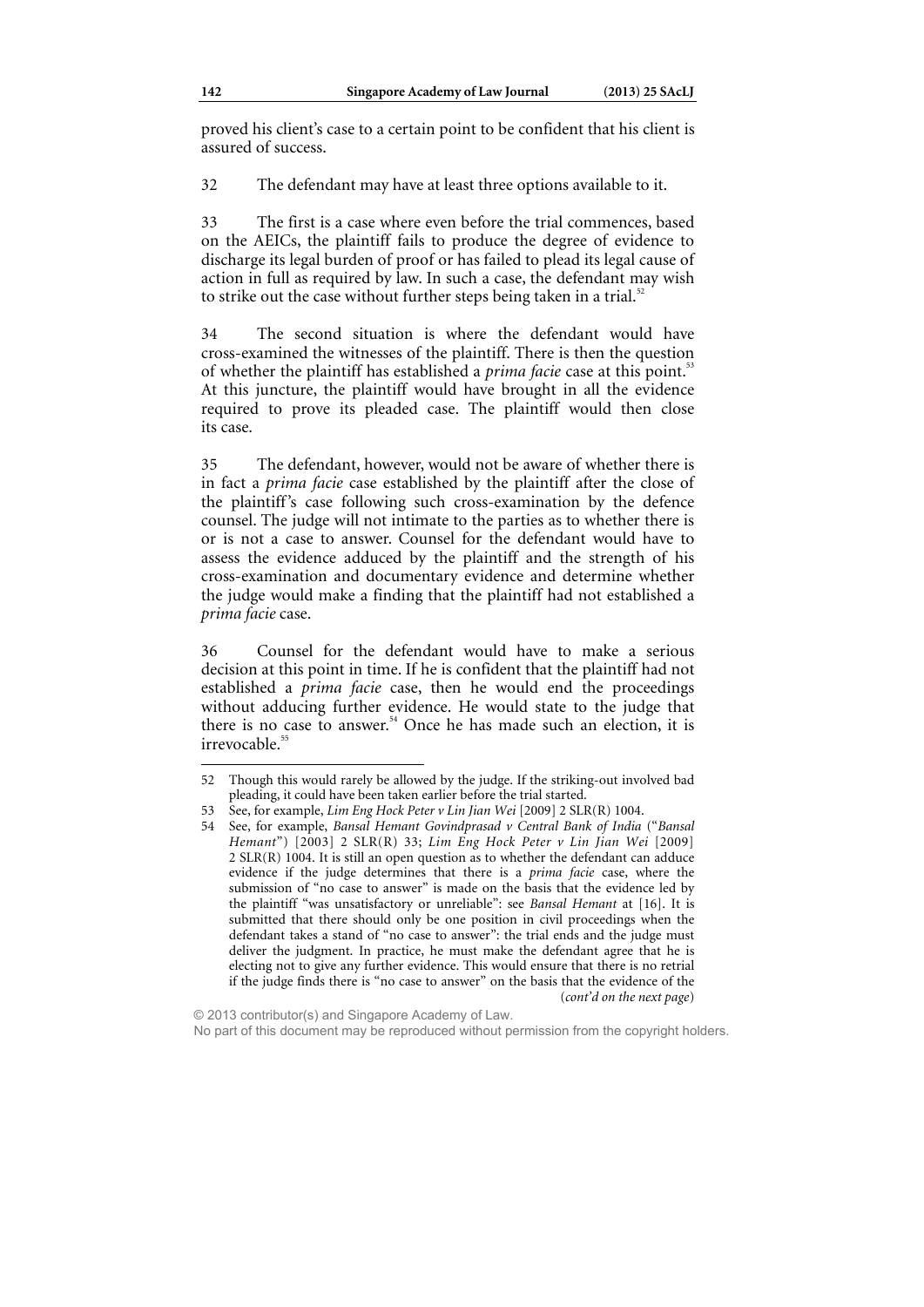proved his client's case to a certain point to be confident that his client is assured of success.

32 The defendant may have at least three options available to it.

33 The first is a case where even before the trial commences, based on the AEICs, the plaintiff fails to produce the degree of evidence to discharge its legal burden of proof or has failed to plead its legal cause of action in full as required by law. In such a case, the defendant may wish to strike out the case without further steps being taken in a trial.<sup>5</sup>

34 The second situation is where the defendant would have cross-examined the witnesses of the plaintiff. There is then the question of whether the plaintiff has established a *prima facie* case at this point.<sup>53</sup> At this juncture, the plaintiff would have brought in all the evidence required to prove its pleaded case. The plaintiff would then close its case.

35 The defendant, however, would not be aware of whether there is in fact a *prima facie* case established by the plaintiff after the close of the plaintiff's case following such cross-examination by the defence counsel. The judge will not intimate to the parties as to whether there is or is not a case to answer. Counsel for the defendant would have to assess the evidence adduced by the plaintiff and the strength of his cross-examination and documentary evidence and determine whether the judge would make a finding that the plaintiff had not established a *prima facie* case.

36 Counsel for the defendant would have to make a serious decision at this point in time. If he is confident that the plaintiff had not established a *prima facie* case, then he would end the proceedings without adducing further evidence. He would state to the judge that there is no case to answer.<sup>54</sup> Once he has made such an election, it is irrevocable.<sup>55</sup>

<sup>52</sup> Though this would rarely be allowed by the judge. If the striking-out involved bad pleading, it could have been taken earlier before the trial started.

<sup>53</sup> See, for example, *Lim Eng Hock Peter v Lin Jian Wei* [2009] 2 SLR(R) 1004.

<sup>54</sup> See, for example, *Bansal Hemant Govindprasad v Central Bank of India* ("*Bansal Hemant*") [2003] 2 SLR(R) 33; *Lim Eng Hock Peter v Lin Jian Wei* [2009] 2 SLR(R) 1004. It is still an open question as to whether the defendant can adduce evidence if the judge determines that there is a *prima facie* case, where the submission of "no case to answer" is made on the basis that the evidence led by the plaintiff "was unsatisfactory or unreliable": see *Bansal Hemant* at [16]. It is submitted that there should only be one position in civil proceedings when the defendant takes a stand of "no case to answer": the trial ends and the judge must deliver the judgment. In practice, he must make the defendant agree that he is electing not to give any further evidence. This would ensure that there is no retrial if the judge finds there is "no case to answer" on the basis that the evidence of the (*cont'd on the next page*)

<sup>© 2013</sup> contributor(s) and Singapore Academy of Law. No part of this document may be reproduced without permission from the copyright holders.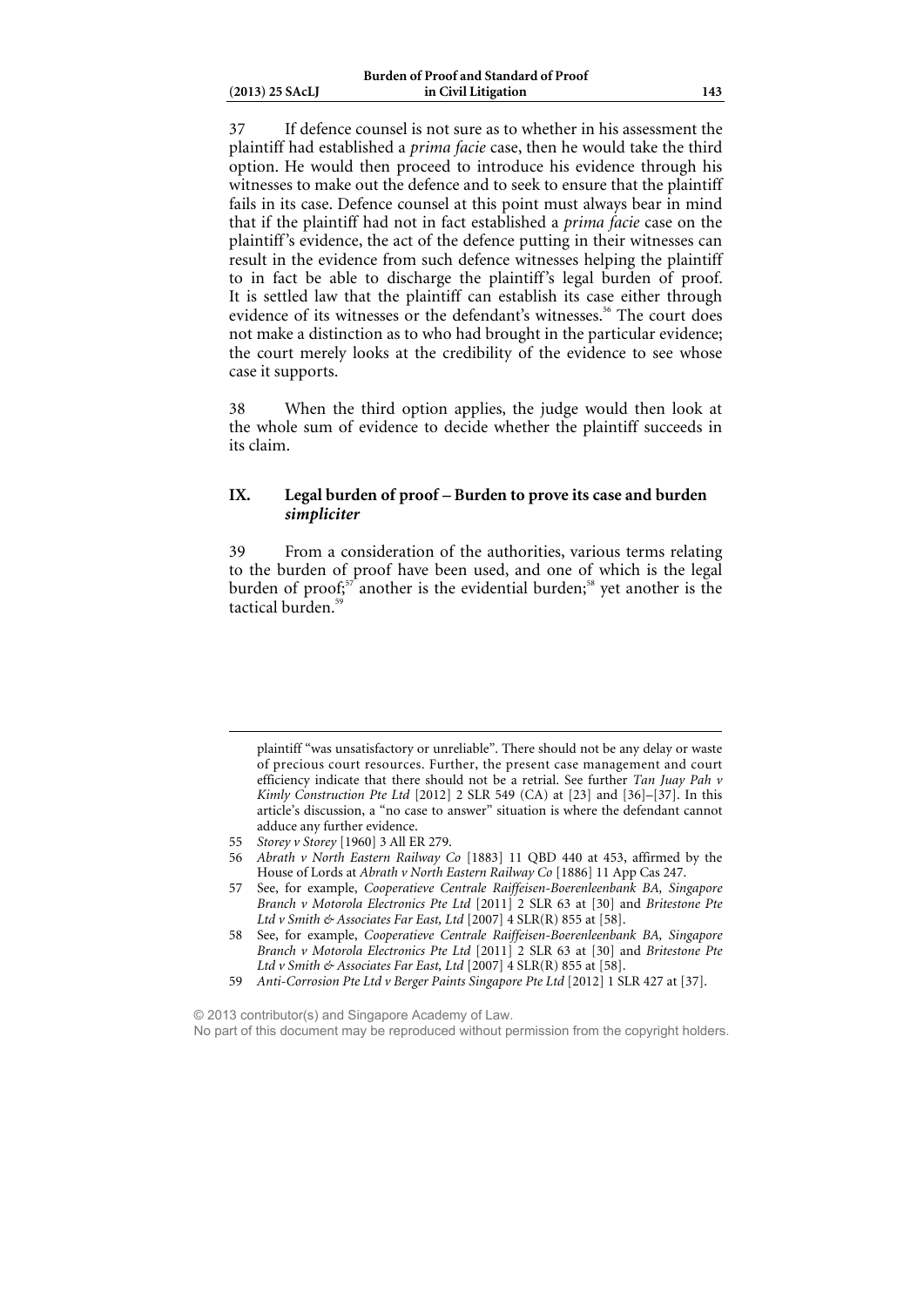37 If defence counsel is not sure as to whether in his assessment the plaintiff had established a *prima facie* case, then he would take the third option. He would then proceed to introduce his evidence through his witnesses to make out the defence and to seek to ensure that the plaintiff fails in its case. Defence counsel at this point must always bear in mind that if the plaintiff had not in fact established a *prima facie* case on the plaintiff's evidence, the act of the defence putting in their witnesses can result in the evidence from such defence witnesses helping the plaintiff to in fact be able to discharge the plaintiff's legal burden of proof. It is settled law that the plaintiff can establish its case either through evidence of its witnesses or the defendant's witnesses.<sup>56</sup> The court does not make a distinction as to who had brought in the particular evidence; the court merely looks at the credibility of the evidence to see whose case it supports.

38 When the third option applies, the judge would then look at the whole sum of evidence to decide whether the plaintiff succeeds in its claim.

## **IX. Legal burden of proof – Burden to prove its case and burden**  *simpliciter*

39 From a consideration of the authorities, various terms relating to the burden of proof have been used, and one of which is the legal burden of proof;<sup>57</sup> another is the evidential burden;<sup>58</sup> yet another is the tactical burden.<sup>5</sup>

- 56 *Abrath v North Eastern Railway Co* [1883] 11 QBD 440 at 453, affirmed by the House of Lords at *Abrath v North Eastern Railway Co* [1886] 11 App Cas 247.
- 57 See, for example, *Cooperatieve Centrale Raiffeisen-Boerenleenbank BA, Singapore Branch v Motorola Electronics Pte Ltd* [2011] 2 SLR 63 at [30] and *Britestone Pte Ltd v Smith & Associates Far East, Ltd* [2007] 4 SLR(R) 855 at [58].

© 2013 contributor(s) and Singapore Academy of Law. No part of this document may be reproduced without permission from the copyright holders.

plaintiff "was unsatisfactory or unreliable". There should not be any delay or waste of precious court resources. Further, the present case management and court efficiency indicate that there should not be a retrial. See further *Tan Juay Pah v Kimly Construction Pte Ltd* [2012] 2 SLR 549 (CA) at [23] and [36]–[37]. In this article's discussion, a "no case to answer" situation is where the defendant cannot adduce any further evidence.

<sup>55</sup> *Storey v Storey* [1960] 3 All ER 279.

<sup>58</sup> See, for example, *Cooperatieve Centrale Raiffeisen-Boerenleenbank BA, Singapore Branch v Motorola Electronics Pte Ltd* [2011] 2 SLR 63 at [30] and *Britestone Pte Ltd v Smith & Associates Far East, Ltd* [2007] 4 SLR(R) 855 at [58].

<sup>59</sup> *Anti-Corrosion Pte Ltd v Berger Paints Singapore Pte Ltd* [2012] 1 SLR 427 at [37].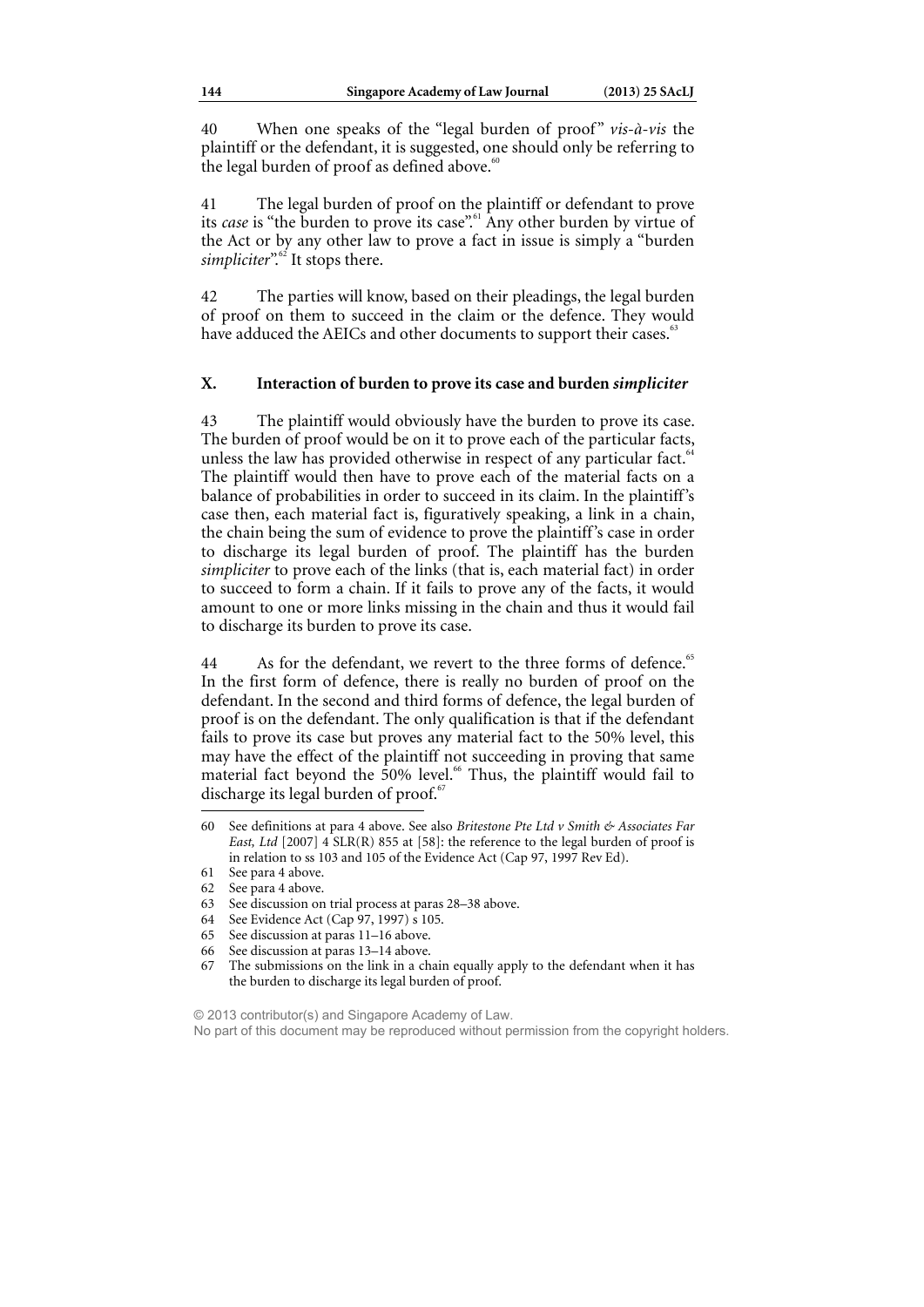40 When one speaks of the "legal burden of proof" *vis-à-vis* the plaintiff or the defendant, it is suggested, one should only be referring to the legal burden of proof as defined above.<sup>60</sup>

41 The legal burden of proof on the plaintiff or defendant to prove its *case* is "the burden to prove its case".<sup>61</sup> Any other burden by virtue of the Act or by any other law to prove a fact in issue is simply a "burden simpliciter".<sup>62</sup> It stops there.

42 The parties will know, based on their pleadings, the legal burden of proof on them to succeed in the claim or the defence. They would have adduced the AEICs and other documents to support their cases.<sup>63</sup>

### **X. Interaction of burden to prove its case and burden** *simpliciter*

43 The plaintiff would obviously have the burden to prove its case. The burden of proof would be on it to prove each of the particular facts, unless the law has provided otherwise in respect of any particular fact.<sup>6</sup> The plaintiff would then have to prove each of the material facts on a balance of probabilities in order to succeed in its claim. In the plaintiff's case then, each material fact is, figuratively speaking, a link in a chain, the chain being the sum of evidence to prove the plaintiff's case in order to discharge its legal burden of proof. The plaintiff has the burden *simpliciter* to prove each of the links (that is, each material fact) in order to succeed to form a chain. If it fails to prove any of the facts, it would amount to one or more links missing in the chain and thus it would fail to discharge its burden to prove its case.

44 As for the defendant, we revert to the three forms of defence.<sup>65</sup> In the first form of defence, there is really no burden of proof on the defendant. In the second and third forms of defence, the legal burden of proof is on the defendant. The only qualification is that if the defendant fails to prove its case but proves any material fact to the 50% level, this may have the effect of the plaintiff not succeeding in proving that same material fact beyond the 50% level.<sup>66</sup> Thus, the plaintiff would fail to discharge its legal burden of proof. $65$ 

 $\overline{a}$ 

- 65 See discussion at paras 11–16 above.
- 66 See discussion at paras 13–14 above.
- 67 The submissions on the link in a chain equally apply to the defendant when it has the burden to discharge its legal burden of proof.

© 2013 contributor(s) and Singapore Academy of Law. No part of this document may be reproduced without permission from the copyright holders.

<sup>60</sup> See definitions at para 4 above. See also *Britestone Pte Ltd v Smith & Associates Far East, Ltd*  $[2007]$   $\overline{4}$  SLR(R) 855 at  $[58]$ : the reference to the legal burden of proof is in relation to ss 103 and 105 of the Evidence Act (Cap 97, 1997 Rev Ed).

<sup>61</sup> See para 4 above.

<sup>62</sup> See para 4 above.

<sup>63</sup> See discussion on trial process at paras 28–38 above.

<sup>64</sup> See Evidence Act (Cap 97, 1997) s 105.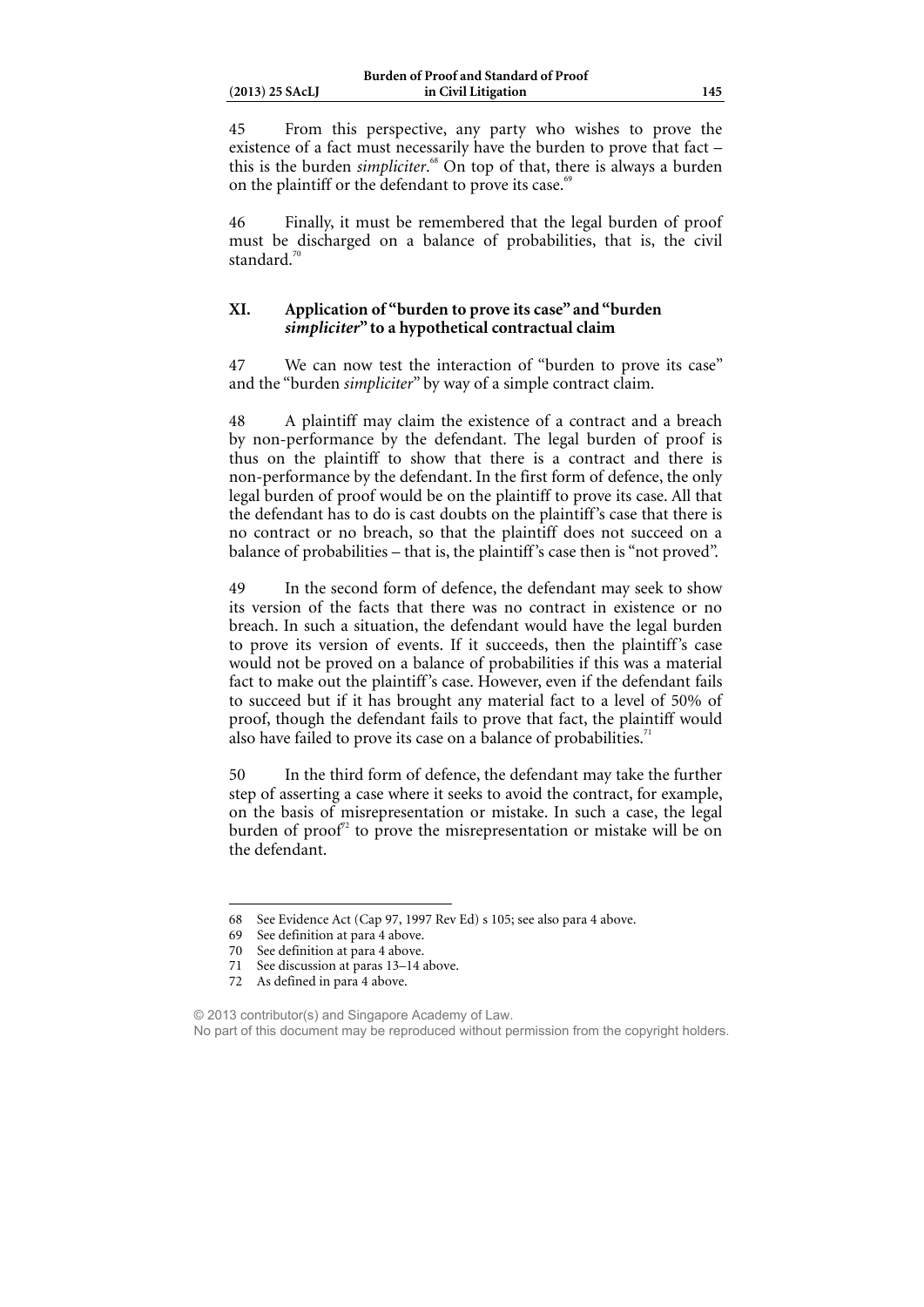45 From this perspective, any party who wishes to prove the existence of a fact must necessarily have the burden to prove that fact – this is the burden *simpliciter*. 68 On top of that, there is always a burden on the plaintiff or the defendant to prove its case.<sup>69</sup>

46 Finally, it must be remembered that the legal burden of proof must be discharged on a balance of probabilities, that is, the civil standard.<sup>7</sup>

### **XI. Application of "burden to prove its case" and "burden**  *simpliciter***" to a hypothetical contractual claim**

47 We can now test the interaction of "burden to prove its case" and the "burden *simpliciter*" by way of a simple contract claim.

48 A plaintiff may claim the existence of a contract and a breach by non-performance by the defendant. The legal burden of proof is thus on the plaintiff to show that there is a contract and there is non-performance by the defendant. In the first form of defence, the only legal burden of proof would be on the plaintiff to prove its case. All that the defendant has to do is cast doubts on the plaintiff's case that there is no contract or no breach, so that the plaintiff does not succeed on a balance of probabilities – that is, the plaintiff's case then is "not proved".

49 In the second form of defence, the defendant may seek to show its version of the facts that there was no contract in existence or no breach. In such a situation, the defendant would have the legal burden to prove its version of events. If it succeeds, then the plaintiff's case would not be proved on a balance of probabilities if this was a material fact to make out the plaintiff's case. However, even if the defendant fails to succeed but if it has brought any material fact to a level of 50% of proof, though the defendant fails to prove that fact, the plaintiff would also have failed to prove its case on a balance of probabilities.<sup>71</sup>

50 In the third form of defence, the defendant may take the further step of asserting a case where it seeks to avoid the contract, for example, on the basis of misrepresentation or mistake. In such a case, the legal burden of proof<sup> $2$ </sup> to prove the misrepresentation or mistake will be on the defendant.

<sup>68</sup> See Evidence Act (Cap 97, 1997 Rev Ed) s 105; see also para 4 above.

<sup>69</sup> See definition at para 4 above.

<sup>70</sup> See definition at para 4 above.

<sup>71</sup> See discussion at paras 13–14 above.

<sup>72</sup> As defined in para 4 above.

<sup>© 2013</sup> contributor(s) and Singapore Academy of Law. No part of this document may be reproduced without permission from the copyright holders.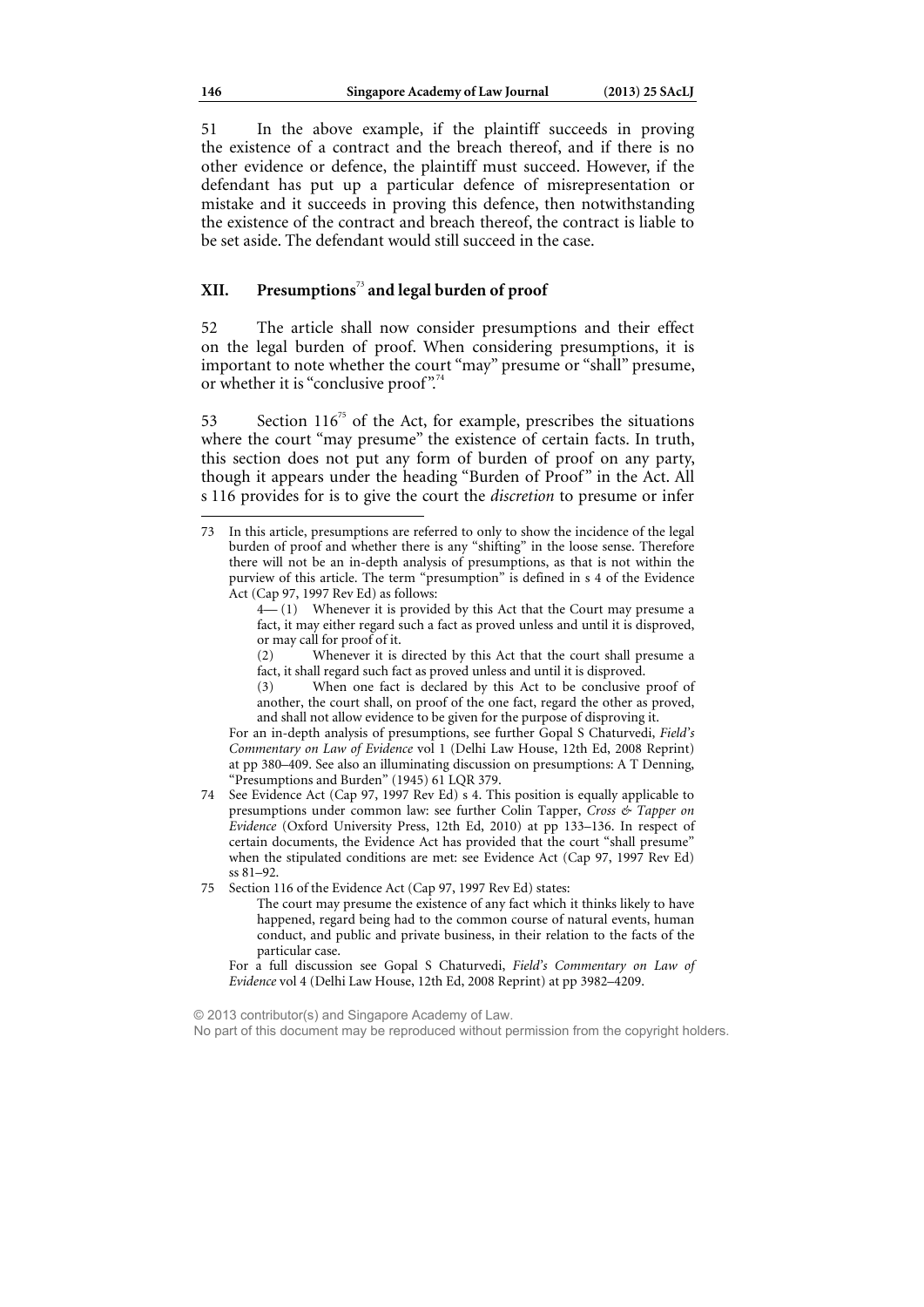51 In the above example, if the plaintiff succeeds in proving the existence of a contract and the breach thereof, and if there is no other evidence or defence, the plaintiff must succeed. However, if the defendant has put up a particular defence of misrepresentation or mistake and it succeeds in proving this defence, then notwithstanding the existence of the contract and breach thereof, the contract is liable to be set aside. The defendant would still succeed in the case.

## **XII. Presumptions**<sup>73</sup> **and legal burden of proof**

52 The article shall now consider presumptions and their effect on the legal burden of proof. When considering presumptions, it is important to note whether the court "may" presume or "shall" presume, or whether it is "conclusive proof".<sup>74</sup>

53 Section  $116^{75}$  of the Act, for example, prescribes the situations where the court "may presume" the existence of certain facts. In truth, this section does not put any form of burden of proof on any party, though it appears under the heading "Burden of Proof" in the Act. All s 116 provides for is to give the court the *discretion* to presume or infer

For an in-depth analysis of presumptions, see further Gopal S Chaturvedi, *Field's Commentary on Law of Evidence* vol 1 (Delhi Law House, 12th Ed, 2008 Reprint) at pp 380–409. See also an illuminating discussion on presumptions: A T Denning, "Presumptions and Burden" (1945) 61 LQR 379.

- 74 See Evidence Act (Cap 97, 1997 Rev Ed) s 4. This position is equally applicable to presumptions under common law: see further Colin Tapper, *Cross & Tapper on Evidence* (Oxford University Press, 12th Ed, 2010) at pp 133–136. In respect of certain documents, the Evidence Act has provided that the court "shall presume" when the stipulated conditions are met: see Evidence Act (Cap 97, 1997 Rev Ed) ss 81–92.
- 75 Section 116 of the Evidence Act (Cap 97, 1997 Rev Ed) states:
	- The court may presume the existence of any fact which it thinks likely to have happened, regard being had to the common course of natural events, human conduct, and public and private business, in their relation to the facts of the particular case.

For a full discussion see Gopal S Chaturvedi, *Field's Commentary on Law of Evidence* vol 4 (Delhi Law House, 12th Ed, 2008 Reprint) at pp 3982–4209.

© 2013 contributor(s) and Singapore Academy of Law.

<sup>73</sup> In this article, presumptions are referred to only to show the incidence of the legal burden of proof and whether there is any "shifting" in the loose sense. Therefore there will not be an in-depth analysis of presumptions, as that is not within the purview of this article. The term "presumption" is defined in s 4 of the Evidence Act (Cap 97, 1997 Rev Ed) as follows:

 $-(1)$  Whenever it is provided by this Act that the Court may presume a fact, it may either regard such a fact as proved unless and until it is disproved, or may call for proof of it.

<sup>(2)</sup> Whenever it is directed by this Act that the court shall presume a fact, it shall regard such fact as proved unless and until it is disproved.

<sup>(3)</sup> When one fact is declared by this Act to be conclusive proof of another, the court shall, on proof of the one fact, regard the other as proved, and shall not allow evidence to be given for the purpose of disproving it.

No part of this document may be reproduced without permission from the copyright holders.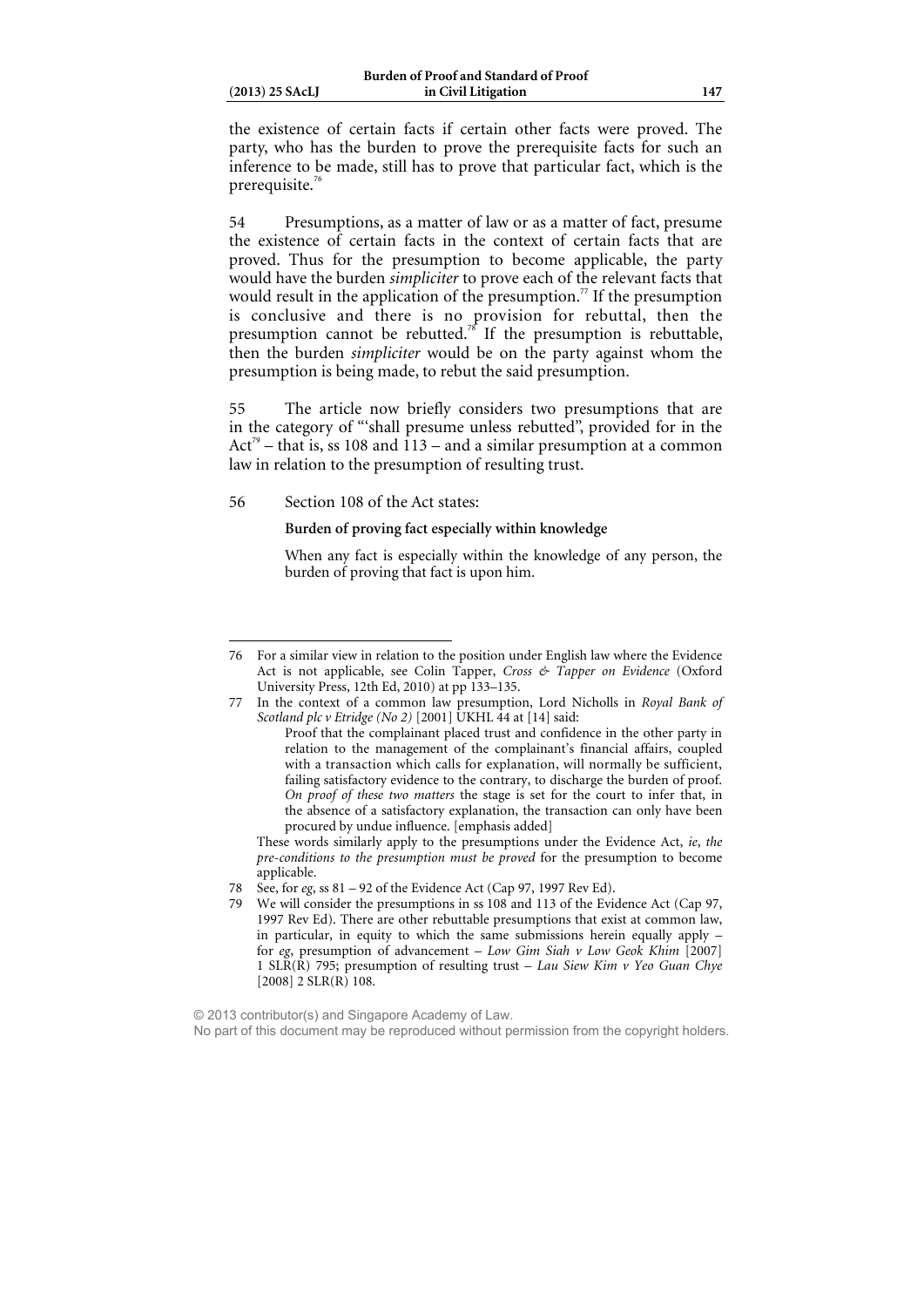| $(2013)$ 25 SAcLJ |  |  |
|-------------------|--|--|

ֺ

the existence of certain facts if certain other facts were proved. The party, who has the burden to prove the prerequisite facts for such an inference to be made, still has to prove that particular fact, which is the prerequisite. $76$ 

54 Presumptions, as a matter of law or as a matter of fact, presume the existence of certain facts in the context of certain facts that are proved. Thus for the presumption to become applicable, the party would have the burden *simpliciter* to prove each of the relevant facts that would result in the application of the presumption.<sup>77</sup> If the presumption is conclusive and there is no provision for rebuttal, then the presumption cannot be rebutted.<sup>78</sup> If the presumption is rebuttable, then the burden *simpliciter* would be on the party against whom the presumption is being made, to rebut the said presumption.

55 The article now briefly considers two presumptions that are in the category of "'shall presume unless rebutted", provided for in the Act<sup>79</sup> – that is, ss 108 and 113 – and a similar presumption at a common law in relation to the presumption of resulting trust.

#### 56 Section 108 of the Act states:

#### **Burden of proving fact especially within knowledge**

When any fact is especially within the knowledge of any person, the burden of proving that fact is upon him.

These words similarly apply to the presumptions under the Evidence Act, *ie*, *the pre-conditions to the presumption must be proved* for the presumption to become applicable.

© 2013 contributor(s) and Singapore Academy of Law. No part of this document may be reproduced without permission from the copyright holders.

<sup>76</sup> For a similar view in relation to the position under English law where the Evidence Act is not applicable, see Colin Tapper, *Cross & Tapper on Evidence* (Oxford University Press, 12th Ed, 2010) at pp 133–135.

<sup>77</sup> In the context of a common law presumption, Lord Nicholls in *Royal Bank of Scotland plc v Etridge (No 2)* [2001] UKHL 44 at [14] said:

Proof that the complainant placed trust and confidence in the other party in relation to the management of the complainant's financial affairs, coupled with a transaction which calls for explanation, will normally be sufficient, failing satisfactory evidence to the contrary, to discharge the burden of proof. *On proof of these two matters* the stage is set for the court to infer that, in the absence of a satisfactory explanation, the transaction can only have been procured by undue influence. [emphasis added]

<sup>78</sup> See, for *eg*, ss 81 – 92 of the Evidence Act (Cap 97, 1997 Rev Ed).

<sup>79</sup> We will consider the presumptions in ss 108 and 113 of the Evidence Act (Cap 97, 1997 Rev Ed). There are other rebuttable presumptions that exist at common law, in particular, in equity to which the same submissions herein equally apply – for *eg*, presumption of advancement – *Low Gim Siah v Low Geok Khim* [2007] 1 SLR(R) 795; presumption of resulting trust – *Lau Siew Kim v Yeo Guan Chye*   $[2008]$  2 SLR(R) 108.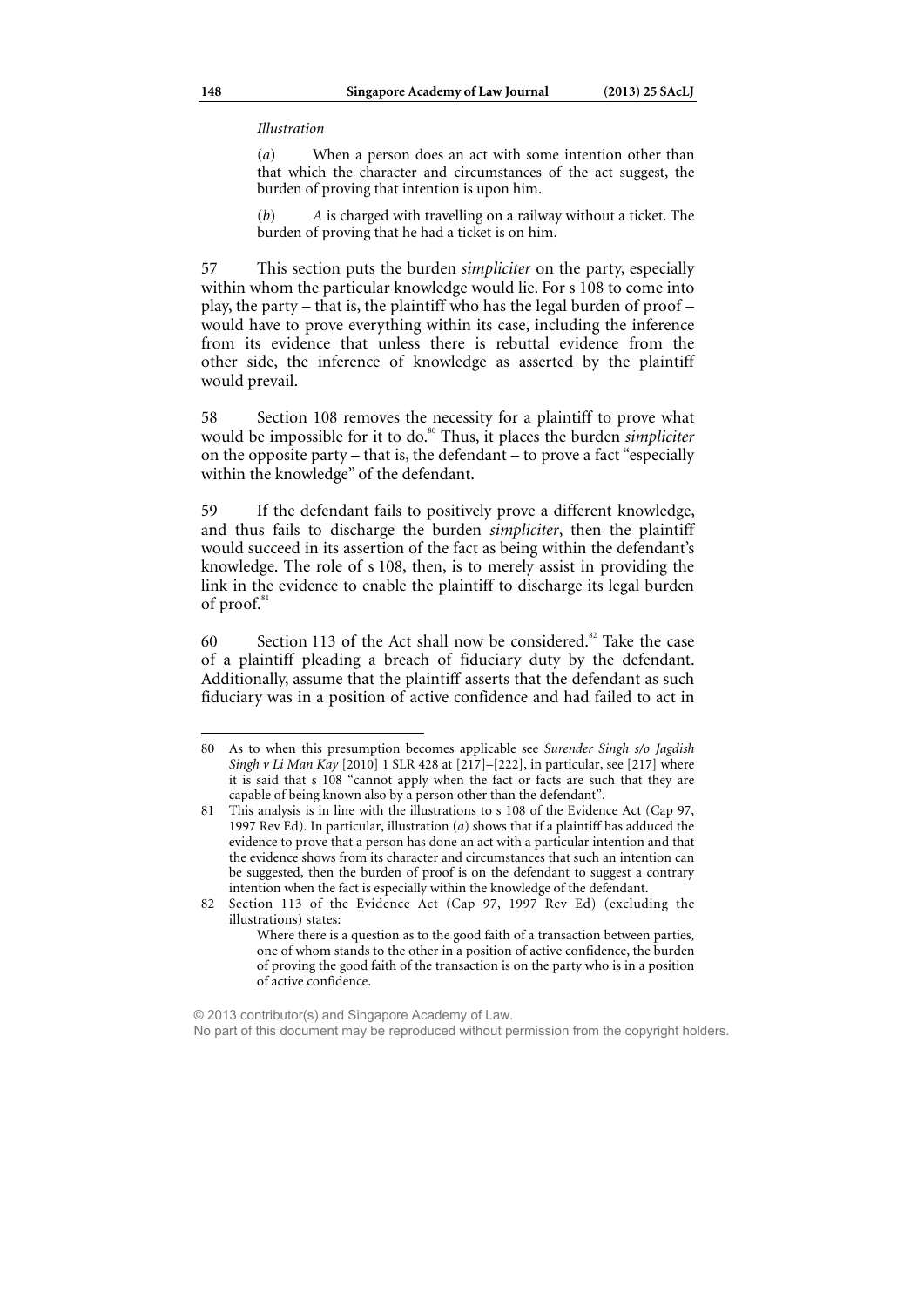*Illustration* 

(*a*) When a person does an act with some intention other than that which the character and circumstances of the act suggest, the burden of proving that intention is upon him.

(*b*) *A* is charged with travelling on a railway without a ticket. The burden of proving that he had a ticket is on him.

57 This section puts the burden *simpliciter* on the party, especially within whom the particular knowledge would lie. For s 108 to come into play, the party – that is, the plaintiff who has the legal burden of proof – would have to prove everything within its case, including the inference from its evidence that unless there is rebuttal evidence from the other side, the inference of knowledge as asserted by the plaintiff would prevail.

58 Section 108 removes the necessity for a plaintiff to prove what would be impossible for it to do.<sup>80</sup> Thus, it places the burden *simpliciter* on the opposite party – that is, the defendant – to prove a fact "especially within the knowledge" of the defendant.

59 If the defendant fails to positively prove a different knowledge, and thus fails to discharge the burden *simpliciter*, then the plaintiff would succeed in its assertion of the fact as being within the defendant's knowledge. The role of s 108, then, is to merely assist in providing the link in the evidence to enable the plaintiff to discharge its legal burden of proof.<sup>81</sup>

60 Section 113 of the Act shall now be considered.<sup>82</sup> Take the case of a plaintiff pleading a breach of fiduciary duty by the defendant. Additionally, assume that the plaintiff asserts that the defendant as such fiduciary was in a position of active confidence and had failed to act in

<sup>80</sup> As to when this presumption becomes applicable see *Surender Singh s/o Jagdish Singh v Li Man Kay* [2010] 1 SLR 428 at [217]–[222], in particular, see [217] where it is said that s 108 "cannot apply when the fact or facts are such that they are capable of being known also by a person other than the defendant".

<sup>81</sup> This analysis is in line with the illustrations to s 108 of the Evidence Act (Cap 97, 1997 Rev Ed). In particular, illustration (*a*) shows that if a plaintiff has adduced the evidence to prove that a person has done an act with a particular intention and that the evidence shows from its character and circumstances that such an intention can be suggested, then the burden of proof is on the defendant to suggest a contrary intention when the fact is especially within the knowledge of the defendant.

<sup>82</sup> Section 113 of the Evidence Act (Cap 97, 1997 Rev Ed) (excluding the illustrations) states:

Where there is a question as to the good faith of a transaction between parties, one of whom stands to the other in a position of active confidence, the burden of proving the good faith of the transaction is on the party who is in a position of active confidence.

<sup>© 2013</sup> contributor(s) and Singapore Academy of Law.

No part of this document may be reproduced without permission from the copyright holders.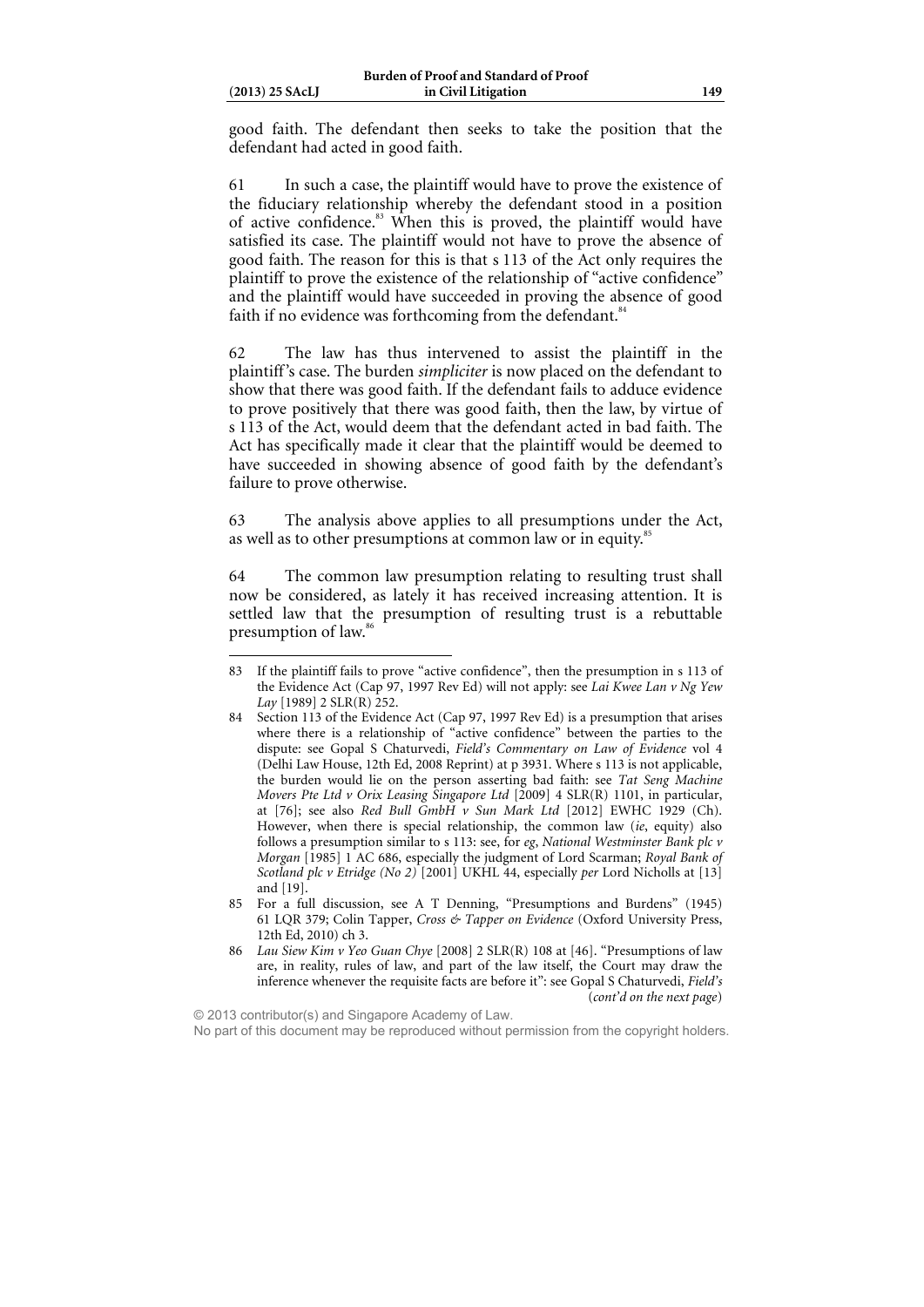$\overline{a}$ 

good faith. The defendant then seeks to take the position that the defendant had acted in good faith.

61 In such a case, the plaintiff would have to prove the existence of the fiduciary relationship whereby the defendant stood in a position of active confidence.<sup>83</sup> When this is proved, the plaintiff would have satisfied its case. The plaintiff would not have to prove the absence of good faith. The reason for this is that s 113 of the Act only requires the plaintiff to prove the existence of the relationship of "active confidence" and the plaintiff would have succeeded in proving the absence of good faith if no evidence was forthcoming from the defendant.<sup>84</sup>

62 The law has thus intervened to assist the plaintiff in the plaintiff's case. The burden *simpliciter* is now placed on the defendant to show that there was good faith. If the defendant fails to adduce evidence to prove positively that there was good faith, then the law, by virtue of s 113 of the Act, would deem that the defendant acted in bad faith. The Act has specifically made it clear that the plaintiff would be deemed to have succeeded in showing absence of good faith by the defendant's failure to prove otherwise.

63 The analysis above applies to all presumptions under the Act, as well as to other presumptions at common law or in equity.<sup>8</sup>

64 The common law presumption relating to resulting trust shall now be considered, as lately it has received increasing attention. It is settled law that the presumption of resulting trust is a rebuttable presumption of law.<sup>86</sup>

85 For a full discussion, see A T Denning, "Presumptions and Burdens" (1945) 61 LQR 379; Colin Tapper, *Cross & Tapper on Evidence* (Oxford University Press, 12th Ed, 2010) ch 3.

© 2013 contributor(s) and Singapore Academy of Law. No part of this document may be reproduced without permission from the copyright holders.

<sup>83</sup> If the plaintiff fails to prove "active confidence", then the presumption in s 113 of the Evidence Act (Cap 97, 1997 Rev Ed) will not apply: see *Lai Kwee Lan v Ng Yew Lay* [1989] 2 SLR(R) 252.

<sup>84</sup> Section 113 of the Evidence Act (Cap 97, 1997 Rev Ed) is a presumption that arises where there is a relationship of "active confidence" between the parties to the dispute: see Gopal S Chaturvedi, *Field's Commentary on Law of Evidence* vol 4 (Delhi Law House, 12th Ed, 2008 Reprint) at p 3931. Where s 113 is not applicable, the burden would lie on the person asserting bad faith: see *Tat Seng Machine Movers Pte Ltd v Orix Leasing Singapore Ltd* [2009] 4 SLR(R) 1101, in particular, at [76]; see also *Red Bull GmbH v Sun Mark Ltd* [2012] EWHC 1929 (Ch). However, when there is special relationship, the common law (*ie*, equity) also follows a presumption similar to s 113: see, for *eg*, *National Westminster Bank plc v Morgan* [1985] 1 AC 686, especially the judgment of Lord Scarman; *Royal Bank of Scotland plc v Etridge (No 2)* [2001] UKHL 44, especially *per* Lord Nicholls at [13] and [19].

<sup>86</sup> *Lau Siew Kim v Yeo Guan Chye* [2008] 2 SLR(R) 108 at [46]. "Presumptions of law are, in reality, rules of law, and part of the law itself, the Court may draw the inference whenever the requisite facts are before it": see Gopal S Chaturvedi, *Field's*  (*cont'd on the next page*)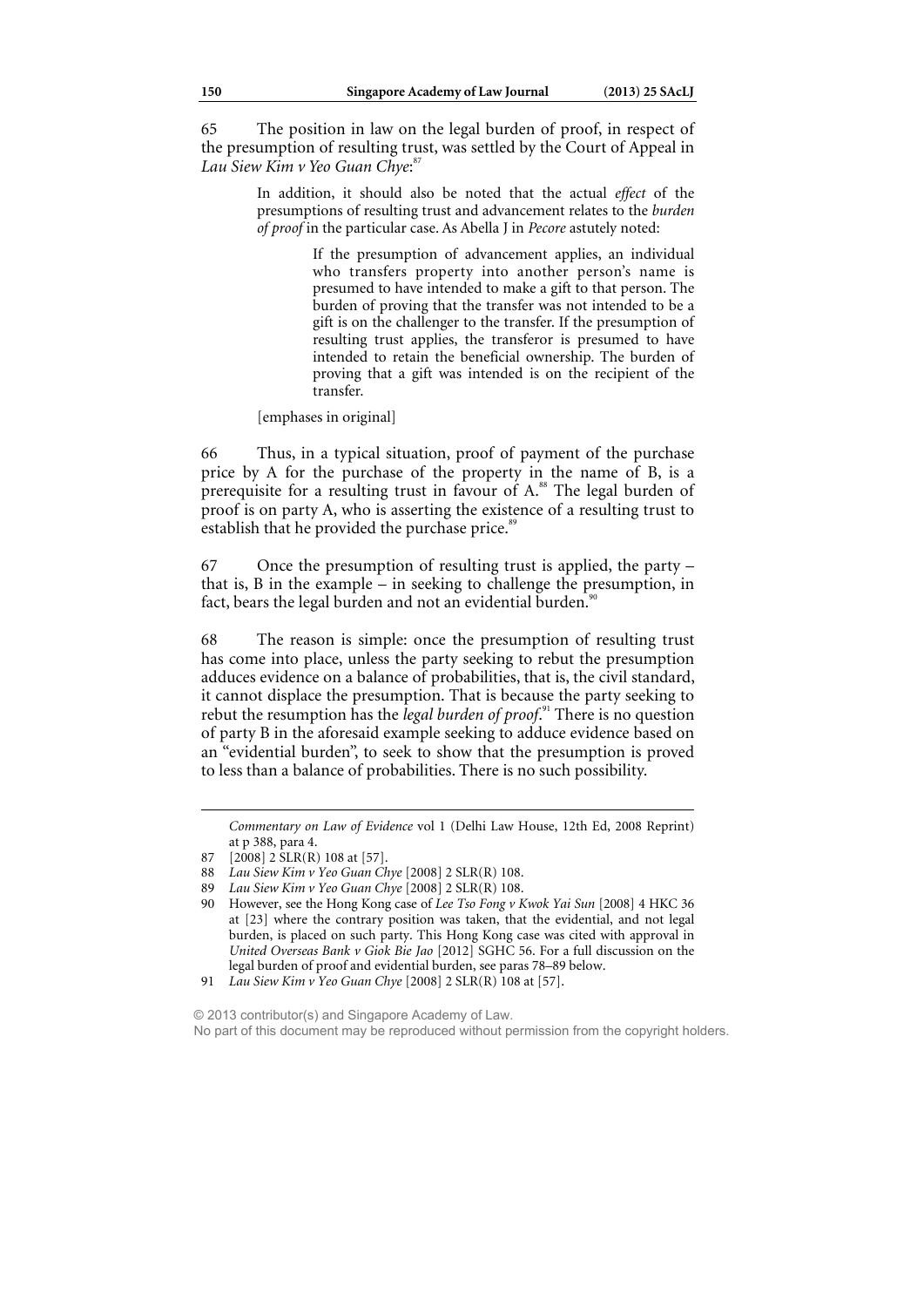65 The position in law on the legal burden of proof, in respect of the presumption of resulting trust, was settled by the Court of Appeal in *Lau Siew Kim v Yeo Guan Chye*: 87

> In addition, it should also be noted that the actual *effect* of the presumptions of resulting trust and advancement relates to the *burden of proof* in the particular case. As Abella J in *Pecore* astutely noted:

> > If the presumption of advancement applies, an individual who transfers property into another person's name is presumed to have intended to make a gift to that person. The burden of proving that the transfer was not intended to be a gift is on the challenger to the transfer. If the presumption of resulting trust applies, the transferor is presumed to have intended to retain the beneficial ownership. The burden of proving that a gift was intended is on the recipient of the transfer.

[emphases in original]

66 Thus, in a typical situation, proof of payment of the purchase price by A for the purchase of the property in the name of B, is a prerequisite for a resulting trust in favour of  $A$ .<sup>88</sup> The legal burden of proof is on party A, who is asserting the existence of a resulting trust to establish that he provided the purchase price.<sup>89</sup>

67 Once the presumption of resulting trust is applied, the party – that is, B in the example – in seeking to challenge the presumption, in fact, bears the legal burden and not an evidential burden.<sup>91</sup>

68 The reason is simple: once the presumption of resulting trust has come into place, unless the party seeking to rebut the presumption adduces evidence on a balance of probabilities, that is, the civil standard, it cannot displace the presumption. That is because the party seeking to rebut the resumption has the *legal burden of proof.*<sup>91</sup> There is no question of party B in the aforesaid example seeking to adduce evidence based on an "evidential burden", to seek to show that the presumption is proved to less than a balance of probabilities. There is no such possibility.

*Commentary on Law of Evidence* vol 1 (Delhi Law House, 12th Ed, 2008 Reprint) at p 388, para 4.

1

© 2013 contributor(s) and Singapore Academy of Law. No part of this document may be reproduced without permission from the copyright holders.

<sup>87 [2008] 2</sup> SLR(R) 108 at [57].

<sup>88</sup> *Lau Siew Kim v Yeo Guan Chye* [2008] 2 SLR(R) 108.

<sup>89</sup> *Lau Siew Kim v Yeo Guan Chye* [2008] 2 SLR(R) 108.

<sup>90</sup> However, see the Hong Kong case of *Lee Tso Fong v Kwok Yai Sun* [2008] 4 HKC 36 at [23] where the contrary position was taken, that the evidential, and not legal burden, is placed on such party. This Hong Kong case was cited with approval in *United Overseas Bank v Giok Bie Jao* [2012] SGHC 56. For a full discussion on the legal burden of proof and evidential burden, see paras 78–89 below.

<sup>91</sup> *Lau Siew Kim v Yeo Guan Chye* [2008] 2 SLR(R) 108 at [57].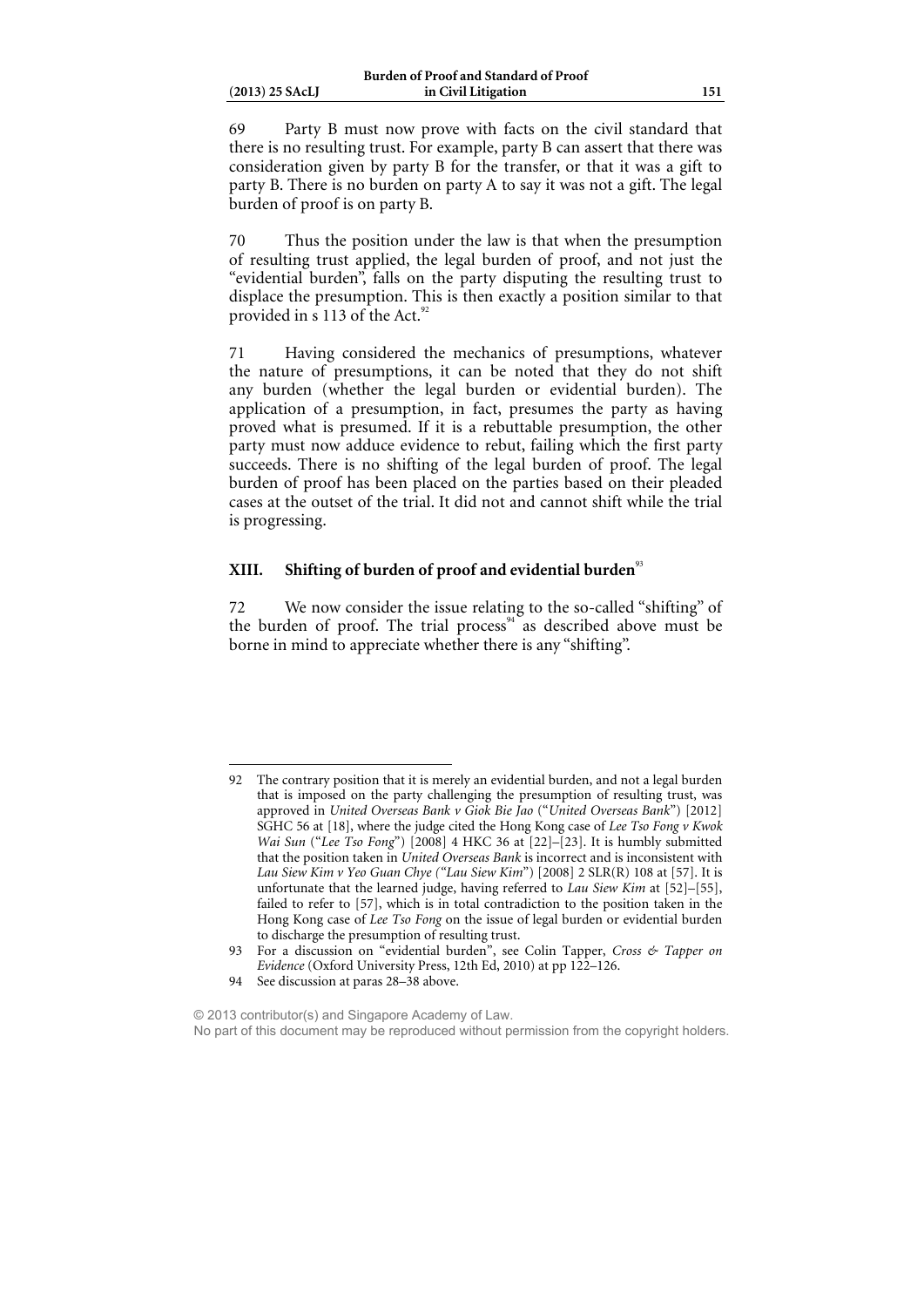69 Party B must now prove with facts on the civil standard that there is no resulting trust. For example, party B can assert that there was consideration given by party B for the transfer, or that it was a gift to party B. There is no burden on party A to say it was not a gift. The legal burden of proof is on party B.

70 Thus the position under the law is that when the presumption of resulting trust applied, the legal burden of proof, and not just the "evidential burden", falls on the party disputing the resulting trust to displace the presumption. This is then exactly a position similar to that provided in s 113 of the Act. $92$ 

71 Having considered the mechanics of presumptions, whatever the nature of presumptions, it can be noted that they do not shift any burden (whether the legal burden or evidential burden). The application of a presumption, in fact, presumes the party as having proved what is presumed. If it is a rebuttable presumption, the other party must now adduce evidence to rebut, failing which the first party succeeds. There is no shifting of the legal burden of proof. The legal burden of proof has been placed on the parties based on their pleaded cases at the outset of the trial. It did not and cannot shift while the trial is progressing.

### **XIII.** Shifting of burden of proof and evidential burden<sup>93</sup>

72 We now consider the issue relating to the so-called "shifting" of the burden of proof. The trial process<sup>94</sup> as described above must be borne in mind to appreciate whether there is any "shifting".

94 See discussion at paras 28–38 above.

<sup>92</sup> The contrary position that it is merely an evidential burden, and not a legal burden that is imposed on the party challenging the presumption of resulting trust, was approved in *United Overseas Bank v Giok Bie Jao* ("*United Overseas Bank*") [2012] SGHC 56 at [18], where the judge cited the Hong Kong case of *Lee Tso Fong v Kwok Wai Sun* ("*Lee Tso Fong*") [2008] 4 HKC 36 at [22]–[23]. It is humbly submitted that the position taken in *United Overseas Bank* is incorrect and is inconsistent with *Lau Siew Kim v Yeo Guan Chye ("Lau Siew Kim*") [2008] 2 SLR(R) 108 at [57]. It is unfortunate that the learned judge, having referred to *Lau Siew Kim* at [52]–[55], failed to refer to [57], which is in total contradiction to the position taken in the Hong Kong case of *Lee Tso Fong* on the issue of legal burden or evidential burden to discharge the presumption of resulting trust.

<sup>93</sup> For a discussion on "evidential burden", see Colin Tapper, *Cross & Tapper on Evidence* (Oxford University Press, 12th Ed, 2010) at pp 122–126.

<sup>© 2013</sup> contributor(s) and Singapore Academy of Law. No part of this document may be reproduced without permission from the copyright holders.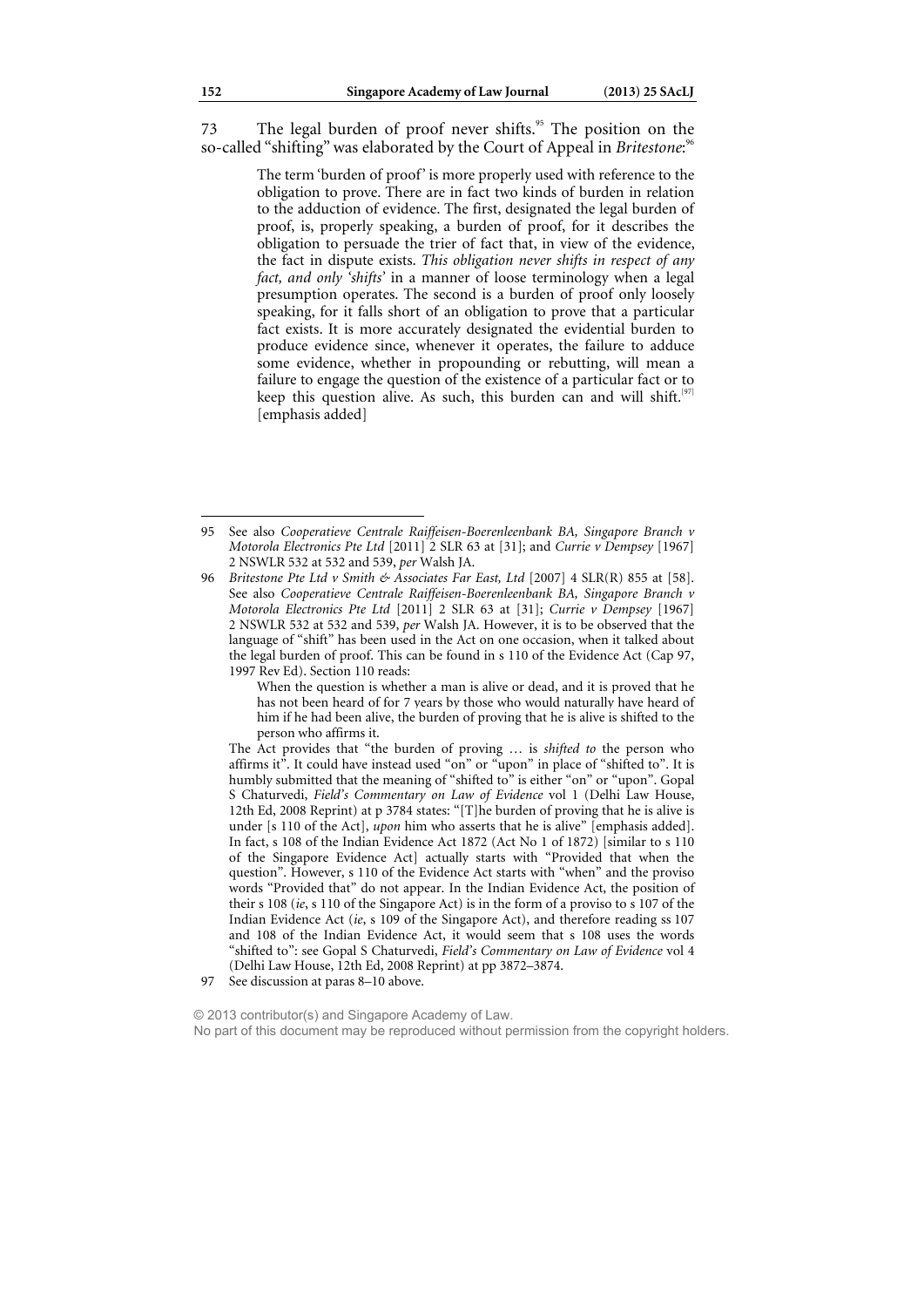73 The legal burden of proof never shifts.<sup>95</sup> The position on the so-called "shifting" was elaborated by the Court of Appeal in *Britestone*:<sup>96</sup>

> The term 'burden of proof' is more properly used with reference to the obligation to prove. There are in fact two kinds of burden in relation to the adduction of evidence. The first, designated the legal burden of proof, is, properly speaking, a burden of proof, for it describes the obligation to persuade the trier of fact that, in view of the evidence, the fact in dispute exists. *This obligation never shifts in respect of any fact, and only 'shifts'* in a manner of loose terminology when a legal presumption operates. The second is a burden of proof only loosely speaking, for it falls short of an obligation to prove that a particular fact exists. It is more accurately designated the evidential burden to produce evidence since, whenever it operates, the failure to adduce some evidence, whether in propounding or rebutting, will mean a failure to engage the question of the existence of a particular fact or to keep this question alive. As such, this burden can and will shift.<sup>[97]</sup> [emphasis added]

<sup>95</sup> See also *Cooperatieve Centrale Raiffeisen-Boerenleenbank BA, Singapore Branch v Motorola Electronics Pte Ltd* [2011] 2 SLR 63 at [31]; and *Currie v Dempsey* [1967] 2 NSWLR 532 at 532 and 539, *per* Walsh JA.

<sup>96</sup> Britestone Pte Ltd v Smith & Associates Far East, Ltd [2007] 4 SLR(R) 855 at [58]. See also *Cooperatieve Centrale Raiffeisen-Boerenleenbank BA, Singapore Branch v Motorola Electronics Pte Ltd* [2011] 2 SLR 63 at [31]; *Currie v Dempsey* [1967] 2 NSWLR 532 at 532 and 539, *per* Walsh JA. However, it is to be observed that the language of "shift" has been used in the Act on one occasion, when it talked about the legal burden of proof. This can be found in s 110 of the Evidence Act (Cap 97, 1997 Rev Ed). Section 110 reads:

When the question is whether a man is alive or dead, and it is proved that he has not been heard of for 7 years by those who would naturally have heard of him if he had been alive, the burden of proving that he is alive is shifted to the person who affirms it.

The Act provides that "the burden of proving … is *shifted to* the person who affirms it". It could have instead used "on" or "upon" in place of "shifted to". It is humbly submitted that the meaning of "shifted to" is either "on" or "upon". Gopal S Chaturvedi, *Field's Commentary on Law of Evidence* vol 1 (Delhi Law House, 12th Ed, 2008 Reprint) at p 3784 states: "[T]he burden of proving that he is alive is under [s 110 of the Act], *upon* him who asserts that he is alive" [emphasis added]. In fact, s 108 of the Indian Evidence Act 1872 (Act No 1 of 1872) [similar to s 110 of the Singapore Evidence Act] actually starts with "Provided that when the question". However, s 110 of the Evidence Act starts with "when" and the proviso words "Provided that" do not appear. In the Indian Evidence Act, the position of their s 108 (*ie*, s 110 of the Singapore Act) is in the form of a proviso to s 107 of the Indian Evidence Act (*ie*, s 109 of the Singapore Act), and therefore reading ss 107 and 108 of the Indian Evidence Act, it would seem that s 108 uses the words "shifted to": see Gopal S Chaturvedi, *Field's Commentary on Law of Evidence* vol 4 (Delhi Law House, 12th Ed, 2008 Reprint) at pp 3872–3874.

<sup>97</sup> See discussion at paras 8–10 above.

<sup>© 2013</sup> contributor(s) and Singapore Academy of Law. No part of this document may be reproduced without permission from the copyright holders.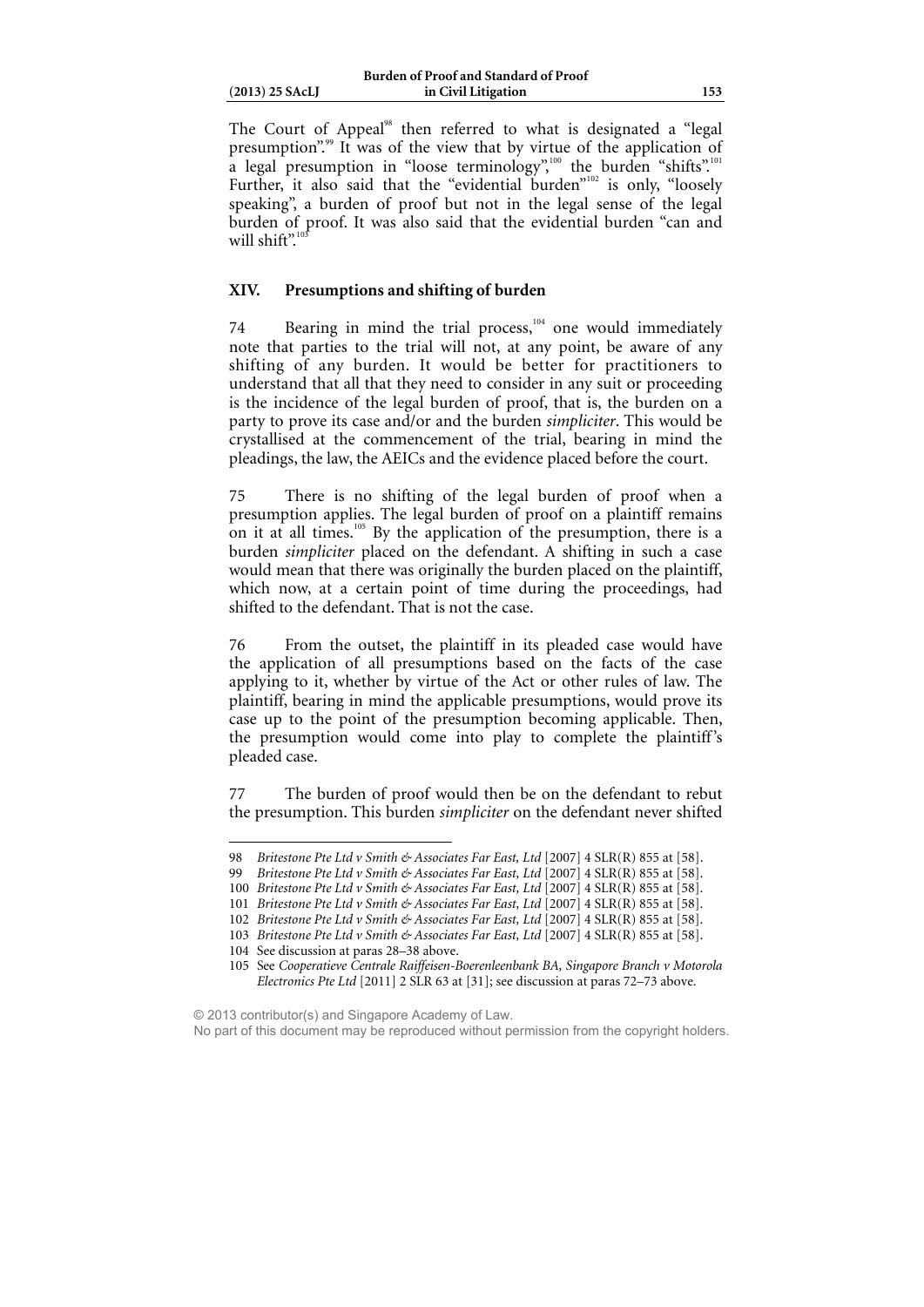| $(2013)$ 25 SAcLJ |  |
|-------------------|--|
|                   |  |

The Court of Appeal<sup>98</sup> then referred to what is designated a "legal" presumption".<sup>99</sup> It was of the view that by virtue of the application of a legal presumption in "loose terminology",<sup>100</sup> the burden "shifts".<sup>101</sup> Further, it also said that the "evidential burden"<sup>102</sup> is only, "loosely speaking", a burden of proof but not in the legal sense of the legal burden of proof. It was also said that the evidential burden "can and will shift".<sup>1</sup>

### **XIV. Presumptions and shifting of burden**

74 Bearing in mind the trial process,<sup>104</sup> one would immediately note that parties to the trial will not, at any point, be aware of any shifting of any burden. It would be better for practitioners to understand that all that they need to consider in any suit or proceeding is the incidence of the legal burden of proof, that is, the burden on a party to prove its case and/or and the burden *simpliciter*. This would be crystallised at the commencement of the trial, bearing in mind the pleadings, the law, the AEICs and the evidence placed before the court.

75 There is no shifting of the legal burden of proof when a presumption applies. The legal burden of proof on a plaintiff remains on it at all times.<sup>105</sup> By the application of the presumption, there is a burden *simpliciter* placed on the defendant. A shifting in such a case would mean that there was originally the burden placed on the plaintiff, which now, at a certain point of time during the proceedings, had shifted to the defendant. That is not the case.

76 From the outset, the plaintiff in its pleaded case would have the application of all presumptions based on the facts of the case applying to it, whether by virtue of the Act or other rules of law. The plaintiff, bearing in mind the applicable presumptions, would prove its case up to the point of the presumption becoming applicable. Then, the presumption would come into play to complete the plaintiff's pleaded case.

77 The burden of proof would then be on the defendant to rebut the presumption. This burden *simpliciter* on the defendant never shifted

 $\overline{a}$ 

© 2013 contributor(s) and Singapore Academy of Law.

<sup>98</sup> Britestone Pte Ltd v Smith & Associates Far East, Ltd [2007] 4 SLR(R) 855 at [58].

<sup>99</sup> Britestone Pte Ltd v Smith & Associates Far East, Ltd [2007] 4 SLR(R) 855 at [58].

<sup>100</sup> *Britestone Pte Ltd v Smith & Associates Far East, Ltd* [2007] 4 SLR(R) 855 at [58].

<sup>101</sup> *Britestone Pte Ltd v Smith & Associates Far East, Ltd* [2007] 4 SLR(R) 855 at [58].

<sup>102</sup> *Britestone Pte Ltd v Smith & Associates Far East, Ltd* [2007] 4 SLR(R) 855 at [58].

<sup>103</sup> Britestone Pte Ltd v Smith & Associates Far East, Ltd [2007] 4 SLR(R) 855 at [58].

<sup>104</sup> See discussion at paras 28–38 above.

<sup>105</sup> See *Cooperatieve Centrale Raiffeisen-Boerenleenbank BA, Singapore Branch v Motorola Electronics Pte Ltd* [2011] 2 SLR 63 at [31]; see discussion at paras 72–73 above.

No part of this document may be reproduced without permission from the copyright holders.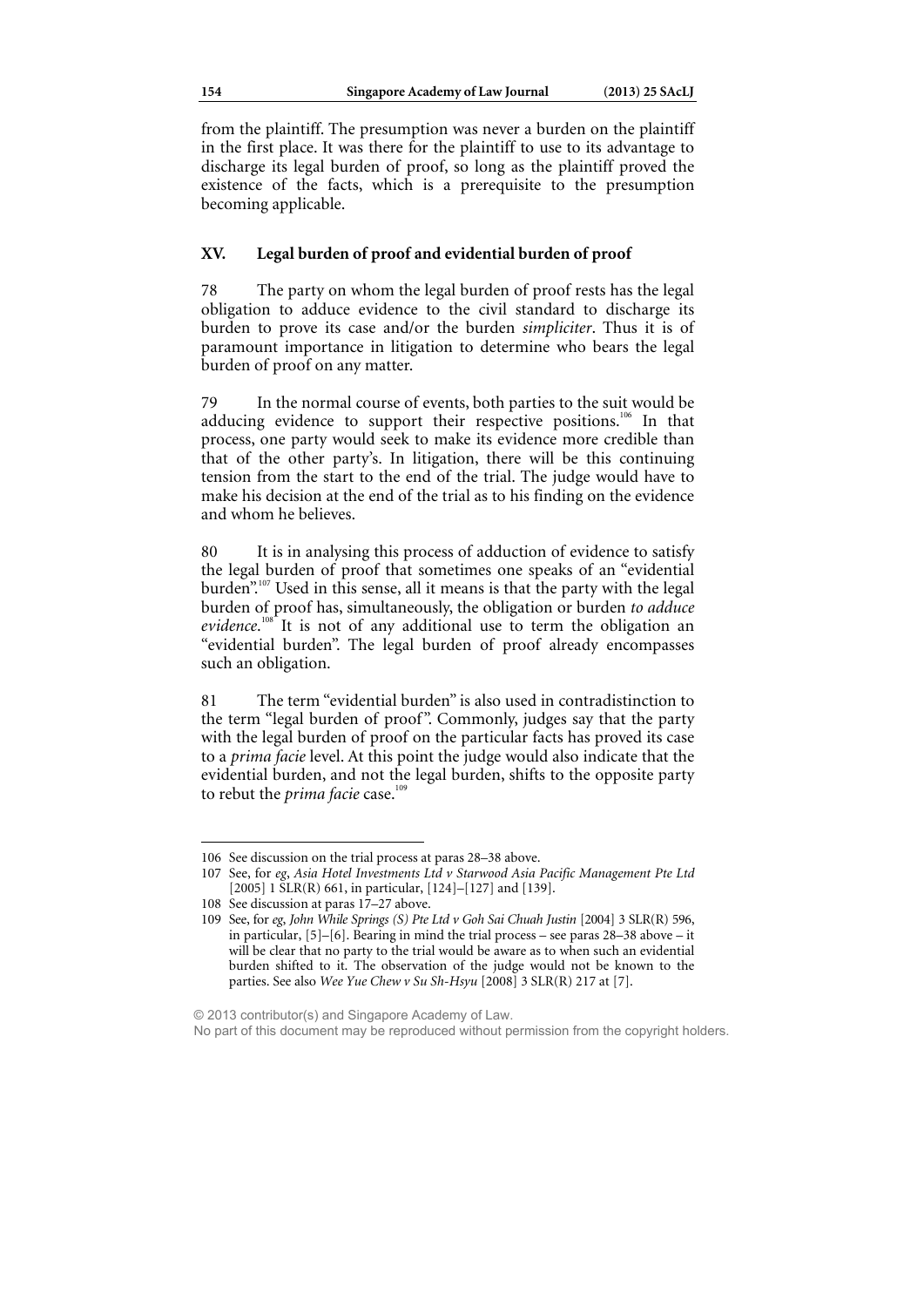from the plaintiff. The presumption was never a burden on the plaintiff in the first place. It was there for the plaintiff to use to its advantage to discharge its legal burden of proof, so long as the plaintiff proved the existence of the facts, which is a prerequisite to the presumption becoming applicable.

### **XV. Legal burden of proof and evidential burden of proof**

78 The party on whom the legal burden of proof rests has the legal obligation to adduce evidence to the civil standard to discharge its burden to prove its case and/or the burden *simpliciter*. Thus it is of paramount importance in litigation to determine who bears the legal burden of proof on any matter.

79 In the normal course of events, both parties to the suit would be adducing evidence to support their respective positions.<sup>106</sup> In that process, one party would seek to make its evidence more credible than that of the other party's. In litigation, there will be this continuing tension from the start to the end of the trial. The judge would have to make his decision at the end of the trial as to his finding on the evidence and whom he believes.

80 It is in analysing this process of adduction of evidence to satisfy the legal burden of proof that sometimes one speaks of an "evidential burden".<sup>107</sup> Used in this sense, all it means is that the party with the legal burden of proof has, simultaneously, the obligation or burden *to adduce*  evidence.<sup>108</sup> It is not of any additional use to term the obligation an "evidential burden". The legal burden of proof already encompasses such an obligation.

81 The term "evidential burden" is also used in contradistinction to the term "legal burden of proof". Commonly, judges say that the party with the legal burden of proof on the particular facts has proved its case to a *prima facie* level. At this point the judge would also indicate that the evidential burden, and not the legal burden, shifts to the opposite party to rebut the *prima facie* case.<sup>10</sup>

 $\overline{a}$ 

© 2013 contributor(s) and Singapore Academy of Law.

<sup>106</sup> See discussion on the trial process at paras 28–38 above.

<sup>107</sup> See, for *eg*, *Asia Hotel Investments Ltd v Starwood Asia Pacific Management Pte Ltd* [2005] 1 SLR(R) 661, in particular, [124]–[127] and [139].

<sup>108</sup> See discussion at paras 17–27 above.

<sup>109</sup> See, for *eg*, *John While Springs (S) Pte Ltd v Goh Sai Chuah Justin* [2004] 3 SLR(R) 596, in particular, [5]–[6]. Bearing in mind the trial process – see paras 28–38 above – it will be clear that no party to the trial would be aware as to when such an evidential burden shifted to it. The observation of the judge would not be known to the parties. See also *Wee Yue Chew v Su Sh-Hsyu* [2008] 3 SLR(R) 217 at [7].

No part of this document may be reproduced without permission from the copyright holders.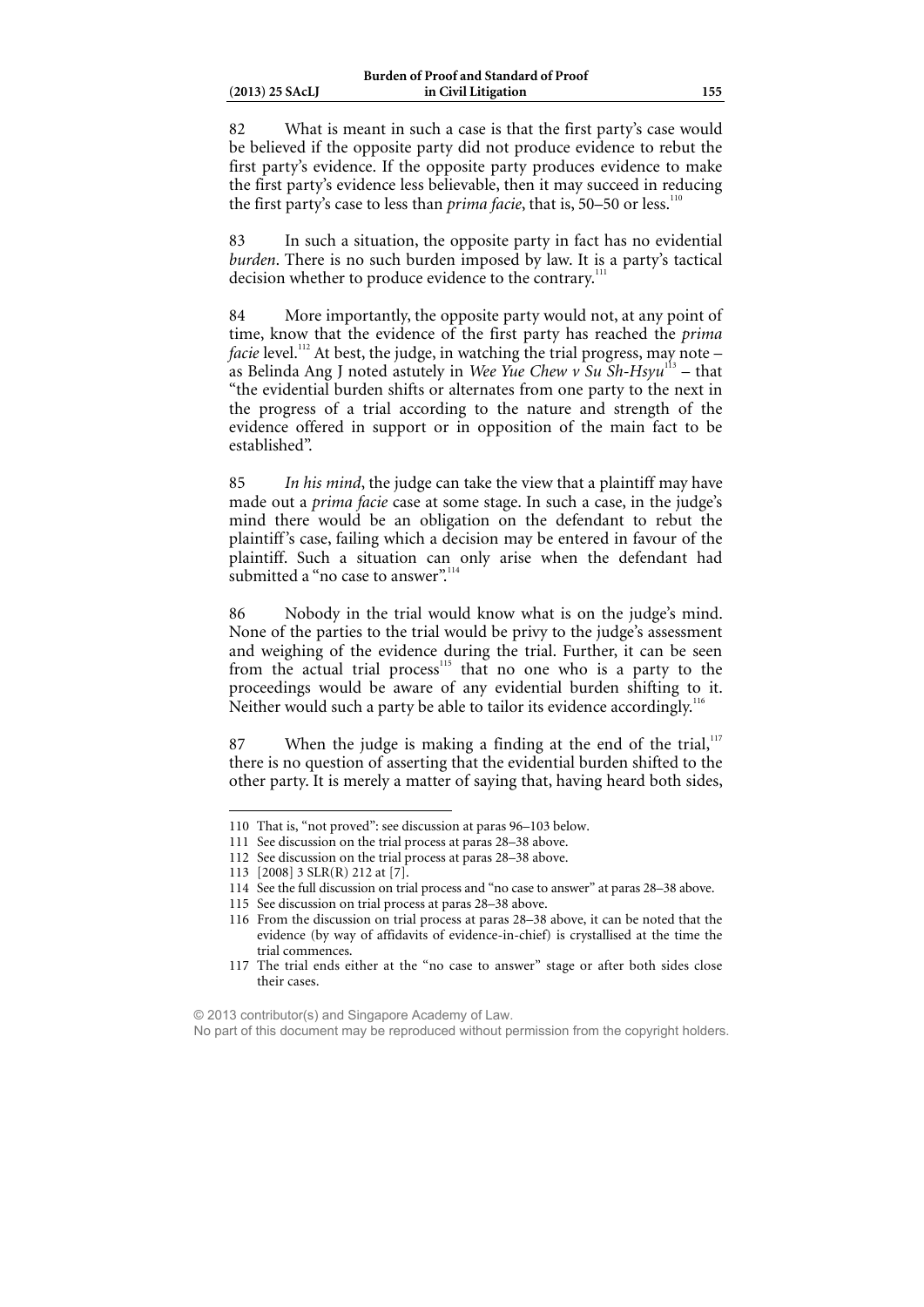82 What is meant in such a case is that the first party's case would be believed if the opposite party did not produce evidence to rebut the first party's evidence. If the opposite party produces evidence to make the first party's evidence less believable, then it may succeed in reducing the first party's case to less than *prima facie*, that is, 50–50 or less.<sup>11</sup>

83 In such a situation, the opposite party in fact has no evidential *burden*. There is no such burden imposed by law. It is a party's tactical decision whether to produce evidence to the contrary.<sup>111</sup>

84 More importantly, the opposite party would not, at any point of time, know that the evidence of the first party has reached the *prima facie* level.<sup>112</sup> At best, the judge, in watching the trial progress, may note – as Belinda Ang J noted astutely in *Wee Yue Chew v Su Sh-Hsyu*113 – that "the evidential burden shifts or alternates from one party to the next in the progress of a trial according to the nature and strength of the evidence offered in support or in opposition of the main fact to be established".

85 *In his mind*, the judge can take the view that a plaintiff may have made out a *prima facie* case at some stage. In such a case, in the judge's mind there would be an obligation on the defendant to rebut the plaintiff's case, failing which a decision may be entered in favour of the plaintiff. Such a situation can only arise when the defendant had submitted a "no case to answer".

86 Nobody in the trial would know what is on the judge's mind. None of the parties to the trial would be privy to the judge's assessment and weighing of the evidence during the trial. Further, it can be seen from the actual trial process<sup>115</sup> that no one who is a party to the proceedings would be aware of any evidential burden shifting to it. Neither would such a party be able to tailor its evidence accordingly.<sup>1</sup>

87 When the judge is making a finding at the end of the trial, $117$ there is no question of asserting that the evidential burden shifted to the other party. It is merely a matter of saying that, having heard both sides,

<sup>110</sup> That is, "not proved": see discussion at paras 96–103 below.

<sup>111</sup> See discussion on the trial process at paras 28–38 above.

<sup>112</sup> See discussion on the trial process at paras 28–38 above.

<sup>113 [2008] 3</sup> SLR(R) 212 at [7].

<sup>114</sup> See the full discussion on trial process and "no case to answer" at paras 28–38 above.

<sup>115</sup> See discussion on trial process at paras 28–38 above.

<sup>116</sup> From the discussion on trial process at paras 28–38 above, it can be noted that the evidence (by way of affidavits of evidence-in-chief) is crystallised at the time the trial commences.

<sup>117</sup> The trial ends either at the "no case to answer" stage or after both sides close their cases.

<sup>© 2013</sup> contributor(s) and Singapore Academy of Law.

No part of this document may be reproduced without permission from the copyright holders.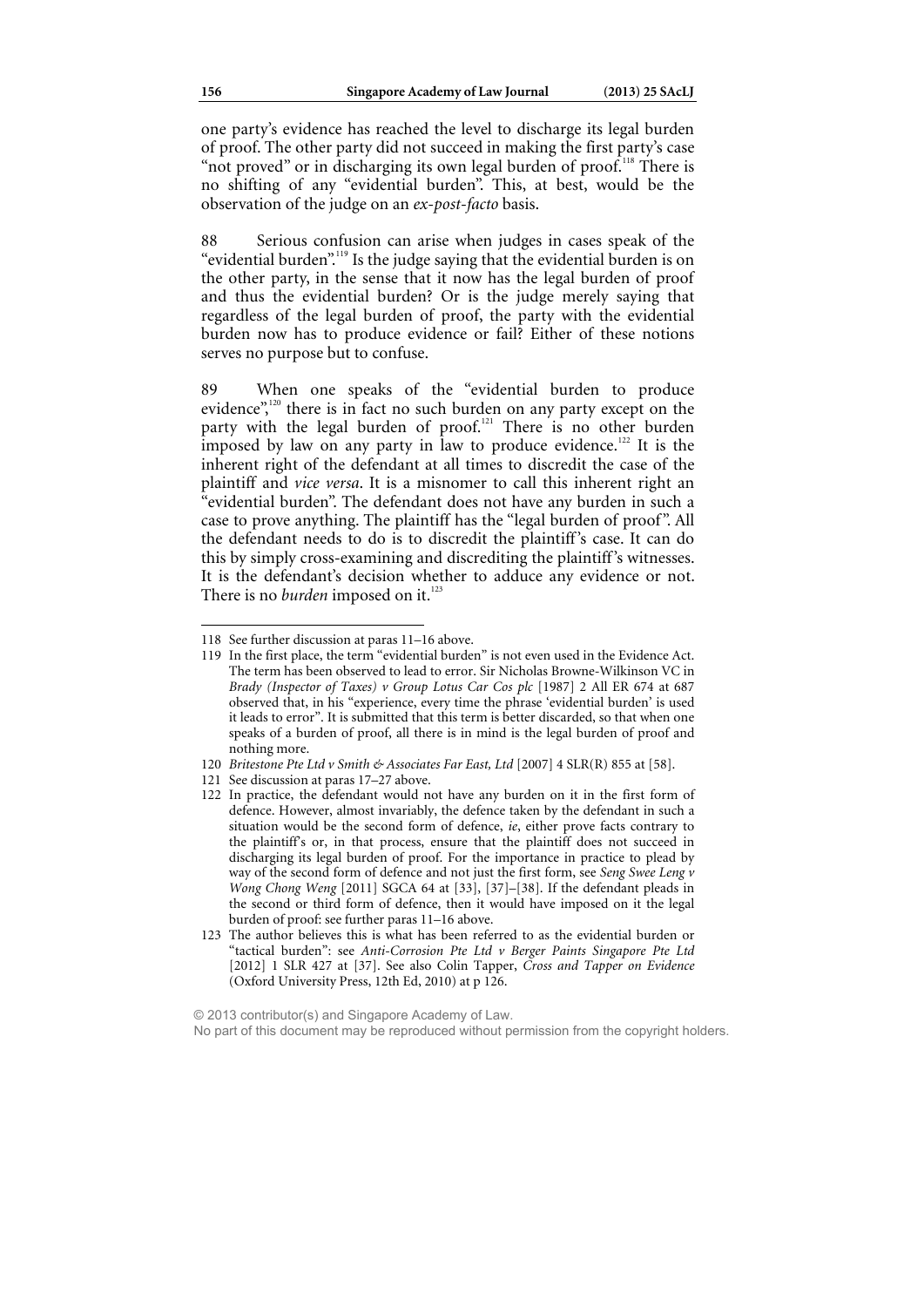one party's evidence has reached the level to discharge its legal burden of proof. The other party did not succeed in making the first party's case "not proved" or in discharging its own legal burden of proof.<sup>118</sup> There is no shifting of any "evidential burden". This, at best, would be the observation of the judge on an *ex-post-facto* basis.

88 Serious confusion can arise when judges in cases speak of the "evidential burden".<sup>119</sup> Is the judge saying that the evidential burden is on the other party, in the sense that it now has the legal burden of proof and thus the evidential burden? Or is the judge merely saying that regardless of the legal burden of proof, the party with the evidential burden now has to produce evidence or fail? Either of these notions serves no purpose but to confuse.

89 When one speaks of the "evidential burden to produce evidence",<sup>120</sup> there is in fact no such burden on any party except on the party with the legal burden of proof.<sup>121</sup> There is no other burden imposed by law on any party in law to produce evidence.<sup>122</sup> It is the inherent right of the defendant at all times to discredit the case of the plaintiff and *vice versa*. It is a misnomer to call this inherent right an "evidential burden". The defendant does not have any burden in such a case to prove anything. The plaintiff has the "legal burden of proof". All the defendant needs to do is to discredit the plaintiff's case. It can do this by simply cross-examining and discrediting the plaintiff's witnesses. It is the defendant's decision whether to adduce any evidence or not. There is no *burden* imposed on it.<sup>12</sup>

<sup>118</sup> See further discussion at paras 11–16 above.

<sup>119</sup> In the first place, the term "evidential burden" is not even used in the Evidence Act. The term has been observed to lead to error. Sir Nicholas Browne-Wilkinson VC in *Brady (Inspector of Taxes) v Group Lotus Car Cos plc* [1987] 2 All ER 674 at 687 observed that, in his "experience, every time the phrase 'evidential burden' is used it leads to error". It is submitted that this term is better discarded, so that when one speaks of a burden of proof, all there is in mind is the legal burden of proof and nothing more.

<sup>120</sup> *Britestone Pte Ltd v Smith & Associates Far East, Ltd* [2007] 4 SLR(R) 855 at [58].

<sup>121</sup> See discussion at paras 17–27 above.

<sup>122</sup> In practice, the defendant would not have any burden on it in the first form of defence. However, almost invariably, the defence taken by the defendant in such a situation would be the second form of defence, *ie*, either prove facts contrary to the plaintiff's or, in that process, ensure that the plaintiff does not succeed in discharging its legal burden of proof. For the importance in practice to plead by way of the second form of defence and not just the first form, see *Seng Swee Leng v Wong Chong Weng* [2011] SGCA 64 at [33], [37]–[38]. If the defendant pleads in the second or third form of defence, then it would have imposed on it the legal burden of proof: see further paras 11–16 above.

<sup>123</sup> The author believes this is what has been referred to as the evidential burden or "tactical burden": see *Anti-Corrosion Pte Ltd v Berger Paints Singapore Pte Ltd*  [2012] 1 SLR 427 at [37]. See also Colin Tapper, *Cross and Tapper on Evidence*  (Oxford University Press, 12th Ed, 2010) at p 126.

<sup>© 2013</sup> contributor(s) and Singapore Academy of Law. No part of this document may be reproduced without permission from the copyright holders.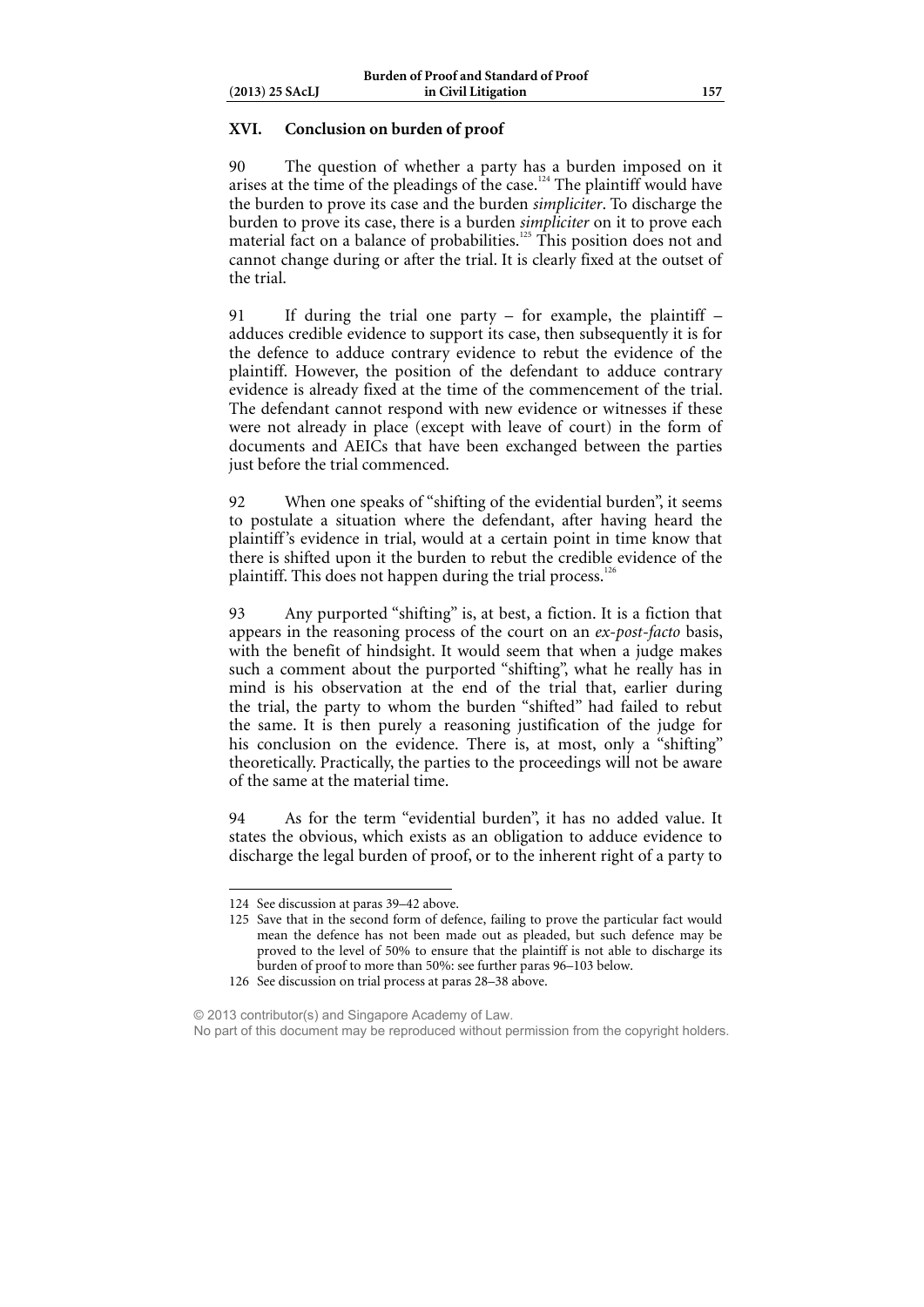### **XVI. Conclusion on burden of proof**

90 The question of whether a party has a burden imposed on it arises at the time of the pleadings of the case.<sup>124</sup> The plaintiff would have the burden to prove its case and the burden *simpliciter*. To discharge the burden to prove its case, there is a burden *simpliciter* on it to prove each material fact on a balance of probabilities.<sup>125</sup> This position does not and cannot change during or after the trial. It is clearly fixed at the outset of the trial.

91 If during the trial one party – for example, the plaintiff – adduces credible evidence to support its case, then subsequently it is for the defence to adduce contrary evidence to rebut the evidence of the plaintiff. However, the position of the defendant to adduce contrary evidence is already fixed at the time of the commencement of the trial. The defendant cannot respond with new evidence or witnesses if these were not already in place (except with leave of court) in the form of documents and AEICs that have been exchanged between the parties just before the trial commenced.

92 When one speaks of "shifting of the evidential burden", it seems to postulate a situation where the defendant, after having heard the plaintiff's evidence in trial, would at a certain point in time know that there is shifted upon it the burden to rebut the credible evidence of the plaintiff. This does not happen during the trial process.<sup>1</sup>

93 Any purported "shifting" is, at best, a fiction. It is a fiction that appears in the reasoning process of the court on an *ex-post-facto* basis, with the benefit of hindsight. It would seem that when a judge makes such a comment about the purported "shifting", what he really has in mind is his observation at the end of the trial that, earlier during the trial, the party to whom the burden "shifted" had failed to rebut the same. It is then purely a reasoning justification of the judge for his conclusion on the evidence. There is, at most, only a "shifting" theoretically. Practically, the parties to the proceedings will not be aware of the same at the material time.

94 As for the term "evidential burden", it has no added value. It states the obvious, which exists as an obligation to adduce evidence to discharge the legal burden of proof, or to the inherent right of a party to

<sup>124</sup> See discussion at paras 39–42 above.

<sup>125</sup> Save that in the second form of defence, failing to prove the particular fact would mean the defence has not been made out as pleaded, but such defence may be proved to the level of 50% to ensure that the plaintiff is not able to discharge its burden of proof to more than 50%: see further paras 96–103 below.

<sup>126</sup> See discussion on trial process at paras 28–38 above.

<sup>© 2013</sup> contributor(s) and Singapore Academy of Law.

No part of this document may be reproduced without permission from the copyright holders.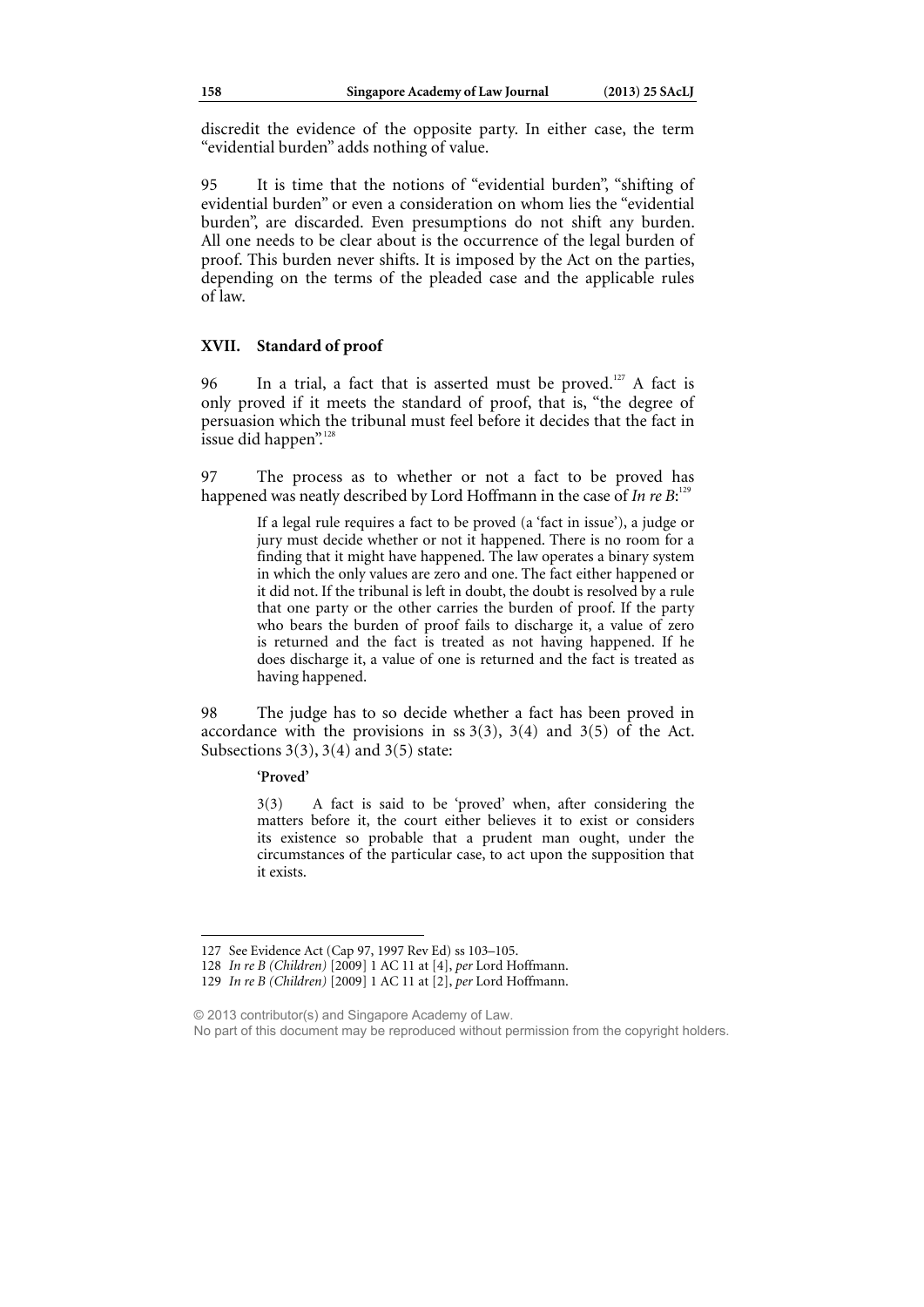discredit the evidence of the opposite party. In either case, the term "evidential burden" adds nothing of value.

95 It is time that the notions of "evidential burden", "shifting of evidential burden" or even a consideration on whom lies the "evidential burden", are discarded. Even presumptions do not shift any burden. All one needs to be clear about is the occurrence of the legal burden of proof. This burden never shifts. It is imposed by the Act on the parties, depending on the terms of the pleaded case and the applicable rules of law.

### **XVII. Standard of proof**

96 In a trial, a fact that is asserted must be proved.<sup>127</sup> A fact is only proved if it meets the standard of proof, that is, "the degree of persuasion which the tribunal must feel before it decides that the fact in issue did happen". $\frac{12}{12}$ 

97 The process as to whether or not a fact to be proved has happened was neatly described by Lord Hoffmann in the case of *In re B*:<sup>129</sup>

> If a legal rule requires a fact to be proved (a 'fact in issue'), a judge or jury must decide whether or not it happened. There is no room for a finding that it might have happened. The law operates a binary system in which the only values are zero and one. The fact either happened or it did not. If the tribunal is left in doubt, the doubt is resolved by a rule that one party or the other carries the burden of proof. If the party who bears the burden of proof fails to discharge it, a value of zero is returned and the fact is treated as not having happened. If he does discharge it, a value of one is returned and the fact is treated as having happened.

98 The judge has to so decide whether a fact has been proved in accordance with the provisions in ss  $3(3)$ ,  $3(4)$  and  $3(5)$  of the Act. Subsections  $3(3)$ ,  $3(4)$  and  $3(5)$  state:

### **'Proved'**

 $\overline{a}$ 

3(3) A fact is said to be 'proved' when, after considering the matters before it, the court either believes it to exist or considers its existence so probable that a prudent man ought, under the circumstances of the particular case, to act upon the supposition that it exists.

<sup>127</sup> See Evidence Act (Cap 97, 1997 Rev Ed) ss 103–105.

<sup>128</sup> *In re B (Children)* [2009] 1 AC 11 at [4], *per* Lord Hoffmann.

<sup>129</sup> *In re B (Children)* [2009] 1 AC 11 at [2], *per* Lord Hoffmann.

<sup>© 2013</sup> contributor(s) and Singapore Academy of Law.

No part of this document may be reproduced without permission from the copyright holders.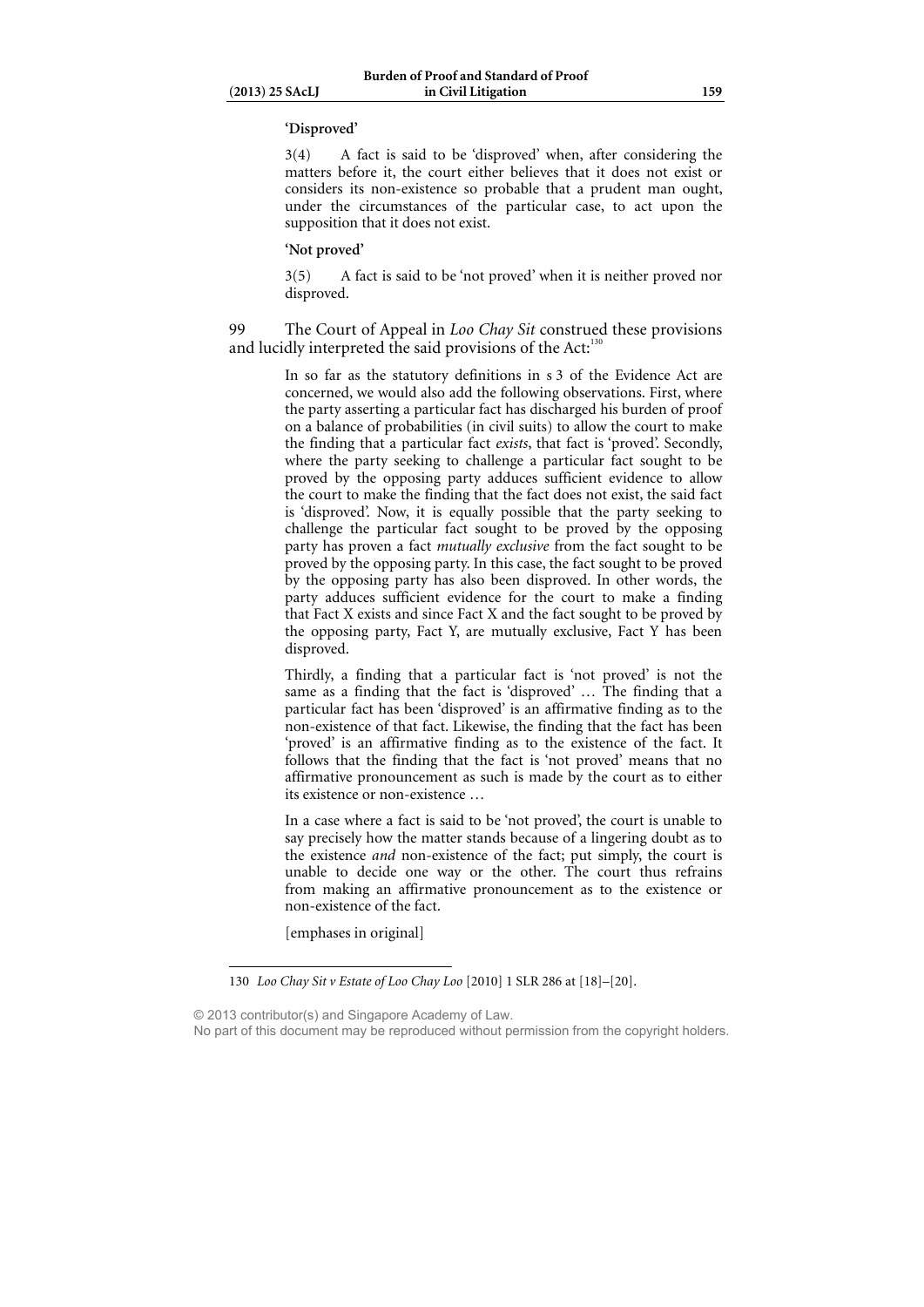#### **'Disproved'**

3(4) A fact is said to be 'disproved' when, after considering the matters before it, the court either believes that it does not exist or considers its non-existence so probable that a prudent man ought, under the circumstances of the particular case, to act upon the supposition that it does not exist.

#### **'Not proved'**

3(5) A fact is said to be 'not proved' when it is neither proved nor disproved.

 $\overline{a}$ 

99 The Court of Appeal in *Loo Chay Sit* construed these provisions and lucidly interpreted the said provisions of the Act: $130$ 

> In so far as the statutory definitions in s 3 of the Evidence Act are concerned, we would also add the following observations. First, where the party asserting a particular fact has discharged his burden of proof on a balance of probabilities (in civil suits) to allow the court to make the finding that a particular fact *exists*, that fact is 'proved'. Secondly, where the party seeking to challenge a particular fact sought to be proved by the opposing party adduces sufficient evidence to allow the court to make the finding that the fact does not exist, the said fact is 'disproved'. Now, it is equally possible that the party seeking to challenge the particular fact sought to be proved by the opposing party has proven a fact *mutually exclusive* from the fact sought to be proved by the opposing party. In this case, the fact sought to be proved by the opposing party has also been disproved. In other words, the party adduces sufficient evidence for the court to make a finding that Fact X exists and since Fact X and the fact sought to be proved by the opposing party, Fact Y, are mutually exclusive, Fact Y has been disproved.

> Thirdly, a finding that a particular fact is 'not proved' is not the same as a finding that the fact is 'disproved' … The finding that a particular fact has been 'disproved' is an affirmative finding as to the non-existence of that fact. Likewise, the finding that the fact has been 'proved' is an affirmative finding as to the existence of the fact. It follows that the finding that the fact is 'not proved' means that no affirmative pronouncement as such is made by the court as to either its existence or non-existence …

> In a case where a fact is said to be 'not proved', the court is unable to say precisely how the matter stands because of a lingering doubt as to the existence *and* non-existence of the fact; put simply, the court is unable to decide one way or the other. The court thus refrains from making an affirmative pronouncement as to the existence or non-existence of the fact.

[emphases in original]

© 2013 contributor(s) and Singapore Academy of Law.

No part of this document may be reproduced without permission from the copyright holders.

<sup>130</sup> *Loo Chay Sit v Estate of Loo Chay Loo* [2010] 1 SLR 286 at [18]–[20].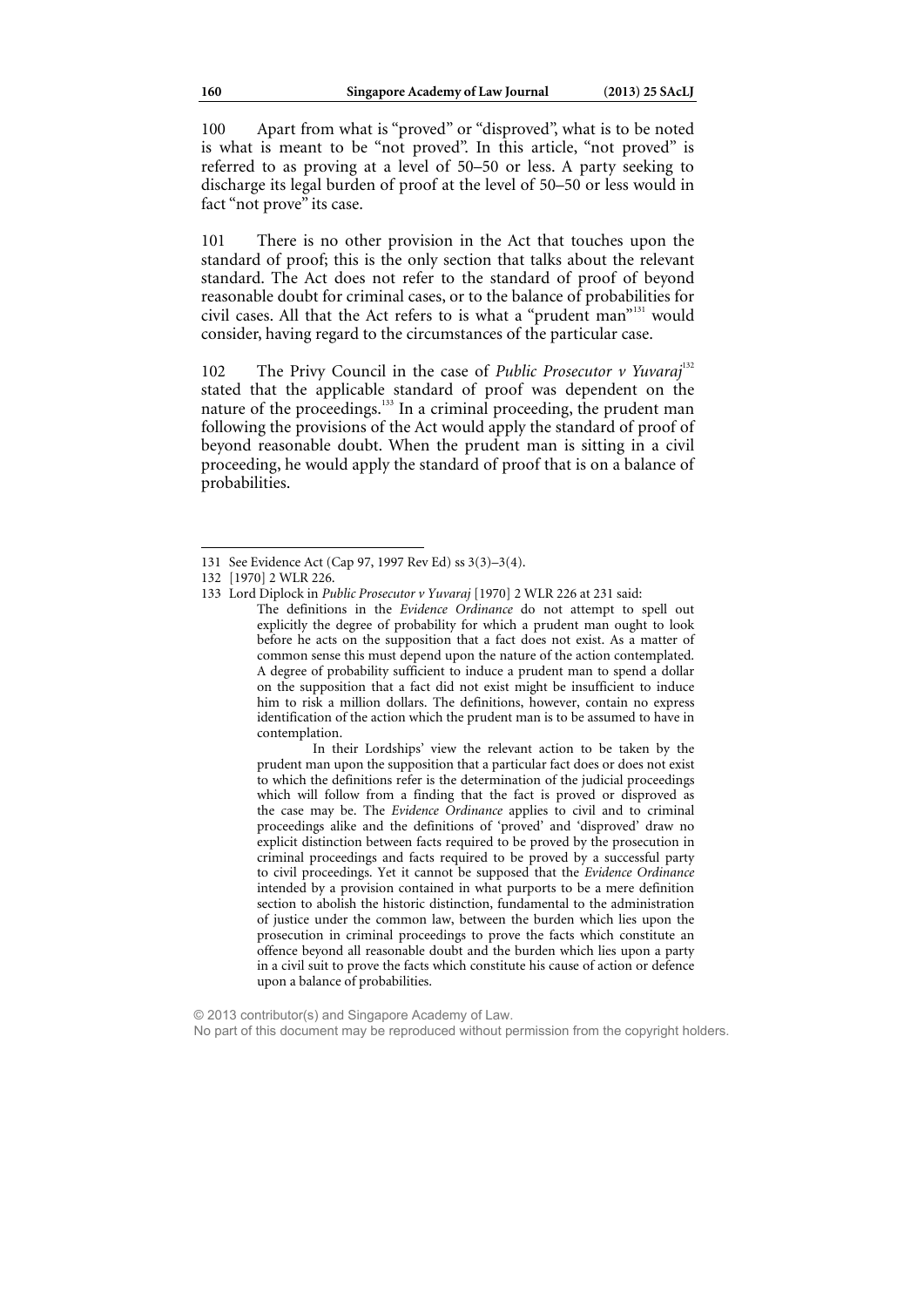100 Apart from what is "proved" or "disproved", what is to be noted is what is meant to be "not proved". In this article, "not proved" is referred to as proving at a level of 50–50 or less. A party seeking to discharge its legal burden of proof at the level of 50–50 or less would in fact "not prove" its case.

101 There is no other provision in the Act that touches upon the standard of proof; this is the only section that talks about the relevant standard. The Act does not refer to the standard of proof of beyond reasonable doubt for criminal cases, or to the balance of probabilities for civil cases. All that the Act refers to is what a "prudent man"<sup>131</sup> would consider, having regard to the circumstances of the particular case.

102 The Privy Council in the case of *Public Prosecutor v Yuvaraj*<sup>132</sup> stated that the applicable standard of proof was dependent on the nature of the proceedings.<sup>133</sup> In a criminal proceeding, the prudent man following the provisions of the Act would apply the standard of proof of beyond reasonable doubt. When the prudent man is sitting in a civil proceeding, he would apply the standard of proof that is on a balance of probabilities.

ֺ

 In their Lordships' view the relevant action to be taken by the prudent man upon the supposition that a particular fact does or does not exist to which the definitions refer is the determination of the judicial proceedings which will follow from a finding that the fact is proved or disproved as the case may be. The *Evidence Ordinance* applies to civil and to criminal proceedings alike and the definitions of 'proved' and 'disproved' draw no explicit distinction between facts required to be proved by the prosecution in criminal proceedings and facts required to be proved by a successful party to civil proceedings. Yet it cannot be supposed that the *Evidence Ordinance* intended by a provision contained in what purports to be a mere definition section to abolish the historic distinction, fundamental to the administration of justice under the common law, between the burden which lies upon the prosecution in criminal proceedings to prove the facts which constitute an offence beyond all reasonable doubt and the burden which lies upon a party in a civil suit to prove the facts which constitute his cause of action or defence upon a balance of probabilities.

<sup>131</sup> See Evidence Act (Cap 97, 1997 Rev Ed) ss 3(3)–3(4).

<sup>132 [1970] 2</sup> WLR 226.

<sup>133</sup> Lord Diplock in *Public Prosecutor v Yuvaraj* [1970] 2 WLR 226 at 231 said: The definitions in the *Evidence Ordinance* do not attempt to spell out explicitly the degree of probability for which a prudent man ought to look before he acts on the supposition that a fact does not exist. As a matter of common sense this must depend upon the nature of the action contemplated. A degree of probability sufficient to induce a prudent man to spend a dollar on the supposition that a fact did not exist might be insufficient to induce him to risk a million dollars. The definitions, however, contain no express identification of the action which the prudent man is to be assumed to have in contemplation.

<sup>© 2013</sup> contributor(s) and Singapore Academy of Law. No part of this document may be reproduced without permission from the copyright holders.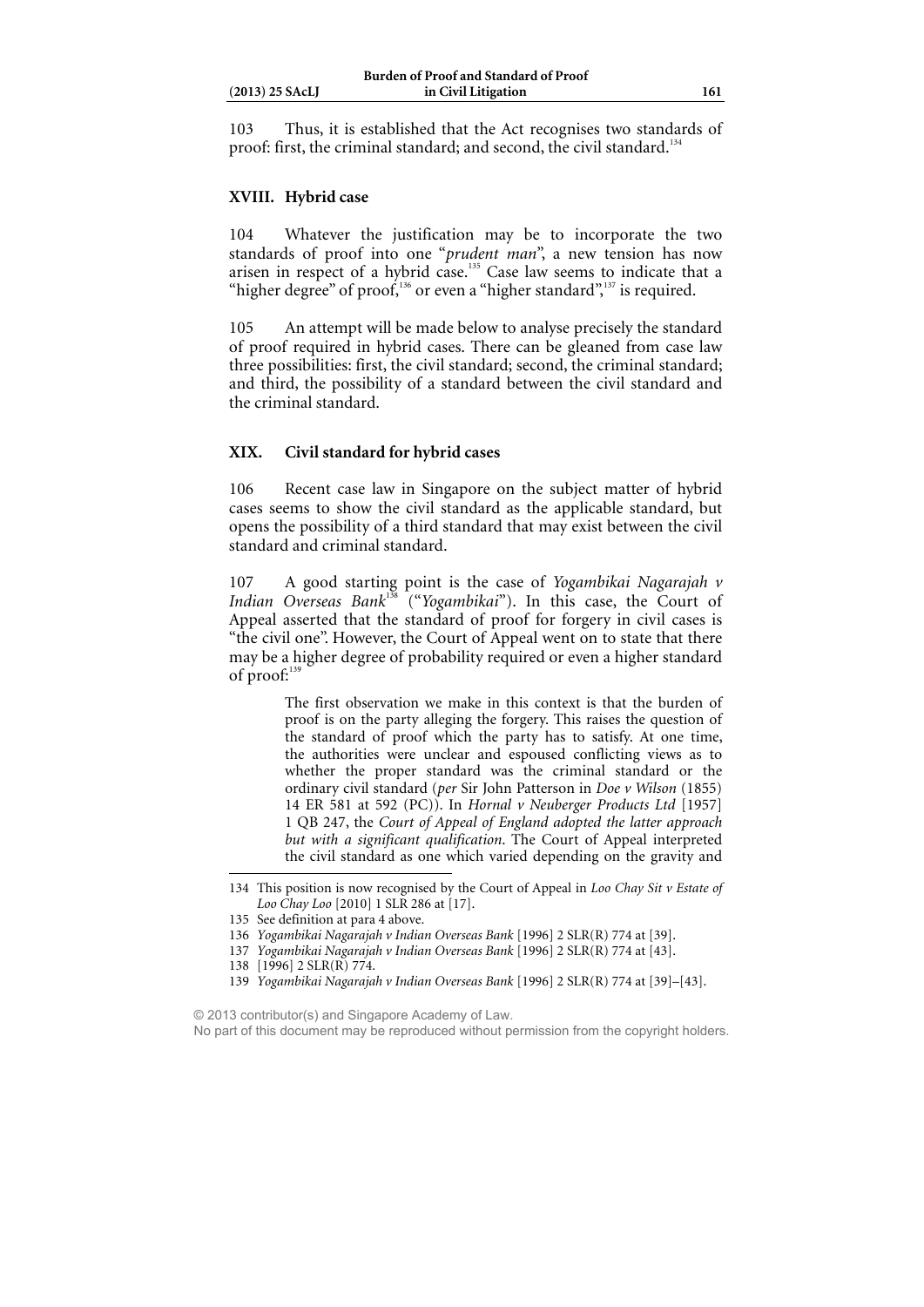103 Thus, it is established that the Act recognises two standards of proof: first, the criminal standard; and second, the civil standard.<sup>1</sup>

### **XVIII. Hybrid case**

104 Whatever the justification may be to incorporate the two standards of proof into one "*prudent man*", a new tension has now arisen in respect of a hybrid case.<sup>135</sup> Case law seems to indicate that a "higher degree" of proof, $136$  or even a "higher standard", $137$  is required.

105 An attempt will be made below to analyse precisely the standard of proof required in hybrid cases. There can be gleaned from case law three possibilities: first, the civil standard; second, the criminal standard; and third, the possibility of a standard between the civil standard and the criminal standard.

### **XIX. Civil standard for hybrid cases**

106 Recent case law in Singapore on the subject matter of hybrid cases seems to show the civil standard as the applicable standard, but opens the possibility of a third standard that may exist between the civil standard and criminal standard.

107 A good starting point is the case of *Yogambikai Nagarajah v*  Indian Overseas Bank<sup>138</sup> ("Yogambikai"). In this case, the Court of Appeal asserted that the standard of proof for forgery in civil cases is "the civil one". However, the Court of Appeal went on to state that there may be a higher degree of probability required or even a higher standard of proof:<sup>139</sup>

> The first observation we make in this context is that the burden of proof is on the party alleging the forgery. This raises the question of the standard of proof which the party has to satisfy. At one time, the authorities were unclear and espoused conflicting views as to whether the proper standard was the criminal standard or the ordinary civil standard (*per* Sir John Patterson in *Doe v Wilson* (1855) 14 ER 581 at 592 (PC)). In *Hornal v Neuberger Products Ltd* [1957] 1 QB 247, the *Court of Appeal of England adopted the latter approach but with a significant qualification*. The Court of Appeal interpreted the civil standard as one which varied depending on the gravity and

© 2013 contributor(s) and Singapore Academy of Law.

<sup>134</sup> This position is now recognised by the Court of Appeal in *Loo Chay Sit v Estate of Loo Chay Loo* [2010] 1 SLR 286 at [17].

<sup>135</sup> See definition at para 4 above.

<sup>136</sup> *Yogambikai Nagarajah v Indian Overseas Bank* [1996] 2 SLR(R) 774 at [39].

<sup>137</sup> *Yogambikai Nagarajah v Indian Overseas Bank* [1996] 2 SLR(R) 774 at [43].

<sup>138 [1996] 2</sup> SLR(R) 774.

<sup>139</sup> *Yogambikai Nagarajah v Indian Overseas Bank* [1996] 2 SLR(R) 774 at [39]–[43].

No part of this document may be reproduced without permission from the copyright holders.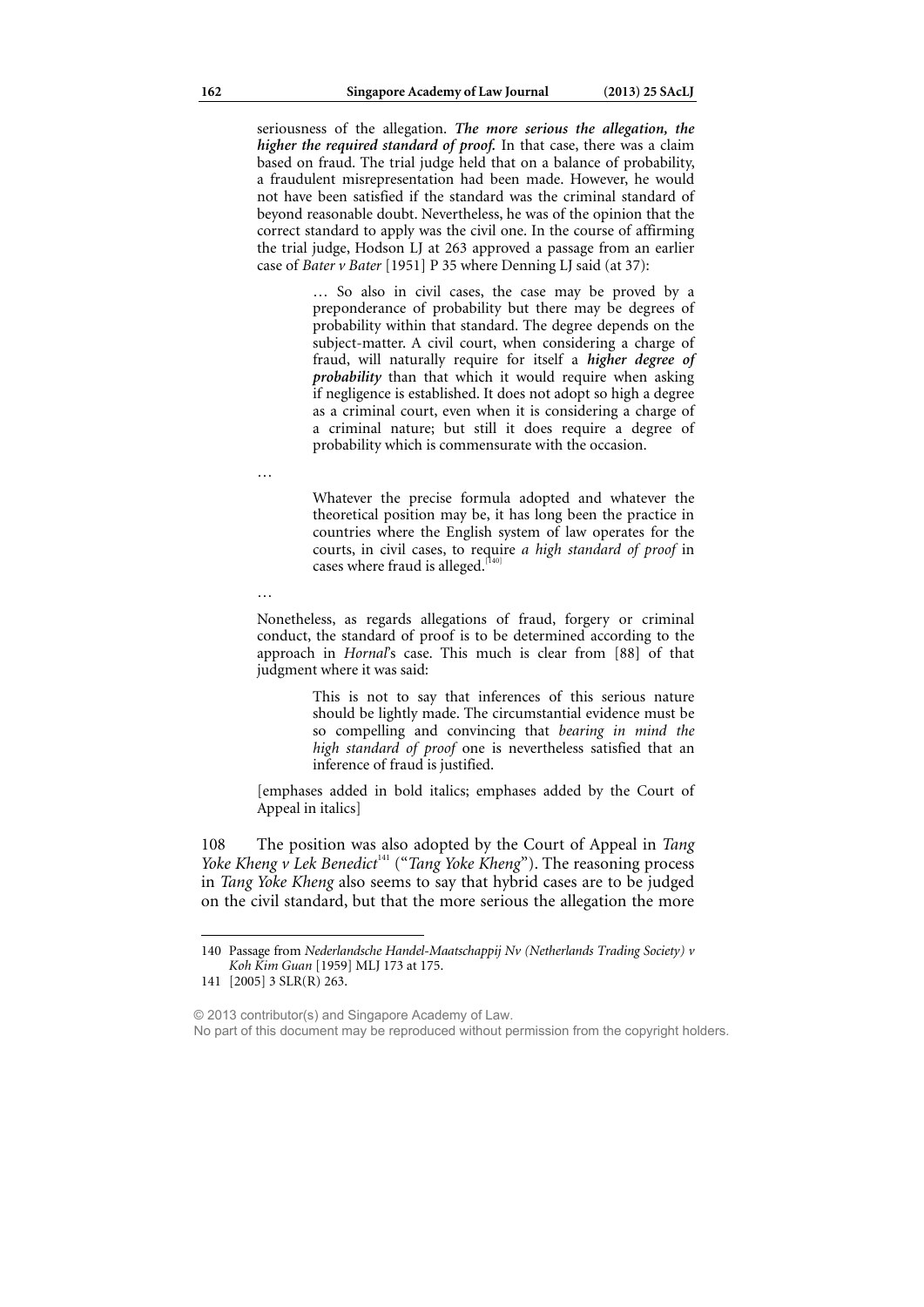seriousness of the allegation. *The more serious the allegation, the higher the required standard of proof.* In that case, there was a claim based on fraud. The trial judge held that on a balance of probability, a fraudulent misrepresentation had been made. However, he would not have been satisfied if the standard was the criminal standard of beyond reasonable doubt. Nevertheless, he was of the opinion that the correct standard to apply was the civil one. In the course of affirming the trial judge, Hodson LJ at 263 approved a passage from an earlier case of *Bater v Bater* [1951] P 35 where Denning LJ said (at 37):

> … So also in civil cases, the case may be proved by a preponderance of probability but there may be degrees of probability within that standard. The degree depends on the subject-matter. A civil court, when considering a charge of fraud, will naturally require for itself a *higher degree of probability* than that which it would require when asking if negligence is established. It does not adopt so high a degree as a criminal court, even when it is considering a charge of a criminal nature; but still it does require a degree of probability which is commensurate with the occasion.

…

Whatever the precise formula adopted and whatever the theoretical position may be, it has long been the practice in countries where the English system of law operates for the courts, in civil cases, to require *a high standard of proof* in cases where fraud is alleged.<sup>[140]</sup>

…

Nonetheless, as regards allegations of fraud, forgery or criminal conduct, the standard of proof is to be determined according to the approach in *Hornal*'s case. This much is clear from [88] of that judgment where it was said:

> This is not to say that inferences of this serious nature should be lightly made. The circumstantial evidence must be so compelling and convincing that *bearing in mind the high standard of proof* one is nevertheless satisfied that an inference of fraud is justified.

[emphases added in bold italics; emphases added by the Court of Appeal in italics]

108 The position was also adopted by the Court of Appeal in *Tang Yoke Kheng v Lek Benedict<sup>141</sup>* ("*Tang Yoke Kheng*"). The reasoning process in *Tang Yoke Kheng* also seems to say that hybrid cases are to be judged on the civil standard, but that the more serious the allegation the more

<sup>140</sup> Passage from *Nederlandsche Handel-Maatschappij Nv (Netherlands Trading Society) v Koh Kim Guan* [1959] MLJ 173 at 175.

<sup>141 [2005] 3</sup> SLR(R) 263.

<sup>© 2013</sup> contributor(s) and Singapore Academy of Law.

No part of this document may be reproduced without permission from the copyright holders.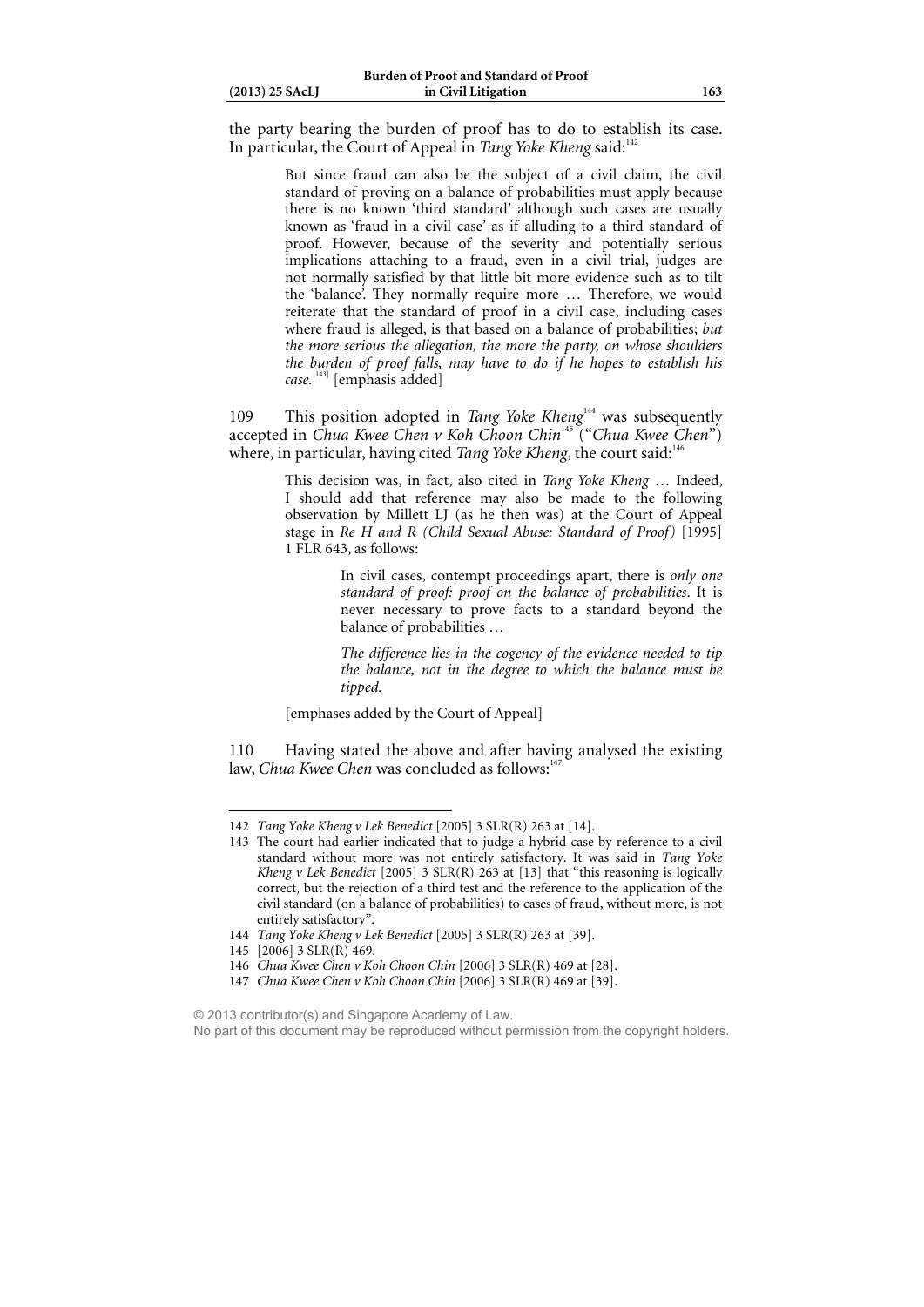| $(2013)$ 25 SAcLJ |  |
|-------------------|--|
|                   |  |

the party bearing the burden of proof has to do to establish its case. In particular, the Court of Appeal in *Tang Yoke Kheng* said:<sup>142</sup>

> But since fraud can also be the subject of a civil claim, the civil standard of proving on a balance of probabilities must apply because there is no known 'third standard' although such cases are usually known as 'fraud in a civil case' as if alluding to a third standard of proof. However, because of the severity and potentially serious implications attaching to a fraud, even in a civil trial, judges are not normally satisfied by that little bit more evidence such as to tilt the 'balance'. They normally require more … Therefore, we would reiterate that the standard of proof in a civil case, including cases where fraud is alleged, is that based on a balance of probabilities; *but the more serious the allegation, the more the party, on whose shoulders the burden of proof falls, may have to do if he hopes to establish his case.*[143] [emphasis added]

109 This position adopted in *Tang Yoke Kheng*<sup>144</sup> was subsequently accepted in *Chua Kwee Chen v Koh Choon Chin*<sup>145</sup> ("*Chua Kwee Chen*") where, in particular, having cited *Tang Yoke Kheng*, the court said:<sup>1</sup>

> This decision was, in fact, also cited in *Tang Yoke Kheng* … Indeed, I should add that reference may also be made to the following observation by Millett LJ (as he then was) at the Court of Appeal stage in *Re H and R (Child Sexual Abuse: Standard of Proof)* [1995] 1 FLR 643, as follows:

> > In civil cases, contempt proceedings apart, there is *only one standard of proof: proof on the balance of probabilities*. It is never necessary to prove facts to a standard beyond the balance of probabilities …

> > *The difference lies in the cogency of the evidence needed to tip the balance, not in the degree to which the balance must be tipped.*

[emphases added by the Court of Appeal]

110 Having stated the above and after having analysed the existing law, *Chua Kwee Chen* was concluded as follows:<sup>14</sup>

145 [2006] 3 SLR(R) 469.

- 146 *Chua Kwee Chen v Koh Choon Chin* [2006] 3 SLR(R) 469 at [28].
- 147 *Chua Kwee Chen v Koh Choon Chin* [2006] 3 SLR(R) 469 at [39].

<sup>142</sup> *Tang Yoke Kheng v Lek Benedict* [2005] 3 SLR(R) 263 at [14].

<sup>143</sup> The court had earlier indicated that to judge a hybrid case by reference to a civil standard without more was not entirely satisfactory. It was said in *Tang Yoke Kheng v Lek Benedict* [2005] 3 SLR(R) 263 at [13] that "this reasoning is logically correct, but the rejection of a third test and the reference to the application of the civil standard (on a balance of probabilities) to cases of fraud, without more, is not entirely satisfactory".

<sup>144</sup> *Tang Yoke Kheng v Lek Benedict* [2005] 3 SLR(R) 263 at [39].

<sup>© 2013</sup> contributor(s) and Singapore Academy of Law.

No part of this document may be reproduced without permission from the copyright holders.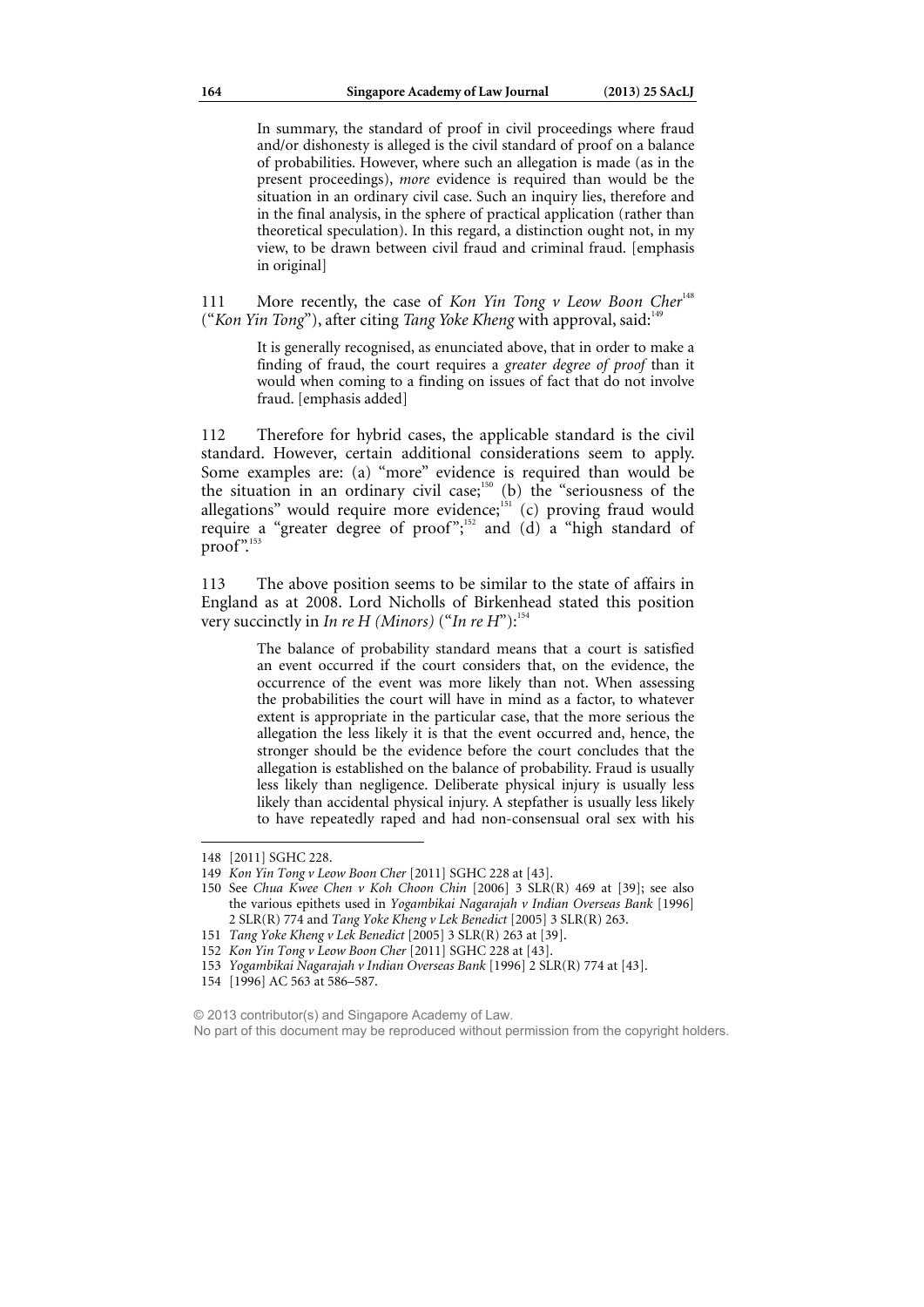In summary, the standard of proof in civil proceedings where fraud and/or dishonesty is alleged is the civil standard of proof on a balance of probabilities. However, where such an allegation is made (as in the present proceedings), *more* evidence is required than would be the situation in an ordinary civil case. Such an inquiry lies, therefore and in the final analysis, in the sphere of practical application (rather than theoretical speculation). In this regard, a distinction ought not, in my view, to be drawn between civil fraud and criminal fraud. [emphasis in original]

111 More recently, the case of *Kon Yin Tong v Leow Boon Cher<sup>148</sup>* ("*Kon Yin Tong*"), after citing *Tang Yoke Kheng* with approval, said:<sup>149</sup>

> It is generally recognised, as enunciated above, that in order to make a finding of fraud, the court requires a *greater degree of proof* than it would when coming to a finding on issues of fact that do not involve fraud. [emphasis added]

112 Therefore for hybrid cases, the applicable standard is the civil standard. However, certain additional considerations seem to apply. Some examples are: (a) "more" evidence is required than would be the situation in an ordinary civil case; $150$  (b) the "seriousness of the allegations" would require more evidence; $\frac{151}{151}$  (c) proving fraud would require a "greater degree of proof";<sup>152</sup> and (d) a "high standard of  $proof$ .

113 The above position seems to be similar to the state of affairs in England as at 2008. Lord Nicholls of Birkenhead stated this position very succinctly in *In re H (Minors)* ("*In re H*"):<sup>154</sup>

> The balance of probability standard means that a court is satisfied an event occurred if the court considers that, on the evidence, the occurrence of the event was more likely than not. When assessing the probabilities the court will have in mind as a factor, to whatever extent is appropriate in the particular case, that the more serious the allegation the less likely it is that the event occurred and, hence, the stronger should be the evidence before the court concludes that the allegation is established on the balance of probability. Fraud is usually less likely than negligence. Deliberate physical injury is usually less likely than accidental physical injury. A stepfather is usually less likely to have repeatedly raped and had non-consensual oral sex with his

<sup>148 [2011]</sup> SGHC 228.

<sup>149</sup> *Kon Yin Tong v Leow Boon Cher* [2011] SGHC 228 at [43].

<sup>150</sup> See *Chua Kwee Chen v Koh Choon Chin* [2006] 3 SLR(R) 469 at [39]; see also the various epithets used in *Yogambikai Nagarajah v Indian Overseas Bank* [1996] 2 SLR(R) 774 and *Tang Yoke Kheng v Lek Benedict* [2005] 3 SLR(R) 263.

<sup>151</sup> *Tang Yoke Kheng v Lek Benedict* [2005] 3 SLR(R) 263 at [39].

<sup>152</sup> *Kon Yin Tong v Leow Boon Cher* [2011] SGHC 228 at [43].

<sup>153</sup> *Yogambikai Nagarajah v Indian Overseas Bank* [1996] 2 SLR(R) 774 at [43].

<sup>154 [1996]</sup> AC 563 at 586–587.

<sup>© 2013</sup> contributor(s) and Singapore Academy of Law. No part of this document may be reproduced without permission from the copyright holders.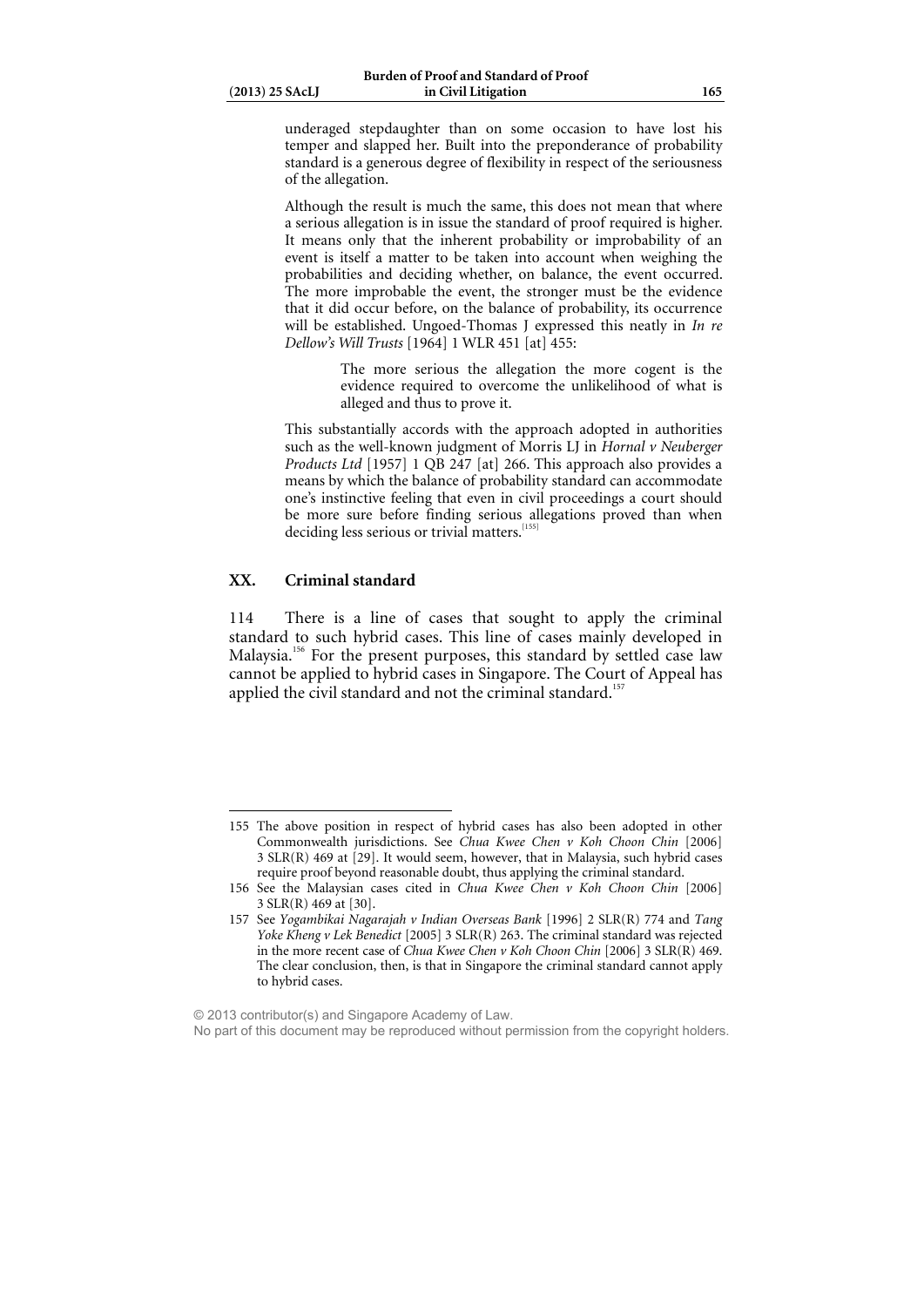underaged stepdaughter than on some occasion to have lost his temper and slapped her. Built into the preponderance of probability standard is a generous degree of flexibility in respect of the seriousness of the allegation.

Although the result is much the same, this does not mean that where a serious allegation is in issue the standard of proof required is higher. It means only that the inherent probability or improbability of an event is itself a matter to be taken into account when weighing the probabilities and deciding whether, on balance, the event occurred. The more improbable the event, the stronger must be the evidence that it did occur before, on the balance of probability, its occurrence will be established. Ungoed-Thomas J expressed this neatly in *In re Dellow's Will Trusts* [1964] 1 WLR 451 [at] 455:

> The more serious the allegation the more cogent is the evidence required to overcome the unlikelihood of what is alleged and thus to prove it.

This substantially accords with the approach adopted in authorities such as the well-known judgment of Morris LJ in *Hornal v Neuberger Products Ltd* [1957] 1 QB 247 [at] 266. This approach also provides a means by which the balance of probability standard can accommodate one's instinctive feeling that even in civil proceedings a court should be more sure before finding serious allegations proved than when deciding less serious or trivial matters.<sup>1</sup>

### **XX. Criminal standard**

 $\overline{a}$ 

114 There is a line of cases that sought to apply the criminal standard to such hybrid cases. This line of cases mainly developed in Malaysia.<sup>156</sup> For the present purposes, this standard by settled case law cannot be applied to hybrid cases in Singapore. The Court of Appeal has applied the civil standard and not the criminal standard.<sup>15</sup>

© 2013 contributor(s) and Singapore Academy of Law.

No part of this document may be reproduced without permission from the copyright holders.

<sup>155</sup> The above position in respect of hybrid cases has also been adopted in other Commonwealth jurisdictions. See *Chua Kwee Chen v Koh Choon Chin* [2006] 3 SLR(R) 469 at [29]. It would seem, however, that in Malaysia, such hybrid cases require proof beyond reasonable doubt, thus applying the criminal standard.

<sup>156</sup> See the Malaysian cases cited in *Chua Kwee Chen v Koh Choon Chin* [2006] 3 SLR(R) 469 at [30].

<sup>157</sup> See *Yogambikai Nagarajah v Indian Overseas Bank* [1996] 2 SLR(R) 774 and *Tang Yoke Kheng v Lek Benedict* [2005] 3 SLR(R) 263. The criminal standard was rejected in the more recent case of *Chua Kwee Chen v Koh Choon Chin* [2006] 3 SLR(R) 469. The clear conclusion, then, is that in Singapore the criminal standard cannot apply to hybrid cases.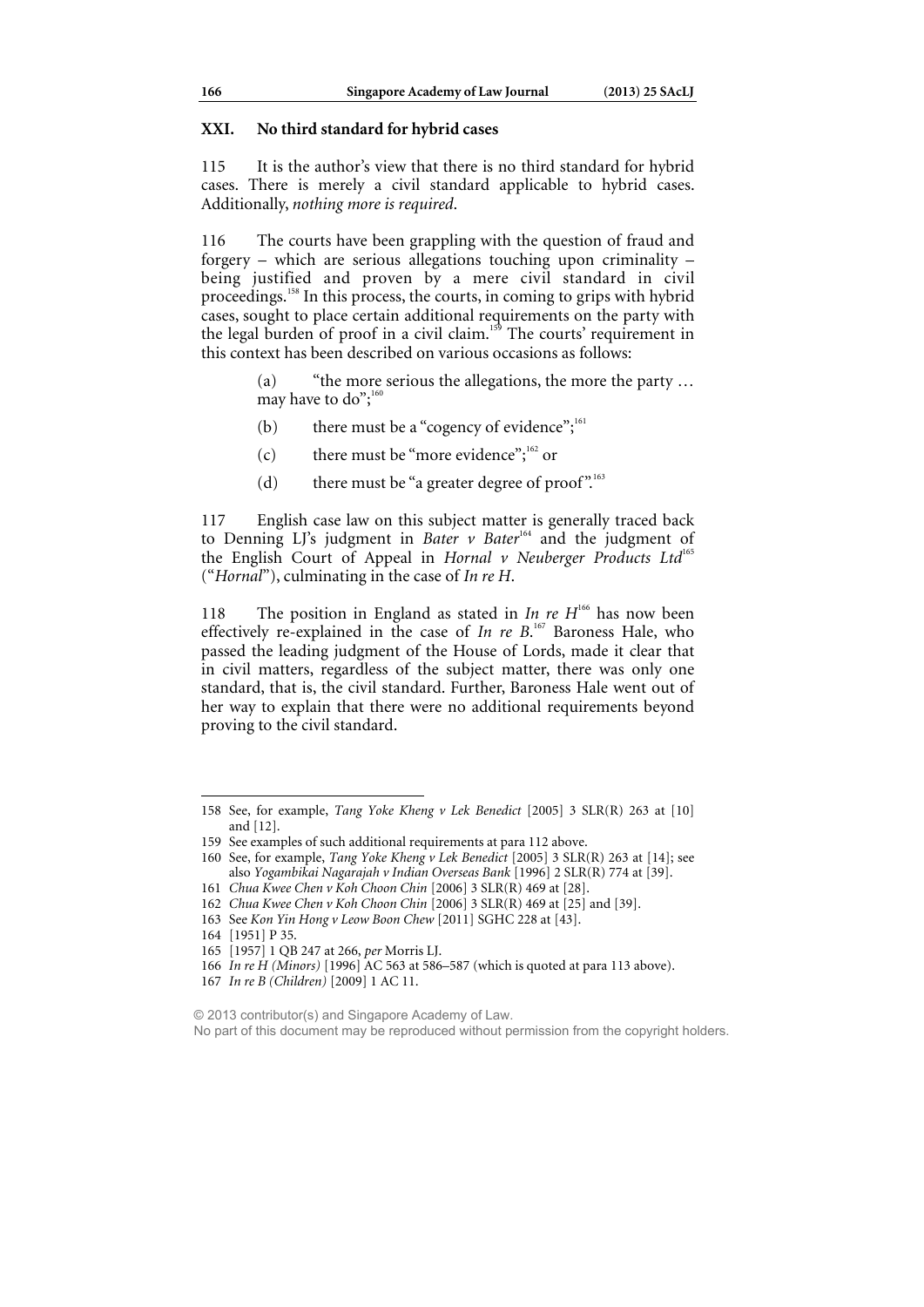### **XXI. No third standard for hybrid cases**

115 It is the author's view that there is no third standard for hybrid cases. There is merely a civil standard applicable to hybrid cases. Additionally, *nothing more is required*.

116 The courts have been grappling with the question of fraud and forgery – which are serious allegations touching upon criminality – being justified and proven by a mere civil standard in civil proceedings.158 In this process, the courts, in coming to grips with hybrid cases, sought to place certain additional requirements on the party with the legal burden of proof in a civil claim.<sup>159</sup> The courts' requirement in this context has been described on various occasions as follows:

> (a) "the more serious the allegations, the more the party … may have to  $do$ ";<sup>16</sup>

- (b) there must be a "cogency of evidence"; $^{161}$
- (c) there must be "more evidence";  $162$  or
- (d) there must be "a greater degree of proof".<sup>163</sup>

117 English case law on this subject matter is generally traced back to Denning LJ's judgment in *Bater* v *Bater*<sup>164</sup> and the judgment of the English Court of Appeal in *Hornal v Neuberger Products Ltd*<sup>165</sup> ("*Hornal*"), culminating in the case of *In re H*.

118 The position in England as stated in *In re H*<sup>166</sup> has now been effectively re-explained in the case of *In re B*.<sup>167</sup> Baroness Hale, who passed the leading judgment of the House of Lords, made it clear that in civil matters, regardless of the subject matter, there was only one standard, that is, the civil standard. Further, Baroness Hale went out of her way to explain that there were no additional requirements beyond proving to the civil standard.

161 *Chua Kwee Chen v Koh Choon Chin* [2006] 3 SLR(R) 469 at [28].

 $\overline{a}$ 

No part of this document may be reproduced without permission from the copyright holders.

<sup>158</sup> See, for example, *Tang Yoke Kheng v Lek Benedict* [2005] 3 SLR(R) 263 at [10] and [12].

<sup>159</sup> See examples of such additional requirements at para 112 above.

<sup>160</sup> See, for example, *Tang Yoke Kheng v Lek Benedict* [2005] 3 SLR(R) 263 at [14]; see also *Yogambikai Nagarajah v Indian Overseas Bank* [1996] 2 SLR(R) 774 at [39].

<sup>162</sup> *Chua Kwee Chen v Koh Choon Chin* [2006] 3 SLR(R) 469 at [25] and [39].

<sup>163</sup> See *Kon Yin Hong v Leow Boon Chew* [2011] SGHC 228 at [43].

<sup>164 [1951]</sup> P 35.

<sup>165 [1957] 1</sup> QB 247 at 266, *per* Morris LJ.

<sup>166</sup> *In re H (Minors)* [1996] AC 563 at 586–587 (which is quoted at para 113 above).

<sup>167</sup> *In re B (Children)* [2009] 1 AC 11.

<sup>© 2013</sup> contributor(s) and Singapore Academy of Law.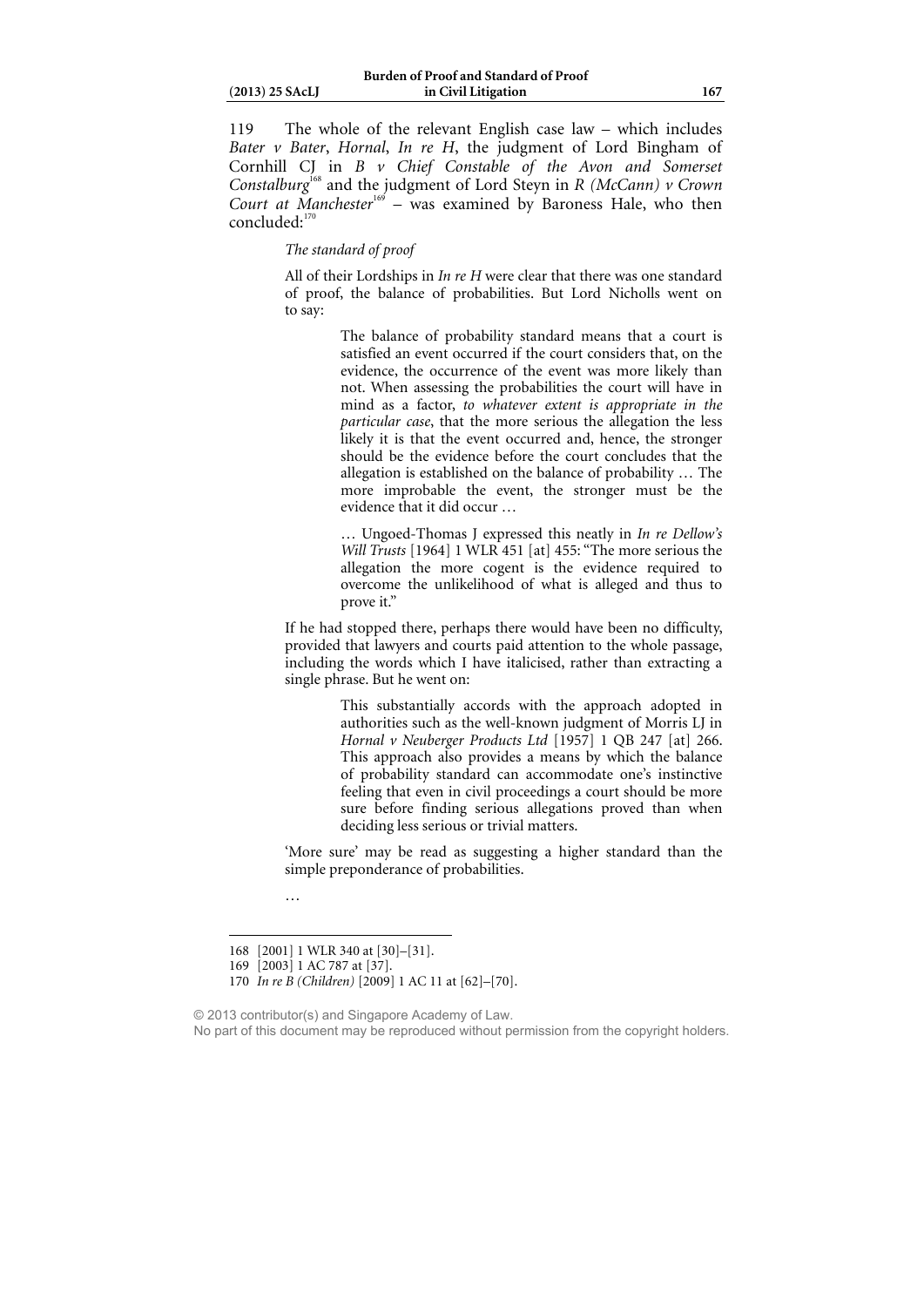| $(2013)$ 25 SAcLJ |
|-------------------|
|                   |

119 The whole of the relevant English case law – which includes *Bater v Bater*, *Hornal*, *In re H*, the judgment of Lord Bingham of Cornhill CJ in *B v Chief Constable of the Avon and Somerset Constalburg*168 and the judgment of Lord Steyn in *R (McCann) v Crown Court at Manchester*<sup>169</sup> – was examined by Baroness Hale, who then  $concluded:$ <sup>1</sup>

### *The standard of proof*

All of their Lordships in *In re H* were clear that there was one standard of proof, the balance of probabilities. But Lord Nicholls went on to say:

> The balance of probability standard means that a court is satisfied an event occurred if the court considers that, on the evidence, the occurrence of the event was more likely than not. When assessing the probabilities the court will have in mind as a factor, *to whatever extent is appropriate in the particular case*, that the more serious the allegation the less likely it is that the event occurred and, hence, the stronger should be the evidence before the court concludes that the allegation is established on the balance of probability … The more improbable the event, the stronger must be the evidence that it did occur …

> … Ungoed-Thomas J expressed this neatly in *In re Dellow's Will Trusts* [1964] 1 WLR 451 [at] 455: "The more serious the allegation the more cogent is the evidence required to overcome the unlikelihood of what is alleged and thus to prove it."

If he had stopped there, perhaps there would have been no difficulty, provided that lawyers and courts paid attention to the whole passage, including the words which I have italicised, rather than extracting a single phrase. But he went on:

> This substantially accords with the approach adopted in authorities such as the well-known judgment of Morris LJ in *Hornal v Neuberger Products Ltd* [1957] 1 QB 247 [at] 266. This approach also provides a means by which the balance of probability standard can accommodate one's instinctive feeling that even in civil proceedings a court should be more sure before finding serious allegations proved than when deciding less serious or trivial matters.

'More sure' may be read as suggesting a higher standard than the simple preponderance of probabilities.

…

 $\overline{a}$ 

© 2013 contributor(s) and Singapore Academy of Law.

<sup>168 [2001] 1</sup> WLR 340 at [30]–[31].

<sup>169 [2003] 1</sup> AC 787 at [37].

<sup>170</sup> *In re B (Children)* [2009] 1 AC 11 at [62]–[70].

No part of this document may be reproduced without permission from the copyright holders.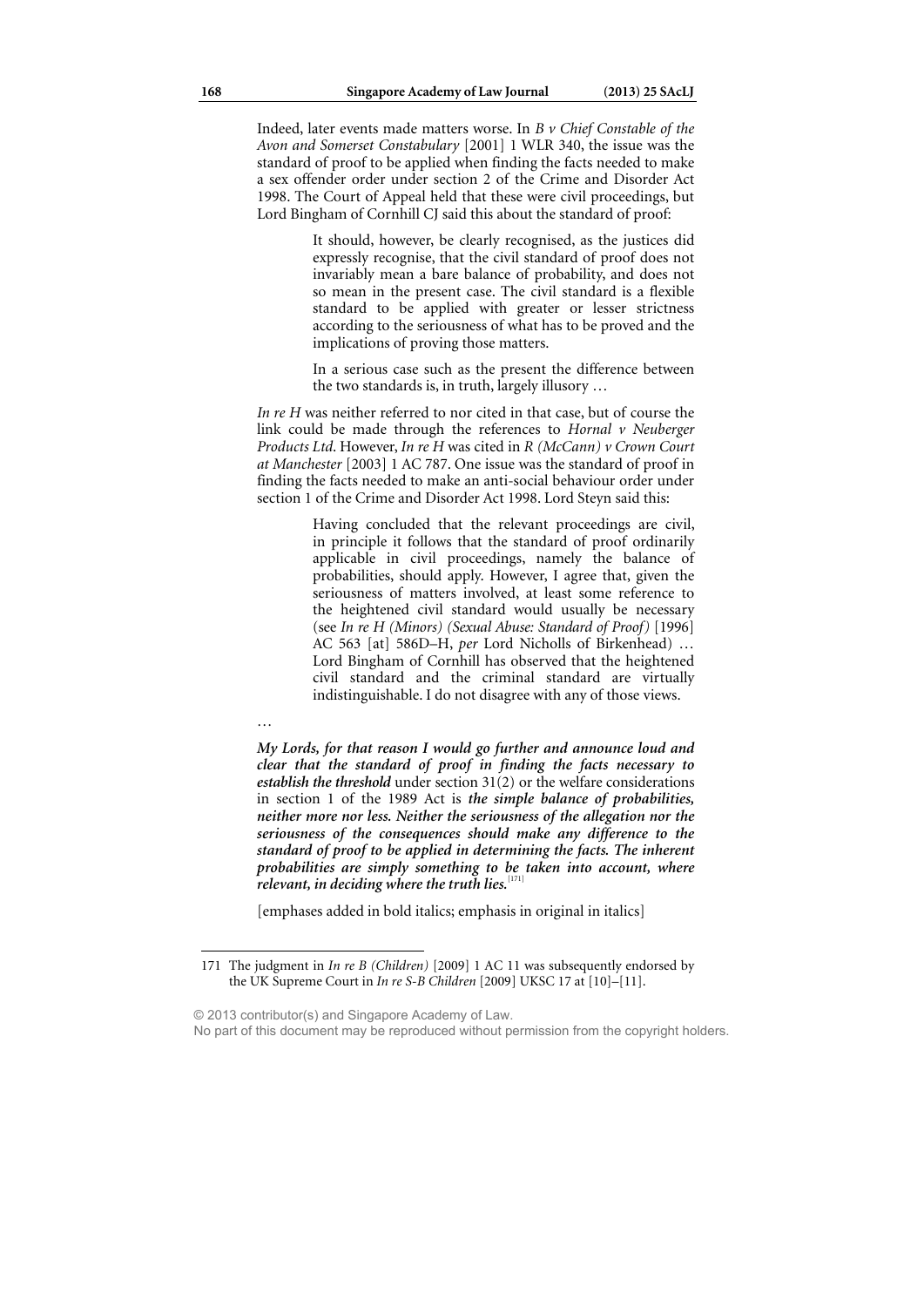Indeed, later events made matters worse. In *B v Chief Constable of the Avon and Somerset Constabulary* [2001] 1 WLR 340, the issue was the standard of proof to be applied when finding the facts needed to make a sex offender order under section 2 of the Crime and Disorder Act 1998. The Court of Appeal held that these were civil proceedings, but Lord Bingham of Cornhill CJ said this about the standard of proof:

> It should, however, be clearly recognised, as the justices did expressly recognise, that the civil standard of proof does not invariably mean a bare balance of probability, and does not so mean in the present case. The civil standard is a flexible standard to be applied with greater or lesser strictness according to the seriousness of what has to be proved and the implications of proving those matters.

> In a serious case such as the present the difference between the two standards is, in truth, largely illusory …

*In re H* was neither referred to nor cited in that case, but of course the link could be made through the references to *Hornal v Neuberger Products Ltd*. However, *In re H* was cited in *R (McCann) v Crown Court at Manchester* [2003] 1 AC 787. One issue was the standard of proof in finding the facts needed to make an anti-social behaviour order under section 1 of the Crime and Disorder Act 1998. Lord Steyn said this:

> Having concluded that the relevant proceedings are civil, in principle it follows that the standard of proof ordinarily applicable in civil proceedings, namely the balance of probabilities, should apply. However, I agree that, given the seriousness of matters involved, at least some reference to the heightened civil standard would usually be necessary (see *In re H (Minors) (Sexual Abuse: Standard of Proof)* [1996] AC 563 [at] 586D–H, *per* Lord Nicholls of Birkenhead) … Lord Bingham of Cornhill has observed that the heightened civil standard and the criminal standard are virtually indistinguishable. I do not disagree with any of those views.

…

 $\overline{a}$ 

*My Lords, for that reason I would go further and announce loud and clear that the standard of proof in finding the facts necessary to establish the threshold* under section 31(2) or the welfare considerations in section 1 of the 1989 Act is *the simple balance of probabilities, neither more nor less. Neither the seriousness of the allegation nor the seriousness of the consequences should make any difference to the standard of proof to be applied in determining the facts. The inherent probabilities are simply something to be taken into account, where*  relevant, in deciding where the truth lies.<sup>[171]</sup>

[emphases added in bold italics; emphasis in original in italics]

© 2013 contributor(s) and Singapore Academy of Law.

<sup>171</sup> The judgment in *In re B (Children)* [2009] 1 AC 11 was subsequently endorsed by the UK Supreme Court in *In re S-B Children* [2009] UKSC 17 at [10]–[11].

No part of this document may be reproduced without permission from the copyright holders.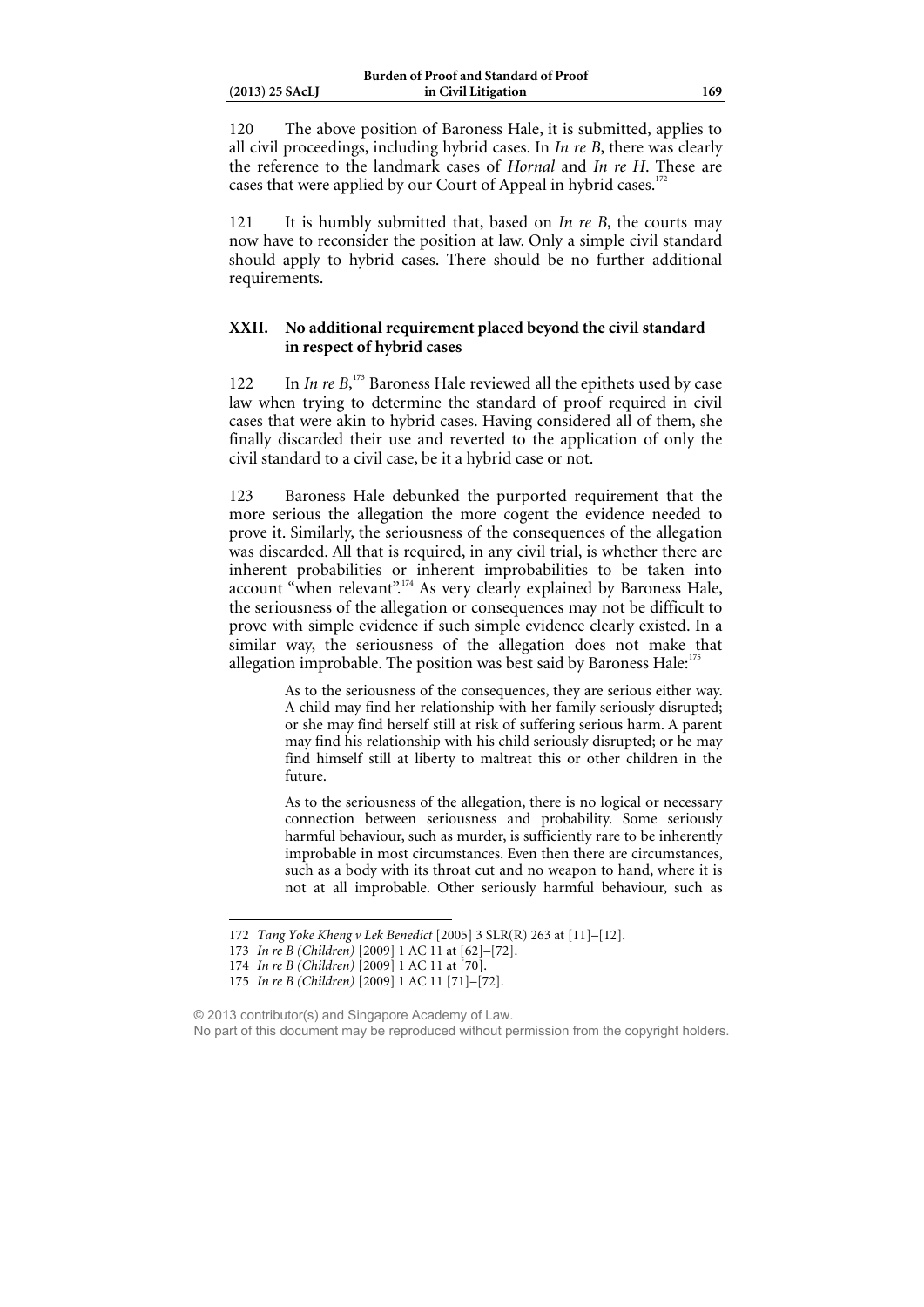120 The above position of Baroness Hale, it is submitted, applies to all civil proceedings, including hybrid cases. In *In re B*, there was clearly the reference to the landmark cases of *Hornal* and *In re H*. These are cases that were applied by our Court of Appeal in hybrid cases.<sup>17</sup>

121 It is humbly submitted that, based on *In re B*, the courts may now have to reconsider the position at law. Only a simple civil standard should apply to hybrid cases. There should be no further additional requirements.

### **XXII. No additional requirement placed beyond the civil standard in respect of hybrid cases**

122 In *In re B*<sup>173</sup> Baroness Hale reviewed all the epithets used by case law when trying to determine the standard of proof required in civil cases that were akin to hybrid cases. Having considered all of them, she finally discarded their use and reverted to the application of only the civil standard to a civil case, be it a hybrid case or not.

123 Baroness Hale debunked the purported requirement that the more serious the allegation the more cogent the evidence needed to prove it. Similarly, the seriousness of the consequences of the allegation was discarded. All that is required, in any civil trial, is whether there are inherent probabilities or inherent improbabilities to be taken into account "when relevant".<sup>174</sup> As very clearly explained by Baroness Hale, the seriousness of the allegation or consequences may not be difficult to prove with simple evidence if such simple evidence clearly existed. In a similar way, the seriousness of the allegation does not make that allegation improbable. The position was best said by Baroness Hale:<sup>1</sup>

> As to the seriousness of the consequences, they are serious either way. A child may find her relationship with her family seriously disrupted; or she may find herself still at risk of suffering serious harm. A parent may find his relationship with his child seriously disrupted; or he may find himself still at liberty to maltreat this or other children in the future.

> As to the seriousness of the allegation, there is no logical or necessary connection between seriousness and probability. Some seriously harmful behaviour, such as murder, is sufficiently rare to be inherently improbable in most circumstances. Even then there are circumstances, such as a body with its throat cut and no weapon to hand, where it is not at all improbable. Other seriously harmful behaviour, such as

<sup>172</sup> *Tang Yoke Kheng v Lek Benedict* [2005] 3 SLR(R) 263 at [11]–[12].

<sup>173</sup> *In re B (Children)* [2009] 1 AC 11 at [62]–[72].

<sup>174</sup> *In re B (Children)* [2009] 1 AC 11 at [70].

<sup>175</sup> *In re B (Children)* [2009] 1 AC 11 [71]–[72].

<sup>© 2013</sup> contributor(s) and Singapore Academy of Law. No part of this document may be reproduced without permission from the copyright holders.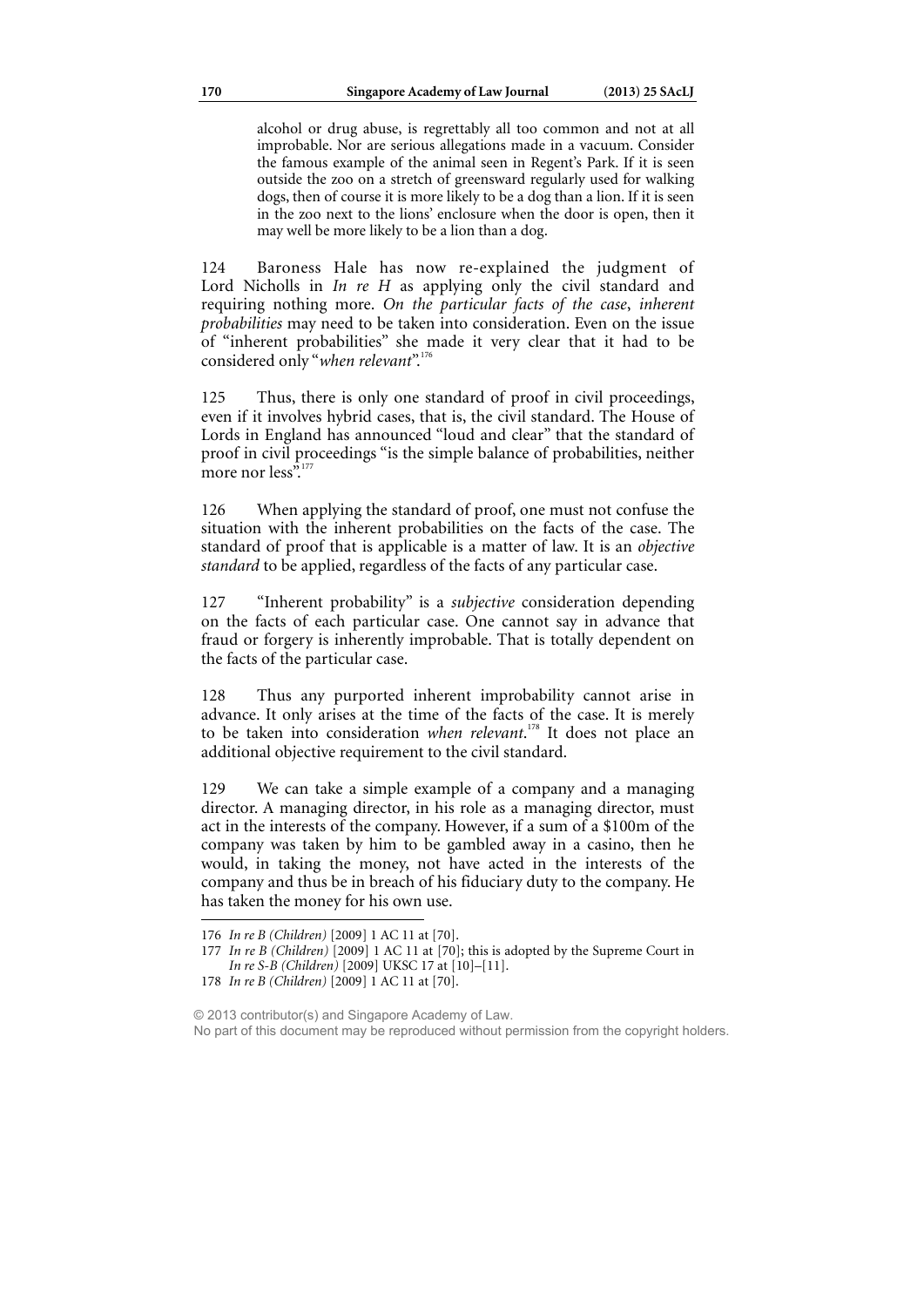alcohol or drug abuse, is regrettably all too common and not at all improbable. Nor are serious allegations made in a vacuum. Consider the famous example of the animal seen in Regent's Park. If it is seen outside the zoo on a stretch of greensward regularly used for walking dogs, then of course it is more likely to be a dog than a lion. If it is seen in the zoo next to the lions' enclosure when the door is open, then it may well be more likely to be a lion than a dog.

124 Baroness Hale has now re-explained the judgment of Lord Nicholls in *In re H* as applying only the civil standard and requiring nothing more. *On the particular facts of the case*, *inherent probabilities* may need to be taken into consideration. Even on the issue of "inherent probabilities" she made it very clear that it had to be considered only "*when relevant*".<sup>176</sup>

125 Thus, there is only one standard of proof in civil proceedings, even if it involves hybrid cases, that is, the civil standard. The House of Lords in England has announced "loud and clear" that the standard of proof in civil proceedings "is the simple balance of probabilities, neither more nor less".

126 When applying the standard of proof, one must not confuse the situation with the inherent probabilities on the facts of the case. The standard of proof that is applicable is a matter of law. It is an *objective standard* to be applied, regardless of the facts of any particular case.

127 "Inherent probability" is a *subjective* consideration depending on the facts of each particular case. One cannot say in advance that fraud or forgery is inherently improbable. That is totally dependent on the facts of the particular case.

128 Thus any purported inherent improbability cannot arise in advance. It only arises at the time of the facts of the case. It is merely to be taken into consideration *when relevant*. 178 It does not place an additional objective requirement to the civil standard.

129 We can take a simple example of a company and a managing director. A managing director, in his role as a managing director, must act in the interests of the company. However, if a sum of a \$100m of the company was taken by him to be gambled away in a casino, then he would, in taking the money, not have acted in the interests of the company and thus be in breach of his fiduciary duty to the company. He has taken the money for his own use.

<sup>176</sup> *In re B (Children)* [2009] 1 AC 11 at [70].

<sup>177</sup> *In re B (Children)* [2009] 1 AC 11 at [70]; this is adopted by the Supreme Court in *In re S-B (Children)* [2009] UKSC 17 at [10]–[11].

<sup>178</sup> *In re B (Children)* [2009] 1 AC 11 at [70].

<sup>© 2013</sup> contributor(s) and Singapore Academy of Law. No part of this document may be reproduced without permission from the copyright holders.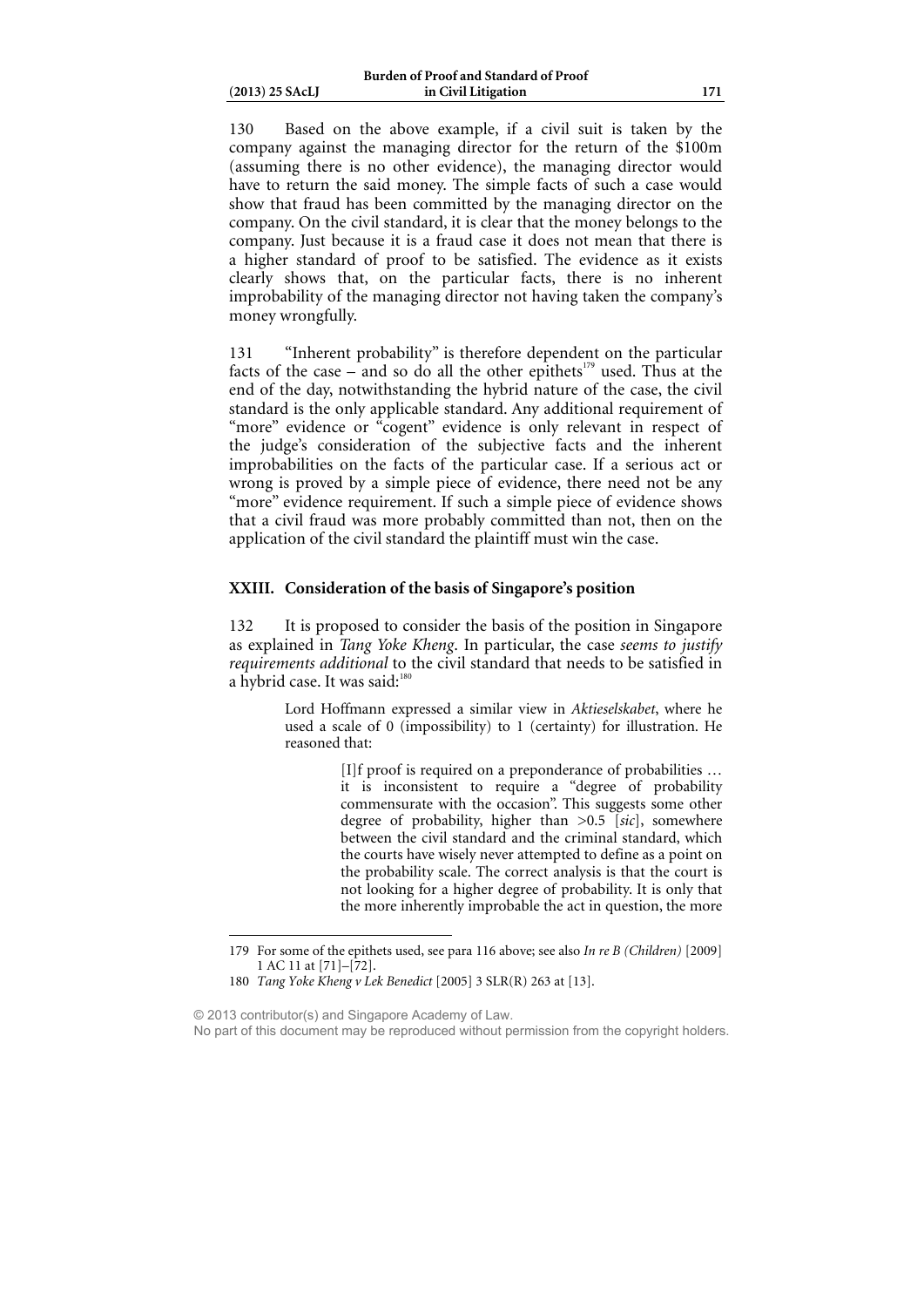| $(2013)$ 25 SAcLJ |
|-------------------|
|                   |

130 Based on the above example, if a civil suit is taken by the company against the managing director for the return of the \$100m (assuming there is no other evidence), the managing director would have to return the said money. The simple facts of such a case would show that fraud has been committed by the managing director on the company. On the civil standard, it is clear that the money belongs to the company. Just because it is a fraud case it does not mean that there is a higher standard of proof to be satisfied. The evidence as it exists clearly shows that, on the particular facts, there is no inherent improbability of the managing director not having taken the company's money wrongfully.

131 "Inherent probability" is therefore dependent on the particular facts of the case – and so do all the other epithets<sup>179</sup> used. Thus at the end of the day, notwithstanding the hybrid nature of the case, the civil standard is the only applicable standard. Any additional requirement of "more" evidence or "cogent" evidence is only relevant in respect of the judge's consideration of the subjective facts and the inherent improbabilities on the facts of the particular case. If a serious act or wrong is proved by a simple piece of evidence, there need not be any "more" evidence requirement. If such a simple piece of evidence shows that a civil fraud was more probably committed than not, then on the application of the civil standard the plaintiff must win the case.

### **XXIII. Consideration of the basis of Singapore's position**

132 It is proposed to consider the basis of the position in Singapore as explained in *Tang Yoke Kheng*. In particular, the case *seems to justify requirements additional* to the civil standard that needs to be satisfied in a hybrid case. It was said: $18$ 

> Lord Hoffmann expressed a similar view in *Aktieselskabet*, where he used a scale of 0 (impossibility) to 1 (certainty) for illustration. He reasoned that:

> > [I]f proof is required on a preponderance of probabilities … it is inconsistent to require a "degree of probability commensurate with the occasion". This suggests some other degree of probability, higher than >0.5 [*sic*], somewhere between the civil standard and the criminal standard, which the courts have wisely never attempted to define as a point on the probability scale. The correct analysis is that the court is not looking for a higher degree of probability. It is only that the more inherently improbable the act in question, the more

© 2013 contributor(s) and Singapore Academy of Law.

<sup>179</sup> For some of the epithets used, see para 116 above; see also *In re B (Children)* [2009] 1 AC 11 at [71]–[72].

<sup>180</sup> *Tang Yoke Kheng v Lek Benedict* [2005] 3 SLR(R) 263 at [13].

No part of this document may be reproduced without permission from the copyright holders.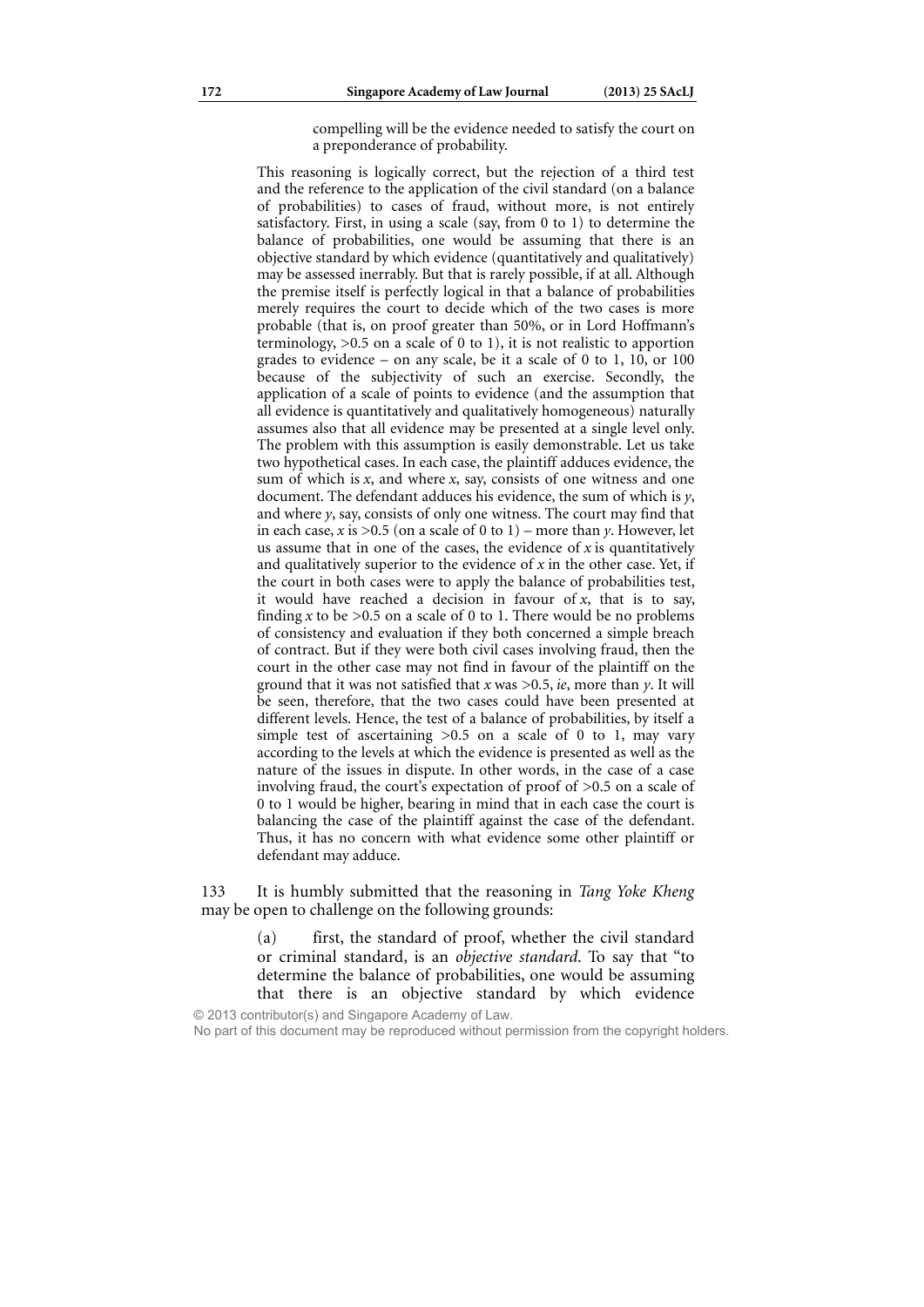compelling will be the evidence needed to satisfy the court on a preponderance of probability.

This reasoning is logically correct, but the rejection of a third test and the reference to the application of the civil standard (on a balance of probabilities) to cases of fraud, without more, is not entirely satisfactory. First, in using a scale (say, from 0 to 1) to determine the balance of probabilities, one would be assuming that there is an objective standard by which evidence (quantitatively and qualitatively) may be assessed inerrably. But that is rarely possible, if at all. Although the premise itself is perfectly logical in that a balance of probabilities merely requires the court to decide which of the two cases is more probable (that is, on proof greater than 50%, or in Lord Hoffmann's terminology,  $>0.5$  on a scale of 0 to 1), it is not realistic to apportion grades to evidence – on any scale, be it a scale of 0 to 1, 10, or 100 because of the subjectivity of such an exercise. Secondly, the application of a scale of points to evidence (and the assumption that all evidence is quantitatively and qualitatively homogeneous) naturally assumes also that all evidence may be presented at a single level only. The problem with this assumption is easily demonstrable. Let us take two hypothetical cases. In each case, the plaintiff adduces evidence, the sum of which is *x*, and where *x*, say, consists of one witness and one document. The defendant adduces his evidence, the sum of which is *y*, and where *y*, say, consists of only one witness. The court may find that in each case,  $x$  is  $>0.5$  (on a scale of 0 to 1) – more than  $y$ . However, let us assume that in one of the cases, the evidence of *x* is quantitatively and qualitatively superior to the evidence of *x* in the other case. Yet, if the court in both cases were to apply the balance of probabilities test, it would have reached a decision in favour of  $x$ , that is to say, finding  $x$  to be  $>0.5$  on a scale of 0 to 1. There would be no problems of consistency and evaluation if they both concerned a simple breach of contract. But if they were both civil cases involving fraud, then the court in the other case may not find in favour of the plaintiff on the ground that it was not satisfied that *x* was >0.5, *ie*, more than *y*. It will be seen, therefore, that the two cases could have been presented at different levels. Hence, the test of a balance of probabilities, by itself a simple test of ascertaining  $>0.5$  on a scale of 0 to 1, may vary according to the levels at which the evidence is presented as well as the nature of the issues in dispute. In other words, in the case of a case involving fraud, the court's expectation of proof of >0.5 on a scale of 0 to 1 would be higher, bearing in mind that in each case the court is balancing the case of the plaintiff against the case of the defendant. Thus, it has no concern with what evidence some other plaintiff or defendant may adduce.

133 It is humbly submitted that the reasoning in *Tang Yoke Kheng*  may be open to challenge on the following grounds:

> (a) first, the standard of proof, whether the civil standard or criminal standard, is an *objective standard*. To say that "to determine the balance of probabilities, one would be assuming that there is an objective standard by which evidence

© 2013 contributor(s) and Singapore Academy of Law. No part of this document may be reproduced without permission from the copyright holders.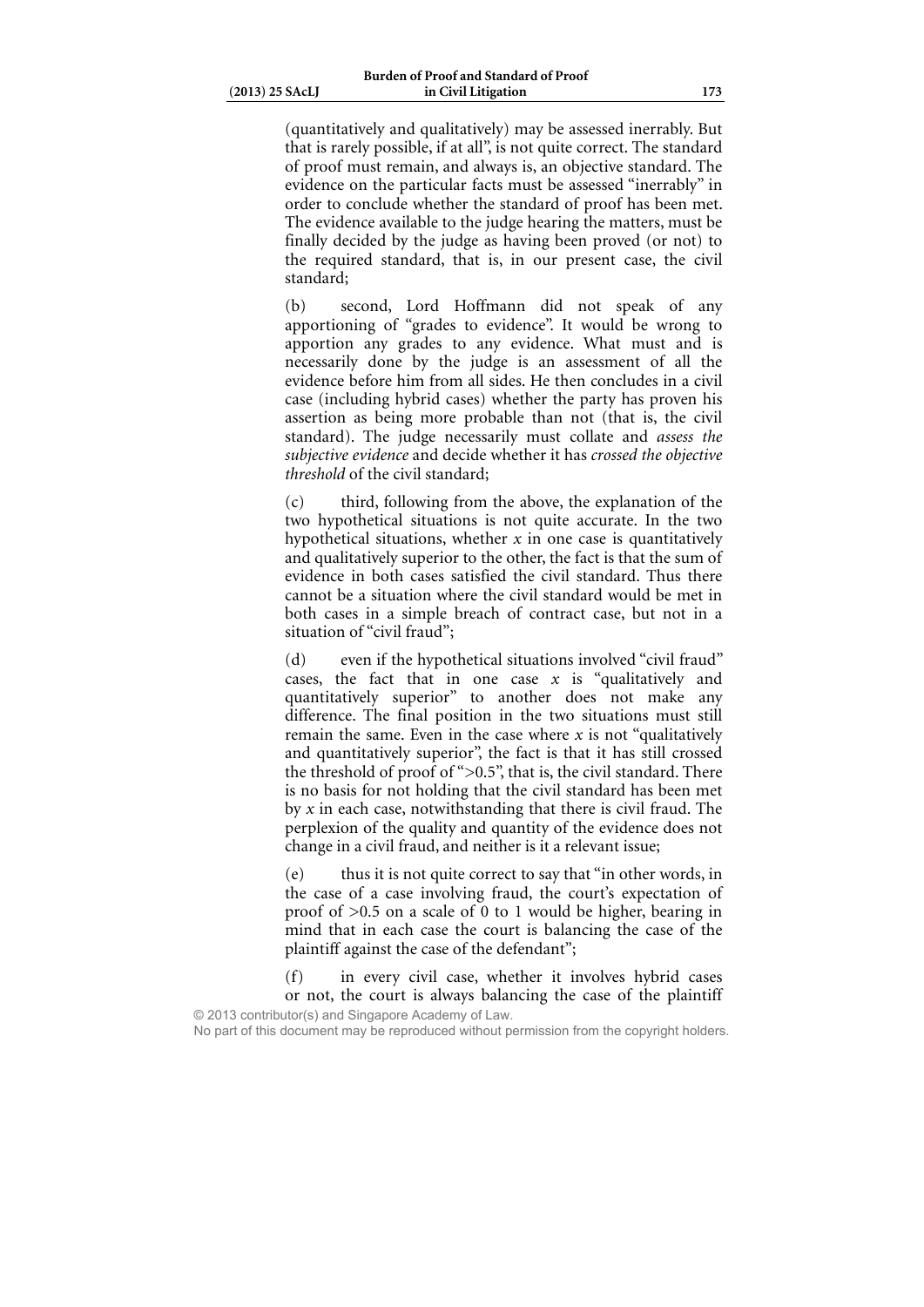(quantitatively and qualitatively) may be assessed inerrably. But that is rarely possible, if at all", is not quite correct. The standard of proof must remain, and always is, an objective standard. The evidence on the particular facts must be assessed "inerrably" in order to conclude whether the standard of proof has been met. The evidence available to the judge hearing the matters, must be finally decided by the judge as having been proved (or not) to the required standard, that is, in our present case, the civil standard;

(b) second, Lord Hoffmann did not speak of any apportioning of "grades to evidence". It would be wrong to apportion any grades to any evidence. What must and is necessarily done by the judge is an assessment of all the evidence before him from all sides. He then concludes in a civil case (including hybrid cases) whether the party has proven his assertion as being more probable than not (that is, the civil standard). The judge necessarily must collate and *assess the subjective evidence* and decide whether it has *crossed the objective threshold* of the civil standard;

(c) third, following from the above, the explanation of the two hypothetical situations is not quite accurate. In the two hypothetical situations, whether *x* in one case is quantitatively and qualitatively superior to the other, the fact is that the sum of evidence in both cases satisfied the civil standard. Thus there cannot be a situation where the civil standard would be met in both cases in a simple breach of contract case, but not in a situation of "civil fraud";

(d) even if the hypothetical situations involved "civil fraud" cases, the fact that in one case *x* is "qualitatively and quantitatively superior" to another does not make any difference. The final position in the two situations must still remain the same. Even in the case where  $x$  is not "qualitatively" and quantitatively superior", the fact is that it has still crossed the threshold of proof of ">0.5", that is, the civil standard. There is no basis for not holding that the civil standard has been met by *x* in each case, notwithstanding that there is civil fraud. The perplexion of the quality and quantity of the evidence does not change in a civil fraud, and neither is it a relevant issue;

(e) thus it is not quite correct to say that "in other words, in the case of a case involving fraud, the court's expectation of proof of >0.5 on a scale of 0 to 1 would be higher, bearing in mind that in each case the court is balancing the case of the plaintiff against the case of the defendant";

(f) in every civil case, whether it involves hybrid cases or not, the court is always balancing the case of the plaintiff © 2013 contributor(s) and Singapore Academy of Law.

No part of this document may be reproduced without permission from the copyright holders.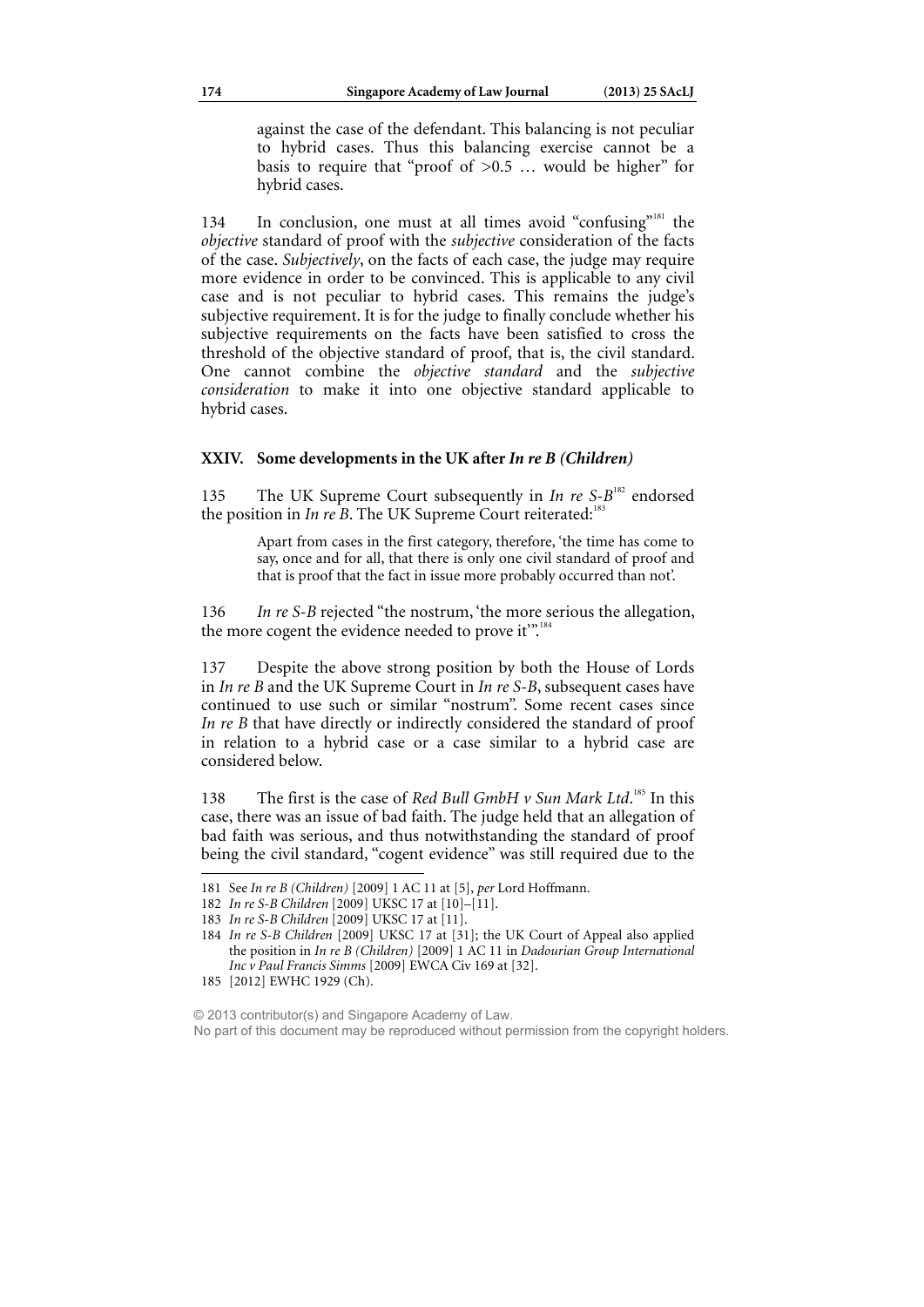against the case of the defendant. This balancing is not peculiar to hybrid cases. Thus this balancing exercise cannot be a basis to require that "proof of  $>0.5$  ... would be higher" for hybrid cases.

134 In conclusion, one must at all times avoid "confusing"181 the *objective* standard of proof with the *subjective* consideration of the facts of the case. *Subjectively*, on the facts of each case, the judge may require more evidence in order to be convinced. This is applicable to any civil case and is not peculiar to hybrid cases. This remains the judge's subjective requirement. It is for the judge to finally conclude whether his subjective requirements on the facts have been satisfied to cross the threshold of the objective standard of proof, that is, the civil standard. One cannot combine the *objective standard* and the *subjective consideration* to make it into one objective standard applicable to hybrid cases.

### **XXIV. Some developments in the UK after** *In re B (Children)*

135 The UK Supreme Court subsequently in *In re S-B*<sup>182</sup> endorsed the position in *In re B*. The UK Supreme Court reiterated:<sup>1</sup>

> Apart from cases in the first category, therefore, 'the time has come to say, once and for all, that there is only one civil standard of proof and that is proof that the fact in issue more probably occurred than not'.

136 *In re S-B* rejected "the nostrum, 'the more serious the allegation, the more cogent the evidence needed to prove it".

137 Despite the above strong position by both the House of Lords in *In re B* and the UK Supreme Court in *In re S-B*, subsequent cases have continued to use such or similar "nostrum". Some recent cases since *In re B* that have directly or indirectly considered the standard of proof in relation to a hybrid case or a case similar to a hybrid case are considered below.

138 The first is the case of *Red Bull GmbH v Sun Mark Ltd*.<sup>185</sup> In this case, there was an issue of bad faith. The judge held that an allegation of bad faith was serious, and thus notwithstanding the standard of proof being the civil standard, "cogent evidence" was still required due to the

<sup>181</sup> See *In re B (Children)* [2009] 1 AC 11 at [5], *per* Lord Hoffmann.

<sup>182</sup> *In re S-B Children* [2009] UKSC 17 at [10]–[11].

<sup>183</sup> *In re S-B Children* [2009] UKSC 17 at [11].

<sup>184</sup> *In re S-B Children* [2009] UKSC 17 at [31]; the UK Court of Appeal also applied the position in *In re B (Children)* [2009] 1 AC 11 in *Dadourian Group International Inc v Paul Francis Simms* [2009] EWCA Civ 169 at [32].

<sup>185 [2012]</sup> EWHC 1929 (Ch).

<sup>© 2013</sup> contributor(s) and Singapore Academy of Law. No part of this document may be reproduced without permission from the copyright holders.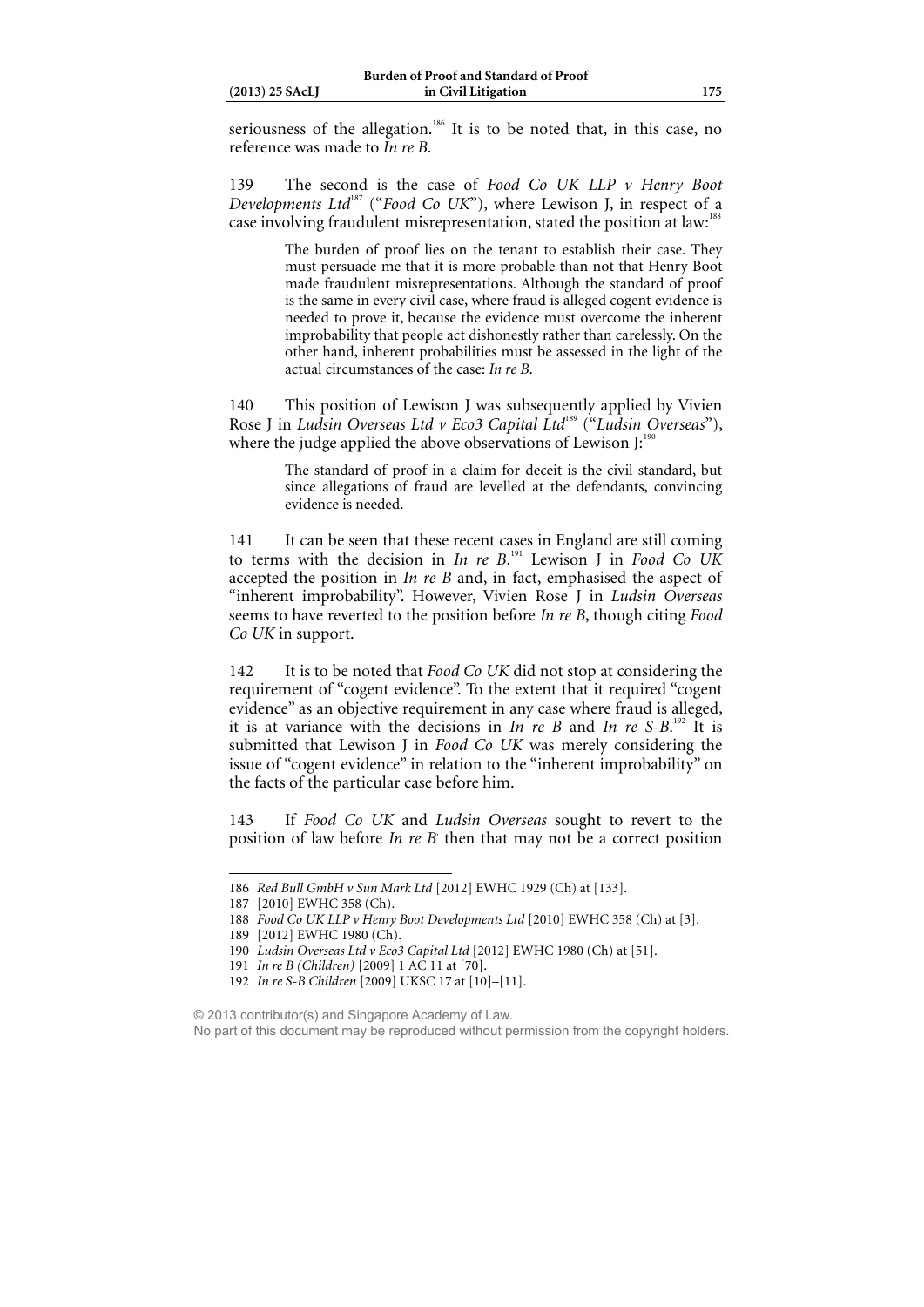seriousness of the allegation.<sup>186</sup> It is to be noted that, in this case, no reference was made to *In re B*.

139 The second is the case of *Food Co UK LLP v Henry Boot Developments Ltd*187 ("*Food Co UK*"), where Lewison J, in respect of a case involving fraudulent misrepresentation, stated the position at law:<sup>18</sup>

> The burden of proof lies on the tenant to establish their case. They must persuade me that it is more probable than not that Henry Boot made fraudulent misrepresentations. Although the standard of proof is the same in every civil case, where fraud is alleged cogent evidence is needed to prove it, because the evidence must overcome the inherent improbability that people act dishonestly rather than carelessly. On the other hand, inherent probabilities must be assessed in the light of the actual circumstances of the case: *In re B*.

140 This position of Lewison J was subsequently applied by Vivien Rose J in *Ludsin Overseas Ltd v Eco3 Capital Ltd*<sup>189</sup> ("*Ludsin Overseas*"), where the judge applied the above observations of Lewison J: $190$ 

> The standard of proof in a claim for deceit is the civil standard, but since allegations of fraud are levelled at the defendants, convincing evidence is needed.

141 It can be seen that these recent cases in England are still coming to terms with the decision in *In re B*. 191 Lewison J in *Food Co UK* accepted the position in *In re B* and, in fact, emphasised the aspect of "inherent improbability". However, Vivien Rose J in *Ludsin Overseas* seems to have reverted to the position before *In re B*, though citing *Food Co UK* in support.

142 It is to be noted that *Food Co UK* did not stop at considering the requirement of "cogent evidence". To the extent that it required "cogent evidence" as an objective requirement in any case where fraud is alleged, it is at variance with the decisions in *In re B* and *In re S-B*. 192 It is submitted that Lewison J in *Food Co UK* was merely considering the issue of "cogent evidence" in relation to the "inherent improbability" on the facts of the particular case before him.

143 If *Food Co UK* and *Ludsin Overseas* sought to revert to the position of law before *In re B* then that may not be a correct position

 $\overline{a}$ 

190 *Ludsin Overseas Ltd v Eco3 Capital Ltd* [2012] EWHC 1980 (Ch) at [51].

<sup>186</sup> *Red Bull GmbH v Sun Mark Ltd* [2012] EWHC 1929 (Ch) at [133].

<sup>187 [2010]</sup> EWHC 358 (Ch).

<sup>188</sup> *Food Co UK LLP v Henry Boot Developments Ltd* [2010] EWHC 358 (Ch) at [3].

<sup>189 [2012]</sup> EWHC 1980 (Ch).

<sup>191</sup> *In re B (Children)* [2009] 1 AC 11 at [70].

<sup>192</sup> *In re S-B Children* [2009] UKSC 17 at [10]–[11].

<sup>© 2013</sup> contributor(s) and Singapore Academy of Law. No part of this document may be reproduced without permission from the copyright holders.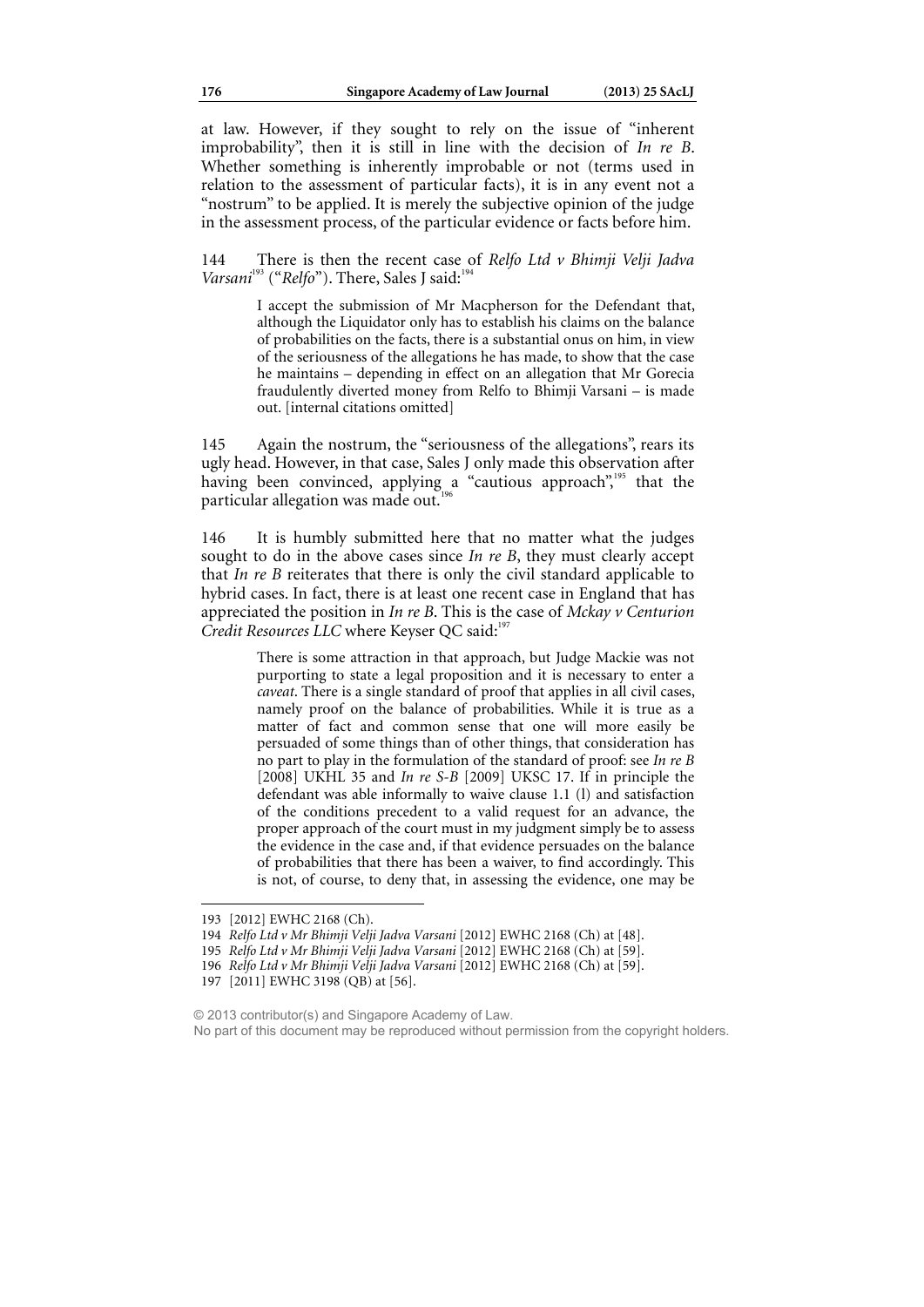at law. However, if they sought to rely on the issue of "inherent improbability", then it is still in line with the decision of *In re B*. Whether something is inherently improbable or not (terms used in relation to the assessment of particular facts), it is in any event not a "nostrum" to be applied. It is merely the subjective opinion of the judge in the assessment process, of the particular evidence or facts before him.

144 There is then the recent case of *Relfo Ltd v Bhimji Velji Jadva*  Varsani<sup>193</sup> ("Relfo"). There, Sales J said:<sup>19</sup>

> I accept the submission of Mr Macpherson for the Defendant that, although the Liquidator only has to establish his claims on the balance of probabilities on the facts, there is a substantial onus on him, in view of the seriousness of the allegations he has made, to show that the case he maintains – depending in effect on an allegation that Mr Gorecia fraudulently diverted money from Relfo to Bhimji Varsani – is made out. [internal citations omitted]

145 Again the nostrum, the "seriousness of the allegations", rears its ugly head. However, in that case, Sales J only made this observation after having been convinced, applying a "cautious approach",<sup>195</sup> that the particular allegation was made out.<sup>1</sup>

146 It is humbly submitted here that no matter what the judges sought to do in the above cases since *In re B*, they must clearly accept that *In re B* reiterates that there is only the civil standard applicable to hybrid cases. In fact, there is at least one recent case in England that has appreciated the position in *In re B*. This is the case of *Mckay v Centurion Credit Resources LLC* where Keyser QC said:<sup>19</sup>

> There is some attraction in that approach, but Judge Mackie was not purporting to state a legal proposition and it is necessary to enter a *caveat*. There is a single standard of proof that applies in all civil cases, namely proof on the balance of probabilities. While it is true as a matter of fact and common sense that one will more easily be persuaded of some things than of other things, that consideration has no part to play in the formulation of the standard of proof: see *In re B* [2008] UKHL 35 and *In re S-B* [2009] UKSC 17. If in principle the defendant was able informally to waive clause 1.1 (l) and satisfaction of the conditions precedent to a valid request for an advance, the proper approach of the court must in my judgment simply be to assess the evidence in the case and, if that evidence persuades on the balance of probabilities that there has been a waiver, to find accordingly. This is not, of course, to deny that, in assessing the evidence, one may be

 $\overline{a}$ 

© 2013 contributor(s) and Singapore Academy of Law. No part of this document may be reproduced without permission from the copyright holders.

<sup>193 [2012]</sup> EWHC 2168 (Ch).

<sup>194</sup> *Relfo Ltd v Mr Bhimji Velji Jadva Varsani* [2012] EWHC 2168 (Ch) at [48].

<sup>195</sup> *Relfo Ltd v Mr Bhimji Velji Jadva Varsani* [2012] EWHC 2168 (Ch) at [59].

<sup>196</sup> *Relfo Ltd v Mr Bhimji Velji Jadva Varsani* [2012] EWHC 2168 (Ch) at [59].

<sup>197 [2011]</sup> EWHC 3198 (QB) at [56].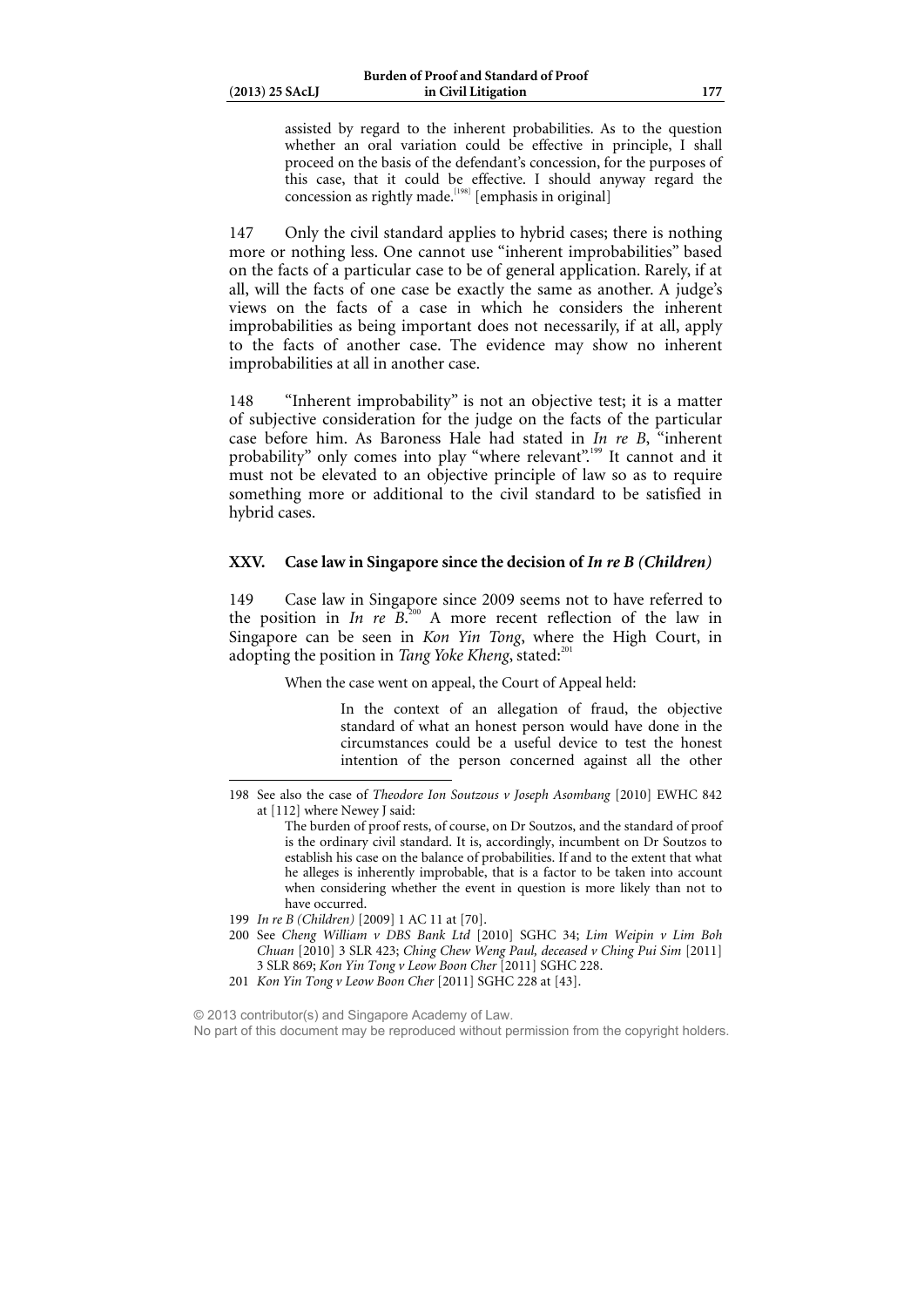assisted by regard to the inherent probabilities. As to the question whether an oral variation could be effective in principle, I shall proceed on the basis of the defendant's concession, for the purposes of this case, that it could be effective. I should anyway regard the concession as rightly made.<sup>[198]</sup> [emphasis in original]

147 Only the civil standard applies to hybrid cases; there is nothing more or nothing less. One cannot use "inherent improbabilities" based on the facts of a particular case to be of general application. Rarely, if at all, will the facts of one case be exactly the same as another. A judge's views on the facts of a case in which he considers the inherent improbabilities as being important does not necessarily, if at all, apply to the facts of another case. The evidence may show no inherent improbabilities at all in another case.

148 "Inherent improbability" is not an objective test; it is a matter of subjective consideration for the judge on the facts of the particular case before him. As Baroness Hale had stated in *In re B*, "inherent probability" only comes into play "where relevant".<sup>199</sup> It cannot and it must not be elevated to an objective principle of law so as to require something more or additional to the civil standard to be satisfied in hybrid cases.

### **XXV. Case law in Singapore since the decision of** *In re B (Children)*

149 Case law in Singapore since 2009 seems not to have referred to the position in *In re*  $\overline{B}^{200}$  A more recent reflection of the law in Singapore can be seen in *Kon Yin Tong*, where the High Court, in adopting the position in *Tang Yoke Kheng*, stated:<sup>20</sup>

When the case went on appeal, the Court of Appeal held:

In the context of an allegation of fraud, the objective standard of what an honest person would have done in the circumstances could be a useful device to test the honest intention of the person concerned against all the other

 $\overline{a}$ 

© 2013 contributor(s) and Singapore Academy of Law.

No part of this document may be reproduced without permission from the copyright holders.

<sup>198</sup> See also the case of *Theodore Ion Soutzous v Joseph Asombang* [2010] EWHC 842 at [112] where Newey J said:

The burden of proof rests, of course, on Dr Soutzos, and the standard of proof is the ordinary civil standard. It is, accordingly, incumbent on Dr Soutzos to establish his case on the balance of probabilities. If and to the extent that what he alleges is inherently improbable, that is a factor to be taken into account when considering whether the event in question is more likely than not to have occurred.

<sup>199</sup> *In re B (Children)* [2009] 1 AC 11 at [70].

<sup>200</sup> See *Cheng William v DBS Bank Ltd* [2010] SGHC 34; *Lim Weipin v Lim Boh Chuan* [2010] 3 SLR 423; *Ching Chew Weng Paul, deceased v Ching Pui Sim* [2011] 3 SLR 869; *Kon Yin Tong v Leow Boon Cher* [2011] SGHC 228.

<sup>201</sup> *Kon Yin Tong v Leow Boon Cher* [2011] SGHC 228 at [43].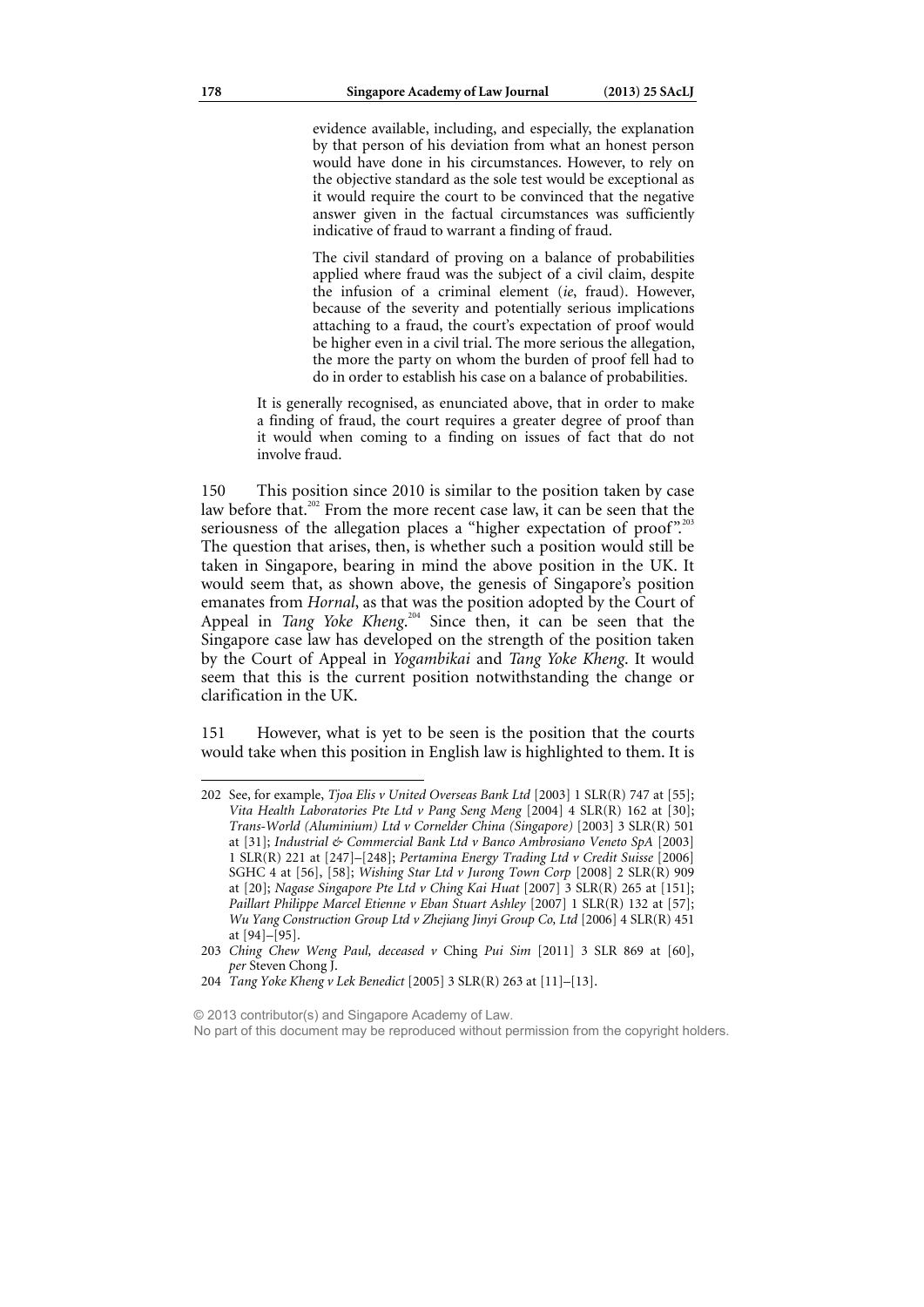evidence available, including, and especially, the explanation by that person of his deviation from what an honest person would have done in his circumstances. However, to rely on the objective standard as the sole test would be exceptional as it would require the court to be convinced that the negative answer given in the factual circumstances was sufficiently indicative of fraud to warrant a finding of fraud.

The civil standard of proving on a balance of probabilities applied where fraud was the subject of a civil claim, despite the infusion of a criminal element (*ie*, fraud). However, because of the severity and potentially serious implications attaching to a fraud, the court's expectation of proof would be higher even in a civil trial. The more serious the allegation, the more the party on whom the burden of proof fell had to do in order to establish his case on a balance of probabilities.

It is generally recognised, as enunciated above, that in order to make a finding of fraud, the court requires a greater degree of proof than it would when coming to a finding on issues of fact that do not involve fraud.

150 This position since 2010 is similar to the position taken by case law before that.<sup>202</sup> From the more recent case law, it can be seen that the seriousness of the allegation places a "higher expectation of proof".<sup>203</sup> The question that arises, then, is whether such a position would still be taken in Singapore, bearing in mind the above position in the UK. It would seem that, as shown above, the genesis of Singapore's position emanates from *Hornal*, as that was the position adopted by the Court of Appeal in *Tang Yoke Kheng*. 204 Since then, it can be seen that the Singapore case law has developed on the strength of the position taken by the Court of Appeal in *Yogambikai* and *Tang Yoke Kheng*. It would seem that this is the current position notwithstanding the change or clarification in the UK.

151 However, what is yet to be seen is the position that the courts would take when this position in English law is highlighted to them. It is

© 2013 contributor(s) and Singapore Academy of Law.

<sup>202</sup> See, for example, *Tjoa Elis v United Overseas Bank Ltd* [2003] 1 SLR(R) 747 at [55]; *Vita Health Laboratories Pte Ltd v Pang Seng Meng* [2004] 4 SLR(R) 162 at [30]; *Trans-World (Aluminium) Ltd v Cornelder China (Singapore)* [2003] 3 SLR(R) 501 at [31]; *Industrial & Commercial Bank Ltd v Banco Ambrosiano Veneto SpA* [2003] 1 SLR(R) 221 at [247]–[248]; *Pertamina Energy Trading Ltd v Credit Suisse* [2006] SGHC 4 at [56], [58]; *Wishing Star Ltd v Jurong Town Corp* [2008] 2 SLR(R) 909 at [20]; *Nagase Singapore Pte Ltd v Ching Kai Huat* [2007] 3 SLR(R) 265 at [151]; *Paillart Philippe Marcel Etienne v Eban Stuart Ashley* [2007] 1 SLR(R) 132 at [57]; *Wu Yang Construction Group Ltd v Zhejiang Jinyi Group Co, Ltd* [2006] 4 SLR(R) 451 at [94]–[95].

<sup>203</sup> *Ching Chew Weng Paul, deceased v* Ching *Pui Sim* [2011] 3 SLR 869 at [60], *per* Steven Chong J.

<sup>204</sup> *Tang Yoke Kheng v Lek Benedict* [2005] 3 SLR(R) 263 at [11]–[13].

No part of this document may be reproduced without permission from the copyright holders.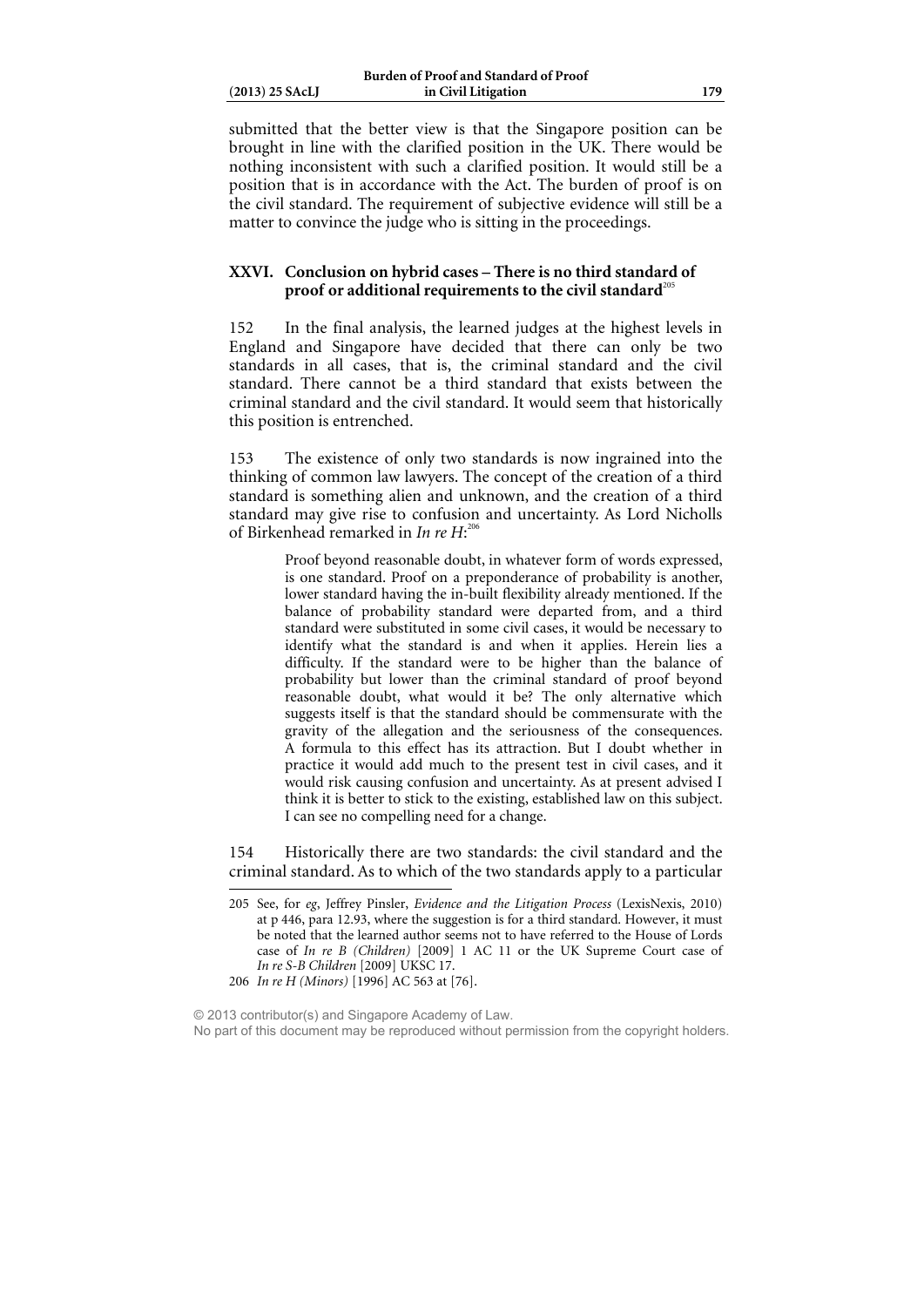| $(2013)$ 25 SAcLJ |  |
|-------------------|--|
|                   |  |

submitted that the better view is that the Singapore position can be brought in line with the clarified position in the UK. There would be nothing inconsistent with such a clarified position. It would still be a position that is in accordance with the Act. The burden of proof is on the civil standard. The requirement of subjective evidence will still be a matter to convince the judge who is sitting in the proceedings.

### **XXVI. Conclusion on hybrid cases – There is no third standard of**  proof or additional requirements to the civil standard<sup>205</sup>

152 In the final analysis, the learned judges at the highest levels in England and Singapore have decided that there can only be two standards in all cases, that is, the criminal standard and the civil standard. There cannot be a third standard that exists between the criminal standard and the civil standard. It would seem that historically this position is entrenched.

153 The existence of only two standards is now ingrained into the thinking of common law lawyers. The concept of the creation of a third standard is something alien and unknown, and the creation of a third standard may give rise to confusion and uncertainty. As Lord Nicholls of Birkenhead remarked in *In re H*: 206

> Proof beyond reasonable doubt, in whatever form of words expressed, is one standard. Proof on a preponderance of probability is another, lower standard having the in-built flexibility already mentioned. If the balance of probability standard were departed from, and a third standard were substituted in some civil cases, it would be necessary to identify what the standard is and when it applies. Herein lies a difficulty. If the standard were to be higher than the balance of probability but lower than the criminal standard of proof beyond reasonable doubt, what would it be? The only alternative which suggests itself is that the standard should be commensurate with the gravity of the allegation and the seriousness of the consequences. A formula to this effect has its attraction. But I doubt whether in practice it would add much to the present test in civil cases, and it would risk causing confusion and uncertainty. As at present advised I think it is better to stick to the existing, established law on this subject. I can see no compelling need for a change.

154 Historically there are two standards: the civil standard and the criminal standard. As to which of the two standards apply to a particular

<sup>205</sup> See, for *eg*, Jeffrey Pinsler, *Evidence and the Litigation Process* (LexisNexis, 2010) at p 446, para 12.93, where the suggestion is for a third standard. However, it must be noted that the learned author seems not to have referred to the House of Lords case of *In re B (Children)* [2009] 1 AC 11 or the UK Supreme Court case of *In re S-B Children* [2009] UKSC 17.

<sup>206</sup> *In re H (Minors)* [1996] AC 563 at [76].

<sup>© 2013</sup> contributor(s) and Singapore Academy of Law. No part of this document may be reproduced without permission from the copyright holders.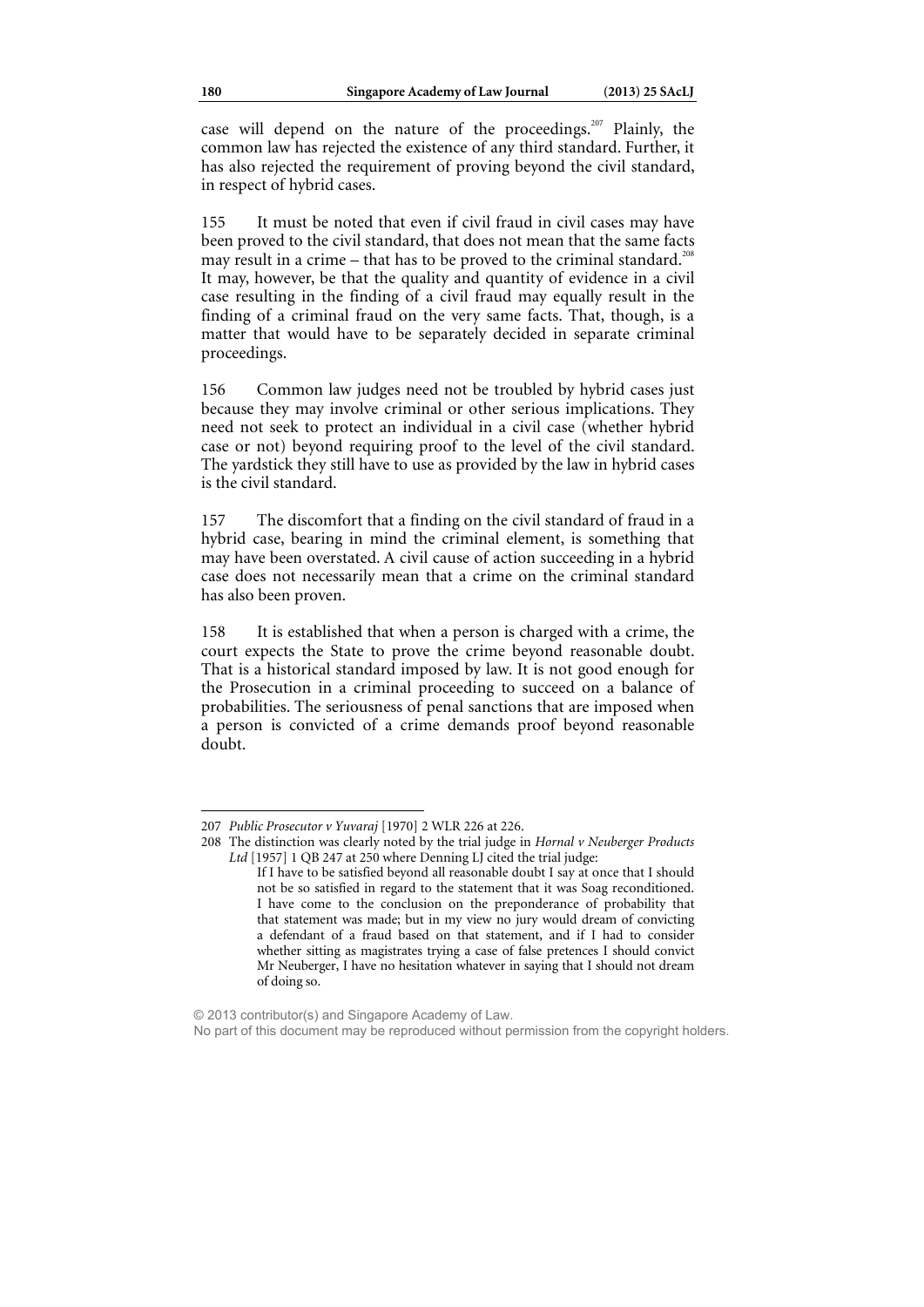case will depend on the nature of the proceedings.<sup>207</sup> Plainly, the common law has rejected the existence of any third standard. Further, it has also rejected the requirement of proving beyond the civil standard, in respect of hybrid cases.

155 It must be noted that even if civil fraud in civil cases may have been proved to the civil standard, that does not mean that the same facts may result in a crime – that has to be proved to the criminal standard.<sup>2</sup> It may, however, be that the quality and quantity of evidence in a civil case resulting in the finding of a civil fraud may equally result in the finding of a criminal fraud on the very same facts. That, though, is a matter that would have to be separately decided in separate criminal proceedings.

156 Common law judges need not be troubled by hybrid cases just because they may involve criminal or other serious implications. They need not seek to protect an individual in a civil case (whether hybrid case or not) beyond requiring proof to the level of the civil standard. The yardstick they still have to use as provided by the law in hybrid cases is the civil standard.

157 The discomfort that a finding on the civil standard of fraud in a hybrid case, bearing in mind the criminal element, is something that may have been overstated. A civil cause of action succeeding in a hybrid case does not necessarily mean that a crime on the criminal standard has also been proven.

158 It is established that when a person is charged with a crime, the court expects the State to prove the crime beyond reasonable doubt. That is a historical standard imposed by law. It is not good enough for the Prosecution in a criminal proceeding to succeed on a balance of probabilities. The seriousness of penal sanctions that are imposed when a person is convicted of a crime demands proof beyond reasonable doubt.

<sup>207</sup> *Public Prosecutor v Yuvaraj* [1970] 2 WLR 226 at 226.

<sup>208</sup> The distinction was clearly noted by the trial judge in *Hornal v Neuberger Products Ltd* [1957] 1 QB 247 at 250 where Denning LJ cited the trial judge:

If I have to be satisfied beyond all reasonable doubt I say at once that I should not be so satisfied in regard to the statement that it was Soag reconditioned. I have come to the conclusion on the preponderance of probability that that statement was made; but in my view no jury would dream of convicting a defendant of a fraud based on that statement, and if I had to consider whether sitting as magistrates trying a case of false pretences I should convict Mr Neuberger, I have no hesitation whatever in saying that I should not dream of doing so.

<sup>© 2013</sup> contributor(s) and Singapore Academy of Law.

No part of this document may be reproduced without permission from the copyright holders.